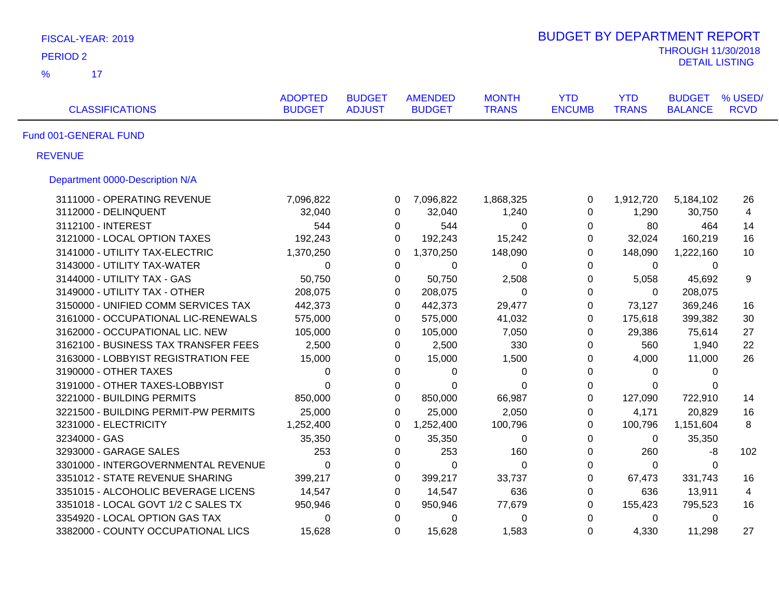| FISCAL-YEAR: 2019                    |                                 |                                |                                 |                              | <b>BUDGET BY DEPARTMENT REPORT</b> |                            |                                 |                        |
|--------------------------------------|---------------------------------|--------------------------------|---------------------------------|------------------------------|------------------------------------|----------------------------|---------------------------------|------------------------|
| <b>PERIOD 2</b>                      |                                 |                                |                                 |                              |                                    |                            | <b>THROUGH 11/30/2018</b>       |                        |
| $\frac{9}{6}$<br>17                  |                                 |                                |                                 |                              |                                    |                            | <b>DETAIL LISTING</b>           |                        |
| <b>CLASSIFICATIONS</b>               | <b>ADOPTED</b><br><b>BUDGET</b> | <b>BUDGET</b><br><b>ADJUST</b> | <b>AMENDED</b><br><b>BUDGET</b> | <b>MONTH</b><br><b>TRANS</b> | <b>YTD</b><br><b>ENCUMB</b>        | <b>YTD</b><br><b>TRANS</b> | <b>BUDGET</b><br><b>BALANCE</b> | % USED/<br><b>RCVD</b> |
| Fund 001-GENERAL FUND                |                                 |                                |                                 |                              |                                    |                            |                                 |                        |
| <b>REVENUE</b>                       |                                 |                                |                                 |                              |                                    |                            |                                 |                        |
| Department 0000-Description N/A      |                                 |                                |                                 |                              |                                    |                            |                                 |                        |
| 3111000 - OPERATING REVENUE          | 7,096,822                       | 0                              | 7,096,822                       | 1,868,325                    | $\mathbf 0$                        | 1,912,720                  | 5,184,102                       | 26                     |
| 3112000 - DELINQUENT                 | 32,040                          | 0                              | 32,040                          | 1,240                        | $\mathbf 0$                        | 1,290                      | 30,750                          | $\overline{4}$         |
| 3112100 - INTEREST                   | 544                             | 0                              | 544                             | $\mathbf 0$                  | 0                                  | 80                         | 464                             | 14                     |
| 3121000 - LOCAL OPTION TAXES         | 192,243                         |                                | 192,243<br>$\Omega$             | 15,242                       | $\Omega$                           | 32,024                     | 160,219                         | 16                     |
| 3141000 - UTILITY TAX-ELECTRIC       | 1,370,250                       | 0                              | 1,370,250                       | 148,090                      | $\overline{0}$                     | 148,090                    | 1,222,160                       | 10                     |
| 3143000 - UTILITY TAX-WATER          | 0                               | $\mathbf{0}$                   | $\Omega$                        | 0                            | $\Omega$                           | $\mathbf{0}$               | $\Omega$                        |                        |
| 3144000 - UTILITY TAX - GAS          | 50,750                          | 0                              | 50,750                          | 2,508                        | $\mathbf 0$                        | 5,058                      | 45,692                          | 9                      |
| 3149000 - UTILITY TAX - OTHER        | 208,075                         | 0                              | 208,075                         | $\Omega$                     | $\mathbf{0}$                       | 0                          | 208,075                         |                        |
| 3150000 - UNIFIED COMM SERVICES TAX  | 442,373                         | $\mathbf 0$                    | 442,373                         | 29,477                       | $\mathbf 0$                        | 73,127                     | 369,246                         | 16                     |
| 3161000 - OCCUPATIONAL LIC-RENEWALS  | 575,000                         |                                | 575,000<br>$\Omega$             | 41,032                       | $\Omega$                           | 175,618                    | 399,382                         | 30                     |
| 3162000 - OCCUPATIONAL LIC. NEW      | 105,000                         |                                | 105,000<br>$\Omega$             | 7,050                        | $\mathbf{0}$                       | 29,386                     | 75,614                          | 27                     |
| 3162100 - BUSINESS TAX TRANSFER FEES | 2,500                           | 0                              | 2,500                           | 330                          | 0                                  | 560                        | 1,940                           | 22                     |
| 3163000 - LOBBYIST REGISTRATION FEE  | 15,000                          |                                | $\Omega$<br>15,000              | 1,500                        | $\Omega$                           | 4,000                      | 11,000                          | 26                     |
| 3190000 - OTHER TAXES                | 0                               | 0                              | 0                               | 0                            | 0                                  | 0                          | $\Omega$                        |                        |
| 3191000 - OTHER TAXES-LOBBYIST       | $\Omega$                        | $\mathbf{0}$                   | 0                               | $\Omega$                     | $\mathbf{0}$                       | $\Omega$                   | 0                               |                        |
| 3221000 - BUILDING PERMITS           | 850,000                         | 0                              | 850,000                         | 66,987                       | 0                                  | 127,090                    | 722,910                         | 14                     |
| 3221500 - BUILDING PERMIT-PW PERMITS | 25,000                          | $\mathbf{0}$                   | 25,000                          | 2,050                        | $\mathbf 0$                        | 4,171                      | 20,829                          | 16                     |
| 3231000 - ELECTRICITY                | 1,252,400                       | 0                              | 1,252,400                       | 100,796                      | 0                                  | 100,796                    | 1,151,604                       | 8                      |
| 3234000 - GAS                        | 35,350                          | 0                              | 35,350                          | $\mathbf 0$                  | 0                                  | 0                          | 35,350                          |                        |
| 3293000 - GARAGE SALES               | 253                             |                                | 253<br>0                        | 160                          | $\mathbf 0$                        | 260                        | -8                              | 102                    |
| 3301000 - INTERGOVERNMENTAL REVENUE  | 0                               |                                | 0<br>$\mathbf 0$                | 0                            | $\boldsymbol{0}$                   | 0                          | 0                               |                        |
| 3351012 - STATE REVENUE SHARING      | 399,217                         |                                | 399,217<br>0                    | 33,737                       | $\mathbf 0$                        | 67,473                     | 331,743                         | 16                     |
| 3351015 - ALCOHOLIC BEVERAGE LICENS  | 14,547                          | $\mathbf 0$                    | 14,547                          | 636                          | $\mathbf 0$                        | 636                        | 13,911                          | $\overline{4}$         |
| 3351018 - LOCAL GOVT 1/2 C SALES TX  | 950,946                         |                                | 0<br>950,946                    | 77,679                       | 0                                  | 155,423                    | 795,523                         | 16                     |
| 3354920 - LOCAL OPTION GAS TAX       | 0                               |                                | $\mathbf 0$<br>0                | $\mathbf 0$                  | 0                                  | 0                          | 0                               |                        |
| 3382000 - COUNTY OCCUPATIONAL LICS   | 15,628                          | $\Omega$                       | 15,628                          | 1,583                        | $\Omega$                           | 4,330                      | 11,298                          | 27                     |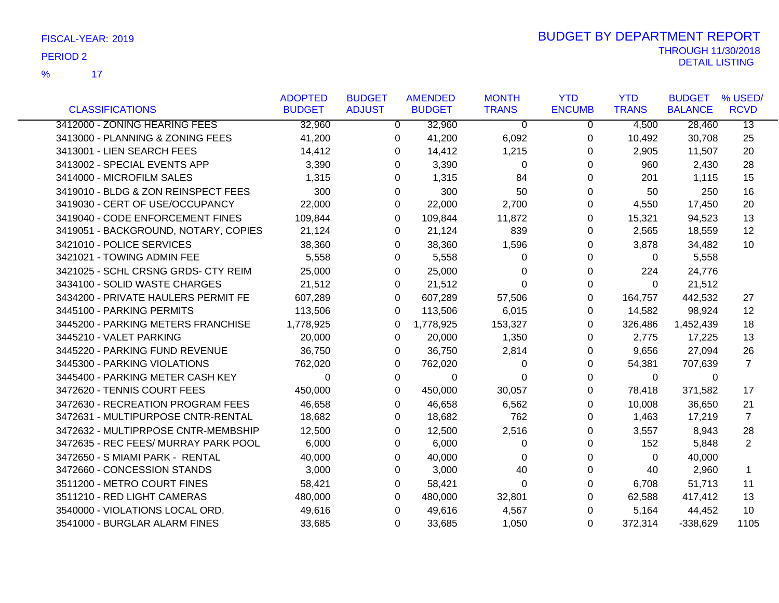$\overline{17}$ %

|                                      | <b>ADOPTED</b> | <b>BUDGET</b> | <b>AMENDED</b> | <b>MONTH</b>   | <b>YTD</b>    | <b>YTD</b>   | <b>BUDGET</b>  | % USED/         |
|--------------------------------------|----------------|---------------|----------------|----------------|---------------|--------------|----------------|-----------------|
| <b>CLASSIFICATIONS</b>               | <b>BUDGET</b>  | <b>ADJUST</b> | <b>BUDGET</b>  | <b>TRANS</b>   | <b>ENCUMB</b> | <b>TRANS</b> | <b>BALANCE</b> | <b>RCVD</b>     |
| 3412000 - ZONING HEARING FEES        | 32,960         | $\mathbf{0}$  | 32,960         | $\overline{0}$ | $\mathbf 0$   | 4,500        | 28,460         | $\overline{13}$ |
| 3413000 - PLANNING & ZONING FEES     | 41,200         | 0             | 41,200         | 6,092          | 0             | 10,492       | 30,708         | 25              |
| 3413001 - LIEN SEARCH FEES           | 14,412         | 0             | 14,412         | 1,215          | 0             | 2,905        | 11,507         | 20              |
| 3413002 - SPECIAL EVENTS APP         | 3,390          | 0             | 3,390          | $\Omega$       | 0             | 960          | 2,430          | 28              |
| 3414000 - MICROFILM SALES            | 1,315          | $\Omega$      | 1,315          | 84             | 0             | 201          | 1,115          | 15              |
| 3419010 - BLDG & ZON REINSPECT FEES  | 300            | $\Omega$      | 300            | 50             | 0             | 50           | 250            | 16              |
| 3419030 - CERT OF USE/OCCUPANCY      | 22,000         | $\Omega$      | 22,000         | 2,700          | 0             | 4,550        | 17,450         | 20              |
| 3419040 - CODE ENFORCEMENT FINES     | 109,844        | $\Omega$      | 109,844        | 11,872         | 0             | 15,321       | 94,523         | 13              |
| 3419051 - BACKGROUND, NOTARY, COPIES | 21,124         | 0             | 21,124         | 839            | 0             | 2,565        | 18,559         | 12              |
| 3421010 - POLICE SERVICES            | 38,360         | 0             | 38,360         | 1,596          | $\Omega$      | 3,878        | 34,482         | 10              |
| 3421021 - TOWING ADMIN FEE           | 5,558          | 0             | 5,558          | $\Omega$       | $\Omega$      | $\Omega$     | 5,558          |                 |
| 3421025 - SCHL CRSNG GRDS- CTY REIM  | 25,000         | $\Omega$      | 25,000         | $\Omega$       | 0             | 224          | 24,776         |                 |
| 3434100 - SOLID WASTE CHARGES        | 21,512         | 0             | 21,512         | $\Omega$       | 0             | $\Omega$     | 21,512         |                 |
| 3434200 - PRIVATE HAULERS PERMIT FE  | 607,289        | 0             | 607,289        | 57,506         | 0             | 164,757      | 442,532        | 27              |
| 3445100 - PARKING PERMITS            | 113,506        | 0             | 113,506        | 6,015          | 0             | 14,582       | 98,924         | 12              |
| 3445200 - PARKING METERS FRANCHISE   | 1,778,925      | $\Omega$      | 1,778,925      | 153,327        | 0             | 326,486      | 1,452,439      | 18              |
| 3445210 - VALET PARKING              | 20,000         | 0             | 20,000         | 1,350          | 0             | 2,775        | 17,225         | 13              |
| 3445220 - PARKING FUND REVENUE       | 36,750         | 0             | 36,750         | 2,814          | 0             | 9,656        | 27,094         | 26              |
| 3445300 - PARKING VIOLATIONS         | 762,020        | 0             | 762,020        | 0              | 0             | 54,381       | 707,639        | $\overline{7}$  |
| 3445400 - PARKING METER CASH KEY     | 0              | 0             | 0              | $\Omega$       | 0             | 0            | 0              |                 |
| 3472620 - TENNIS COURT FEES          | 450,000        | $\Omega$      | 450,000        | 30,057         | 0             | 78,418       | 371,582        | 17              |
| 3472630 - RECREATION PROGRAM FEES    | 46,658         | $\Omega$      | 46,658         | 6,562          | $\Omega$      | 10,008       | 36,650         | 21              |
| 3472631 - MULTIPURPOSE CNTR-RENTAL   | 18,682         | 0             | 18,682         | 762            | 0             | 1,463        | 17,219         | 7               |
| 3472632 - MULTIPRPOSE CNTR-MEMBSHIP  | 12,500         | 0             | 12,500         | 2,516          | 0             | 3,557        | 8,943          | 28              |
| 3472635 - REC FEES/ MURRAY PARK POOL | 6,000          | 0             | 6,000          | 0              | 0             | 152          | 5,848          | $\overline{2}$  |
| 3472650 - S MIAMI PARK - RENTAL      | 40,000         | 0             | 40,000         | $\Omega$       | 0             | $\Omega$     | 40,000         |                 |
| 3472660 - CONCESSION STANDS          | 3,000          | $\Omega$      | 3,000          | 40             | $\Omega$      | 40           | 2,960          | 1               |
| 3511200 - METRO COURT FINES          | 58,421         | 0             | 58,421         | $\mathbf 0$    | 0             | 6,708        | 51,713         | 11              |
| 3511210 - RED LIGHT CAMERAS          | 480,000        | 0             | 480,000        | 32,801         | 0             | 62,588       | 417,412        | 13              |
| 3540000 - VIOLATIONS LOCAL ORD.      | 49,616         | 0             | 49,616         | 4,567          | 0             | 5,164        | 44,452         | 10              |
| 3541000 - BURGLAR ALARM FINES        | 33,685         | 0             | 33,685         | 1,050          | 0             | 372,314      | $-338,629$     | 1105            |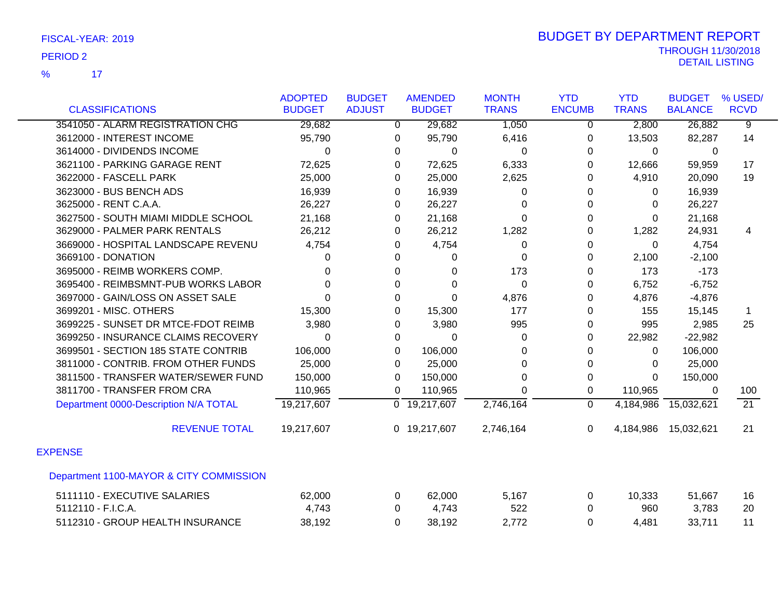|                                         | <b>ADOPTED</b> | <b>BUDGET</b>  | <b>AMENDED</b>            | <b>MONTH</b> | <b>YTD</b>     | <b>YTD</b>   | <b>BUDGET</b>  | % USED/         |
|-----------------------------------------|----------------|----------------|---------------------------|--------------|----------------|--------------|----------------|-----------------|
| <b>CLASSIFICATIONS</b>                  | <b>BUDGET</b>  | <b>ADJUST</b>  | <b>BUDGET</b>             | <b>TRANS</b> | <b>ENCUMB</b>  | <b>TRANS</b> | <b>BALANCE</b> | <b>RCVD</b>     |
| 3541050 - ALARM REGISTRATION CHG        | 29,682         | $\overline{0}$ | 29,682                    | 1,050        | $\overline{0}$ | 2,800        | 26,882         | ॺ               |
| 3612000 - INTEREST INCOME               | 95,790         | 0              | 95,790                    | 6,416        | 0              | 13,503       | 82,287         | 14              |
| 3614000 - DIVIDENDS INCOME              | $\Omega$       | 0              | $\Omega$                  | 0            | 0              | 0            | 0              |                 |
| 3621100 - PARKING GARAGE RENT           | 72,625         | 0              | 72,625                    | 6,333        | 0              | 12,666       | 59,959         | 17              |
| 3622000 - FASCELL PARK                  | 25,000         | 0              | 25,000                    | 2,625        | 0              | 4,910        | 20,090         | 19              |
| 3623000 - BUS BENCH ADS                 | 16,939         | 0              | 16,939                    | 0            | $\Omega$       | 0            | 16,939         |                 |
| 3625000 - RENT C.A.A.                   | 26,227         | 0              | 26,227                    | 0            | $\Omega$       | 0            | 26,227         |                 |
| 3627500 - SOUTH MIAMI MIDDLE SCHOOL     | 21,168         | 0              | 21,168                    | 0            | 0              | 0            | 21,168         |                 |
| 3629000 - PALMER PARK RENTALS           | 26,212         | 0              | 26,212                    | 1,282        | 0              | 1,282        | 24,931         | 4               |
| 3669000 - HOSPITAL LANDSCAPE REVENU     | 4,754          | 0              | 4,754                     | 0            | $\Omega$       | $\mathbf{0}$ | 4,754          |                 |
| 3669100 - DONATION                      | $\Omega$       | 0              | 0                         | 0            | 0              | 2,100        | $-2,100$       |                 |
| 3695000 - REIMB WORKERS COMP.           | $\Omega$       | 0              | 0                         | 173          | 0              | 173          | $-173$         |                 |
| 3695400 - REIMBSMNT-PUB WORKS LABOR     | $\Omega$       | 0              | $\Omega$                  | $\Omega$     | $\Omega$       | 6,752        | $-6,752$       |                 |
| 3697000 - GAIN/LOSS ON ASSET SALE       | $\Omega$       | 0              | $\Omega$                  | 4,876        | $\Omega$       | 4,876        | $-4,876$       |                 |
| 3699201 - MISC. OTHERS                  | 15,300         | 0              | 15,300                    | 177          | 0              | 155          | 15,145         |                 |
| 3699225 - SUNSET DR MTCE-FDOT REIMB     | 3,980          | 0              | 3,980                     | 995          | 0              | 995          | 2,985          | 25              |
| 3699250 - INSURANCE CLAIMS RECOVERY     | $\Omega$       | 0              | $\Omega$                  | 0            | $\Omega$       | 22,982       | $-22,982$      |                 |
| 3699501 - SECTION 185 STATE CONTRIB     | 106,000        | $\Omega$       | 106,000                   | 0            | 0              | 0            | 106,000        |                 |
| 3811000 - CONTRIB. FROM OTHER FUNDS     | 25,000         | 0              | 25,000                    | 0            | 0              | 0            | 25,000         |                 |
| 3811500 - TRANSFER WATER/SEWER FUND     | 150,000        | 0              | 150,000                   | 0            | 0              | $\Omega$     | 150,000        |                 |
| 3811700 - TRANSFER FROM CRA             | 110,965        | $\Omega$       | 110,965                   | 0            | 0              | 110,965      | $\Omega$       | 100             |
| Department 0000-Description N/A TOTAL   | 19,217,607     |                | $\overline{0}$ 19,217,607 | 2,746,164    | $\overline{0}$ | 4,184,986    | 15,032,621     | $\overline{21}$ |
| <b>REVENUE TOTAL</b>                    | 19,217,607     |                | 0 19,217,607              | 2,746,164    | $\mathbf{0}$   | 4,184,986    | 15,032,621     | 21              |
| <b>EXPENSE</b>                          |                |                |                           |              |                |              |                |                 |
| Department 1100-MAYOR & CITY COMMISSION |                |                |                           |              |                |              |                |                 |
| 5111110 - EXECUTIVE SALARIES            | 62,000         | 0              | 62,000                    | 5,167        | 0              | 10,333       | 51,667         | 16              |
| 5112110 - F.I.C.A.                      | 4,743          | 0              | 4,743                     | 522          | 0              | 960          | 3,783          | 20              |
| 5112310 - GROUP HEALTH INSURANCE        | 38,192         | 0              | 38,192                    | 2,772        | $\Omega$       | 4,481        | 33,711         | 11              |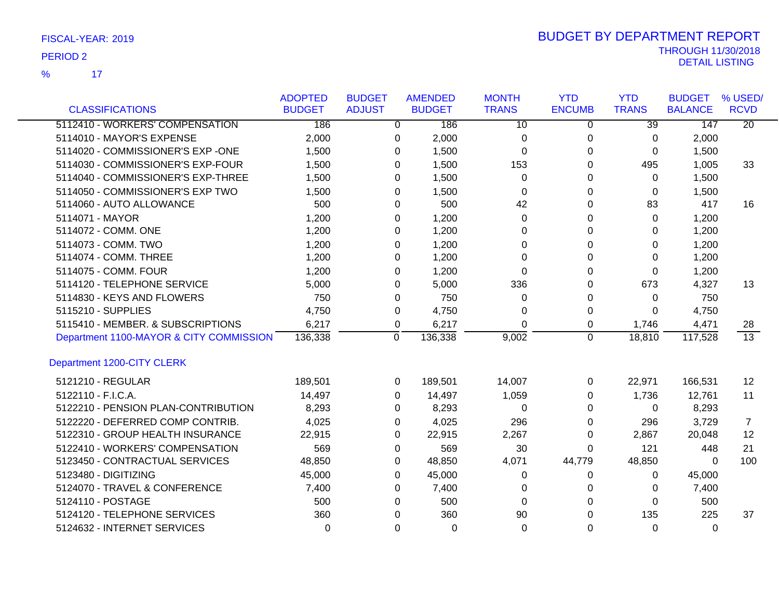|                                         | <b>ADOPTED</b> | <b>BUDGET</b>  | <b>AMENDED</b> | <b>MONTH</b>    | <b>YTD</b>     | <b>YTD</b>      | <b>BUDGET</b>  | % USED/         |
|-----------------------------------------|----------------|----------------|----------------|-----------------|----------------|-----------------|----------------|-----------------|
| <b>CLASSIFICATIONS</b>                  | <b>BUDGET</b>  | <b>ADJUST</b>  | <b>BUDGET</b>  | <b>TRANS</b>    | <b>ENCUMB</b>  | <b>TRANS</b>    | <b>BALANCE</b> | <b>RCVD</b>     |
| 5112410 - WORKERS' COMPENSATION         | 186            | $\overline{0}$ | 186            | $\overline{10}$ | $\overline{0}$ | $\overline{39}$ | 147            | $\overline{20}$ |
| 5114010 - MAYOR'S EXPENSE               | 2,000          | 0              | 2,000          | 0               | $\pmb{0}$      | 0               | 2,000          |                 |
| 5114020 - COMMISSIONER'S EXP -ONE       | 1,500          | $\Omega$       | 1,500          | $\Omega$        | $\Omega$       | 0               | 1,500          |                 |
| 5114030 - COMMISSIONER'S EXP-FOUR       | 1,500          | 0              | 1,500          | 153             | 0              | 495             | 1,005          | 33              |
| 5114040 - COMMISSIONER'S EXP-THREE      | 1,500          | $\Omega$       | 1,500          | 0               | $\Omega$       | 0               | 1,500          |                 |
| 5114050 - COMMISSIONER'S EXP TWO        | 1,500          | 0              | 1,500          | 0               | 0              | 0               | 1,500          |                 |
| 5114060 - AUTO ALLOWANCE                | 500            | $\Omega$       | 500            | 42              | 0              | 83              | 417            | 16              |
| 5114071 - MAYOR                         | 1,200          | $\Omega$       | 1,200          | 0               | 0              | $\Omega$        | 1,200          |                 |
| 5114072 - COMM. ONE                     | 1,200          | 0              | 1,200          | 0               | 0              | 0               | 1,200          |                 |
| 5114073 - COMM. TWO                     | 1,200          | 0              | 1,200          | 0               | 0              | 0               | 1,200          |                 |
| 5114074 - COMM. THREE                   | 1,200          | $\Omega$       | 1,200          | $\Omega$        | 0              | 0               | 1,200          |                 |
| 5114075 - COMM. FOUR                    | 1,200          | $\Omega$       | 1,200          | 0               | 0              | 0               | 1,200          |                 |
| 5114120 - TELEPHONE SERVICE             | 5,000          | 0              | 5,000          | 336             | $\Omega$       | 673             | 4,327          | 13              |
| 5114830 - KEYS AND FLOWERS              | 750            | 0              | 750            | 0               | 0              | 0               | 750            |                 |
| 5115210 - SUPPLIES                      | 4,750          | 0              | 4,750          | 0               | 0              | 0               | 4,750          |                 |
| 5115410 - MEMBER. & SUBSCRIPTIONS       | 6,217          | 0              | 6,217          | $\Omega$        | 0              | 1,746           | 4,471          | 28              |
| Department 1100-MAYOR & CITY COMMISSION | 136,338        | 0              | 136,338        | 9,002           | 0              | 18,810          | 117,528        | $\overline{13}$ |
| Department 1200-CITY CLERK              |                |                |                |                 |                |                 |                |                 |
| 5121210 - REGULAR                       | 189,501        | 0              | 189,501        | 14,007          | 0              | 22,971          | 166,531        | 12              |
| 5122110 - F.I.C.A.                      | 14,497         | $\Omega$       | 14,497         | 1,059           | 0              | 1,736           | 12,761         | 11              |
| 5122210 - PENSION PLAN-CONTRIBUTION     | 8,293          | 0              | 8,293          | 0               | 0              | 0               | 8,293          |                 |
| 5122220 - DEFERRED COMP CONTRIB.        | 4,025          | 0              | 4,025          | 296             | 0              | 296             | 3,729          | 7               |
| 5122310 - GROUP HEALTH INSURANCE        | 22,915         | 0              | 22,915         | 2,267           | 0              | 2,867           | 20,048         | 12              |
| 5122410 - WORKERS' COMPENSATION         | 569            | 0              | 569            | 30              | 0              | 121             | 448            | 21              |
| 5123450 - CONTRACTUAL SERVICES          | 48,850         | 0              | 48,850         | 4,071           | 44,779         | 48,850          | $\Omega$       | 100             |
| 5123480 - DIGITIZING                    | 45,000         | 0              | 45,000         | 0               | 0              | 0               | 45,000         |                 |
| 5124070 - TRAVEL & CONFERENCE           | 7,400          | 0              | 7,400          | 0               | 0              | 0               | 7,400          |                 |
| 5124110 - POSTAGE                       | 500            | 0              | 500            | 0               | 0              | 0               | 500            |                 |
| 5124120 - TELEPHONE SERVICES            | 360            | 0              | 360            | 90              | 0              | 135             | 225            | 37              |
| 5124632 - INTERNET SERVICES             | 0              | $\Omega$       | 0              | 0               | 0              | 0               | $\mathbf{0}$   |                 |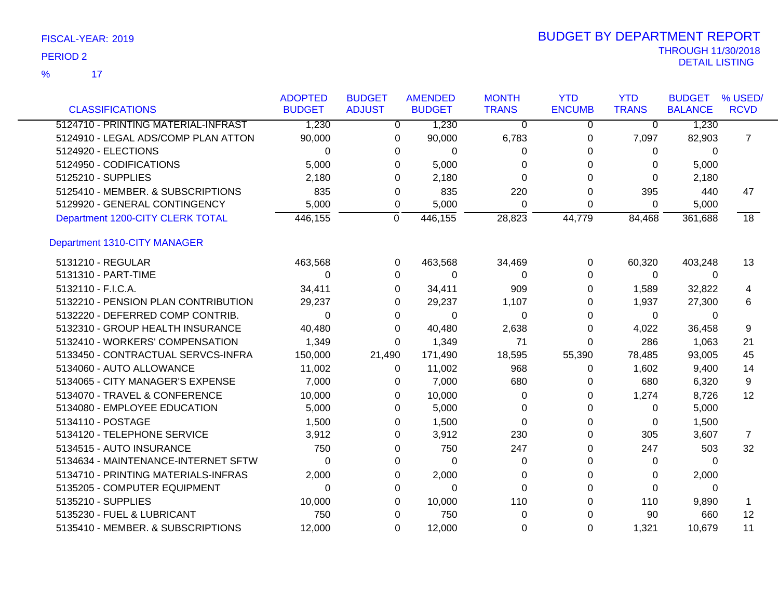| <b>CLASSIFICATIONS</b>              | <b>ADOPTED</b><br><b>BUDGET</b> | <b>BUDGET</b><br><b>ADJUST</b> | <b>AMENDED</b><br><b>BUDGET</b> | <b>MONTH</b><br><b>TRANS</b> | <b>YTD</b><br><b>ENCUMB</b> | <b>YTD</b><br><b>TRANS</b> | <b>BUDGET</b><br><b>BALANCE</b> | % USED/<br><b>RCVD</b> |
|-------------------------------------|---------------------------------|--------------------------------|---------------------------------|------------------------------|-----------------------------|----------------------------|---------------------------------|------------------------|
| 5124710 - PRINTING MATERIAL-INFRAST | 1,230                           | $\mathbf{0}$                   | 1,230                           | 0                            | 0                           | $\overline{0}$             | 1,230                           |                        |
| 5124910 - LEGAL ADS/COMP PLAN ATTON | 90,000                          | 0                              | 90,000                          | 6,783                        | 0                           | 7,097                      | 82,903                          | $\overline{7}$         |
| 5124920 - ELECTIONS                 | 0                               | 0                              | 0                               | 0                            | 0                           | 0                          | 0                               |                        |
| 5124950 - CODIFICATIONS             | 5,000                           | 0                              | 5,000                           | 0                            | 0                           | $\Omega$                   | 5,000                           |                        |
| 5125210 - SUPPLIES                  | 2,180                           | 0                              | 2,180                           | 0                            | 0                           | $\Omega$                   | 2,180                           |                        |
| 5125410 - MEMBER. & SUBSCRIPTIONS   | 835                             | 0                              | 835                             | 220                          | 0                           | 395                        | 440                             | 47                     |
| 5129920 - GENERAL CONTINGENCY       | 5,000                           | 0                              | 5,000                           | $\Omega$                     | 0                           | 0                          | 5,000                           |                        |
| Department 1200-CITY CLERK TOTAL    | 446,155                         | $\mathbf 0$                    | 446,155                         | 28,823                       | 44,779                      | 84,468                     | 361,688                         | $\overline{18}$        |
| Department 1310-CITY MANAGER        |                                 |                                |                                 |                              |                             |                            |                                 |                        |
| 5131210 - REGULAR                   | 463,568                         | 0                              | 463,568                         | 34,469                       | 0                           | 60,320                     | 403,248                         | 13                     |
| 5131310 - PART-TIME                 | $\Omega$                        | 0                              | $\Omega$                        | 0                            | 0                           | 0                          | 0                               |                        |
| 5132110 - F.I.C.A.                  | 34,411                          | 0                              | 34,411                          | 909                          | 0                           | 1,589                      | 32,822                          | 4                      |
| 5132210 - PENSION PLAN CONTRIBUTION | 29,237                          | 0                              | 29,237                          | 1,107                        | 0                           | 1,937                      | 27,300                          | 6                      |
| 5132220 - DEFERRED COMP CONTRIB.    | 0                               | 0                              | 0                               | 0                            | 0                           | $\Omega$                   | 0                               |                        |
| 5132310 - GROUP HEALTH INSURANCE    | 40,480                          | 0                              | 40,480                          | 2,638                        | 0                           | 4,022                      | 36,458                          | 9                      |
| 5132410 - WORKERS' COMPENSATION     | 1,349                           | 0                              | 1,349                           | 71                           | 0                           | 286                        | 1,063                           | 21                     |
| 5133450 - CONTRACTUAL SERVCS-INFRA  | 150,000                         | 21,490                         | 171,490                         | 18,595                       | 55,390                      | 78,485                     | 93,005                          | 45                     |
| 5134060 - AUTO ALLOWANCE            | 11,002                          | 0                              | 11,002                          | 968                          | 0                           | 1,602                      | 9,400                           | 14                     |
| 5134065 - CITY MANAGER'S EXPENSE    | 7,000                           | 0                              | 7,000                           | 680                          | 0                           | 680                        | 6,320                           | 9                      |
| 5134070 - TRAVEL & CONFERENCE       | 10,000                          | 0                              | 10,000                          | 0                            | 0                           | 1,274                      | 8,726                           | 12                     |
| 5134080 - EMPLOYEE EDUCATION        | 5,000                           | 0                              | 5,000                           | 0                            | 0                           | 0                          | 5,000                           |                        |
| 5134110 - POSTAGE                   | 1,500                           | 0                              | 1,500                           | 0                            | 0                           | 0                          | 1,500                           |                        |
| 5134120 - TELEPHONE SERVICE         | 3,912                           | 0                              | 3,912                           | 230                          | 0                           | 305                        | 3,607                           | 7                      |
| 5134515 - AUTO INSURANCE            | 750                             | 0                              | 750                             | 247                          | 0                           | 247                        | 503                             | 32                     |
| 5134634 - MAINTENANCE-INTERNET SFTW | $\Omega$                        | 0                              | $\Omega$                        | 0                            | $\Omega$                    | 0                          | $\Omega$                        |                        |
| 5134710 - PRINTING MATERIALS-INFRAS | 2,000                           | 0                              | 2,000                           | 0                            | 0                           | 0                          | 2,000                           |                        |
| 5135205 - COMPUTER EQUIPMENT        | 0                               | 0                              | $\Omega$                        | $\Omega$                     | 0                           | $\Omega$                   | 0                               |                        |
| 5135210 - SUPPLIES                  | 10,000                          | 0                              | 10,000                          | 110                          | 0                           | 110                        | 9,890                           |                        |
| 5135230 - FUEL & LUBRICANT          | 750                             | $\Omega$                       | 750                             | $\Omega$                     | 0                           | 90                         | 660                             | 12                     |
| 5135410 - MEMBER. & SUBSCRIPTIONS   | 12,000                          | 0                              | 12,000                          | 0                            | $\Omega$                    | 1,321                      | 10,679                          | 11                     |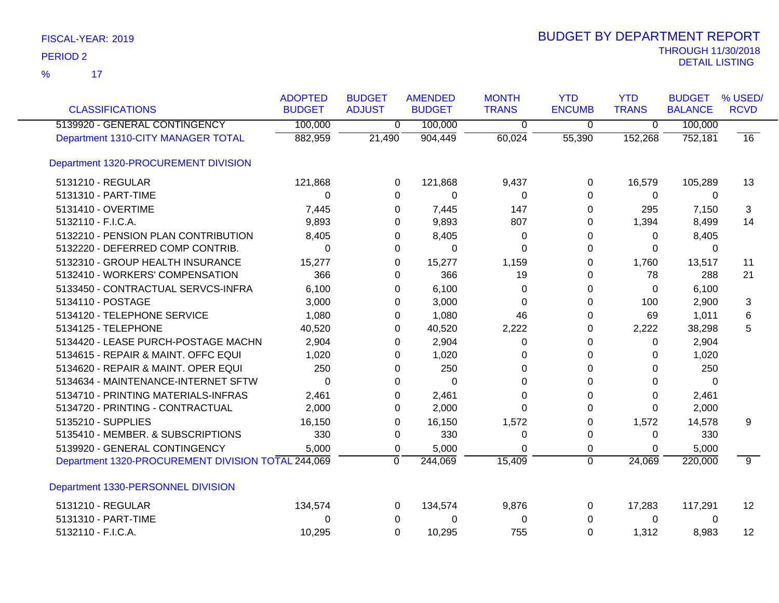| <b>CLASSIFICATIONS</b>                             | <b>ADOPTED</b><br><b>BUDGET</b> | <b>BUDGET</b><br><b>ADJUST</b> | <b>AMENDED</b><br><b>BUDGET</b> | <b>MONTH</b><br><b>TRANS</b> | <b>YTD</b><br><b>ENCUMB</b> | <b>YTD</b><br><b>TRANS</b> | <b>BUDGET</b><br><b>BALANCE</b> | % USED/<br><b>RCVD</b> |
|----------------------------------------------------|---------------------------------|--------------------------------|---------------------------------|------------------------------|-----------------------------|----------------------------|---------------------------------|------------------------|
| 5139920 - GENERAL CONTINGENCY                      | 100,000                         | 0                              | 100,000                         | 0                            | $\mathbf 0$                 | $\overline{0}$             | 100,000                         |                        |
| Department 1310-CITY MANAGER TOTAL                 | 882,959                         | 21,490                         | 904,449                         | 60,024                       | 55,390                      | 152,268                    | 752,181                         | 16                     |
| Department 1320-PROCUREMENT DIVISION               |                                 |                                |                                 |                              |                             |                            |                                 |                        |
| 5131210 - REGULAR                                  | 121,868                         | 0                              | 121,868                         | 9,437                        | 0                           | 16,579                     | 105,289                         | 13                     |
| 5131310 - PART-TIME                                | 0                               | 0                              | $\mathbf 0$                     | 0                            | $\Omega$                    | 0                          | 0                               |                        |
| 5131410 - OVERTIME                                 | 7,445                           | 0                              | 7,445                           | 147                          | 0                           | 295                        | 7,150                           | 3                      |
| 5132110 - F.I.C.A.                                 | 9,893                           | 0                              | 9,893                           | 807                          | 0                           | 1,394                      | 8,499                           | 14                     |
| 5132210 - PENSION PLAN CONTRIBUTION                | 8,405                           | 0                              | 8,405                           | $\Omega$                     | 0                           | $\Omega$                   | 8,405                           |                        |
| 5132220 - DEFERRED COMP CONTRIB.                   | $\Omega$                        | 0                              | 0                               | $\Omega$                     | $\Omega$                    | $\Omega$                   | $\Omega$                        |                        |
| 5132310 - GROUP HEALTH INSURANCE                   | 15,277                          | 0                              | 15,277                          | 1,159                        | $\Omega$                    | 1,760                      | 13,517                          | 11                     |
| 5132410 - WORKERS' COMPENSATION                    | 366                             | 0                              | 366                             | 19                           | 0                           | 78                         | 288                             | 21                     |
| 5133450 - CONTRACTUAL SERVCS-INFRA                 | 6,100                           | 0                              | 6,100                           | 0                            | $\Omega$                    | $\Omega$                   | 6,100                           |                        |
| 5134110 - POSTAGE                                  | 3,000                           | 0                              | 3,000                           | $\Omega$                     | $\Omega$                    | 100                        | 2,900                           | 3                      |
| 5134120 - TELEPHONE SERVICE                        | 1,080                           | 0                              | 1,080                           | 46                           | 0                           | 69                         | 1,011                           | 6                      |
| 5134125 - TELEPHONE                                | 40,520                          | 0                              | 40,520                          | 2,222                        | 0                           | 2,222                      | 38,298                          | 5                      |
| 5134420 - LEASE PURCH-POSTAGE MACHN                | 2,904                           | 0                              | 2,904                           | 0                            | 0                           | $\Omega$                   | 2,904                           |                        |
| 5134615 - REPAIR & MAINT. OFFC EQUI                | 1,020                           | 0                              | 1,020                           | 0                            | $\Omega$                    | $\Omega$                   | 1,020                           |                        |
| 5134620 - REPAIR & MAINT. OPER EQUI                | 250                             | 0                              | 250                             | 0                            | $\Omega$                    | $\Omega$                   | 250                             |                        |
| 5134634 - MAINTENANCE-INTERNET SFTW                | 0                               | $\Omega$                       | $\Omega$                        | 0                            | 0                           | 0                          | $\Omega$                        |                        |
| 5134710 - PRINTING MATERIALS-INFRAS                | 2,461                           | 0                              | 2,461                           | 0                            | 0                           | $\Omega$                   | 2,461                           |                        |
| 5134720 - PRINTING - CONTRACTUAL                   | 2,000                           | 0                              | 2,000                           | $\Omega$                     | $\Omega$                    | $\Omega$                   | 2,000                           |                        |
| 5135210 - SUPPLIES                                 | 16,150                          | 0                              | 16,150                          | 1,572                        | $\Omega$                    | 1,572                      | 14,578                          | 9                      |
| 5135410 - MEMBER. & SUBSCRIPTIONS                  | 330                             | 0                              | 330                             | 0                            | 0                           | 0                          | 330                             |                        |
| 5139920 - GENERAL CONTINGENCY                      | 5,000                           | 0                              | 5,000                           | 0                            | 0                           | 0                          | 5,000                           |                        |
| Department 1320-PROCUREMENT DIVISION TOTAL 244,069 |                                 | $\mathbf 0$                    | 244,069                         | 15,409                       | $\overline{0}$              | 24,069                     | 220,000                         | $\overline{9}$         |
| Department 1330-PERSONNEL DIVISION                 |                                 |                                |                                 |                              |                             |                            |                                 |                        |
| 5131210 - REGULAR                                  | 134,574                         | 0                              | 134,574                         | 9,876                        | $\Omega$                    | 17,283                     | 117,291                         | $12 \overline{ }$      |
| 5131310 - PART-TIME                                | 0                               | 0                              | 0                               | 0                            | 0                           | 0                          | 0                               |                        |
| 5132110 - F.I.C.A.                                 | 10,295                          | $\Omega$                       | 10,295                          | 755                          | $\Omega$                    | 1,312                      | 8,983                           | $12 \overline{ }$      |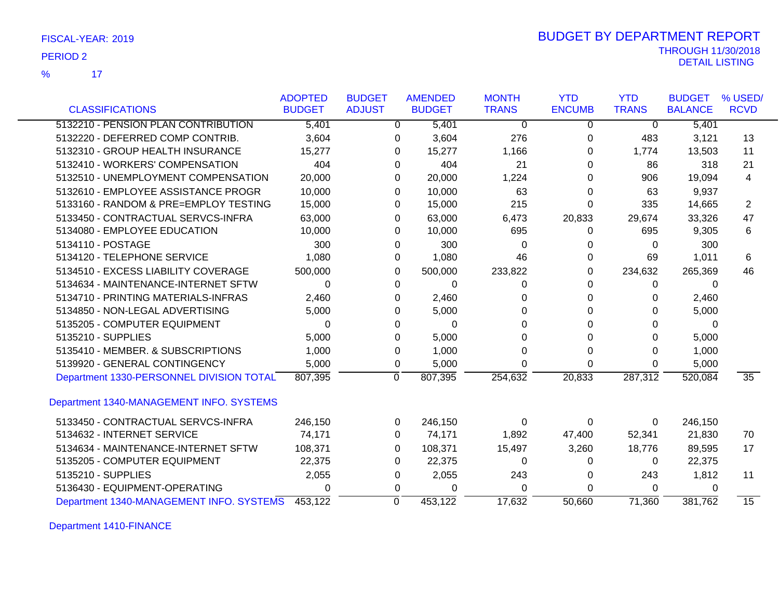| FISCAL-YEAR: 2019 |  |
|-------------------|--|
|-------------------|--|

|                                          | <b>ADOPTED</b> | <b>BUDGET</b> | <b>AMENDED</b> | <b>MONTH</b> | <b>YTD</b>    | <b>YTD</b>   | <b>BUDGET</b>  | % USED/         |
|------------------------------------------|----------------|---------------|----------------|--------------|---------------|--------------|----------------|-----------------|
| <b>CLASSIFICATIONS</b>                   | <b>BUDGET</b>  | <b>ADJUST</b> | <b>BUDGET</b>  | <b>TRANS</b> | <b>ENCUMB</b> | <b>TRANS</b> | <b>BALANCE</b> | <b>RCVD</b>     |
| 5132210 - PENSION PLAN CONTRIBUTION      | 5,401          |               | 5,401<br>0     | 0            | 0             | 0            | 5,401          |                 |
| 5132220 - DEFERRED COMP CONTRIB.         | 3,604          |               | 3,604<br>0     | 276          | 0             | 483          | 3,121          | 13              |
| 5132310 - GROUP HEALTH INSURANCE         | 15,277         |               | 15,277<br>0    | 1,166        | 0             | 1,774        | 13,503         | 11              |
| 5132410 - WORKERS' COMPENSATION          | 404            |               | 0              | 404<br>21    | 0             | 86           | 318            | 21              |
| 5132510 - UNEMPLOYMENT COMPENSATION      | 20,000         |               | 20,000<br>0    | 1,224        | 0             | 906          | 19,094         | 4               |
| 5132610 - EMPLOYEE ASSISTANCE PROGR      | 10,000         |               | 10,000<br>0    | 63           | 0             | 63           | 9,937          |                 |
| 5133160 - RANDOM & PRE=EMPLOY TESTING    | 15,000         |               | 15,000<br>0    | 215          | $\Omega$      | 335          | 14,665         | 2               |
| 5133450 - CONTRACTUAL SERVCS-INFRA       | 63,000         |               | 63,000<br>0    | 6,473        | 20,833        | 29,674       | 33,326         | 47              |
| 5134080 - EMPLOYEE EDUCATION             | 10,000         |               | 10,000<br>0    | 695          | 0             | 695          | 9,305          | 6               |
| 5134110 - POSTAGE                        | 300            |               | 0              | 300<br>0     | 0             | 0            | 300            |                 |
| 5134120 - TELEPHONE SERVICE              | 1,080          |               | 1,080<br>0     | 46           | 0             | 69           | 1,011          | 6               |
| 5134510 - EXCESS LIABILITY COVERAGE      | 500,000        |               | 500,000<br>0   | 233,822      | 0             | 234,632      | 265,369        | 46              |
| 5134634 - MAINTENANCE-INTERNET SFTW      | 0              |               | 0              | 0<br>0       | 0             | 0            | 0              |                 |
| 5134710 - PRINTING MATERIALS-INFRAS      | 2,460          |               | 2,460<br>0     | 0            | 0             | 0            | 2,460          |                 |
| 5134850 - NON-LEGAL ADVERTISING          | 5,000          |               | 5,000<br>0     | 0            | 0             | 0            | 5,000          |                 |
| 5135205 - COMPUTER EQUIPMENT             | 0              |               | 0              | 0<br>0       | 0             | 0            | $\Omega$       |                 |
| 5135210 - SUPPLIES                       | 5,000          |               | 5,000<br>0     | 0            | 0             | 0            | 5,000          |                 |
| 5135410 - MEMBER. & SUBSCRIPTIONS        | 1,000          |               | 1,000<br>0     | 0            | 0             | 0            | 1,000          |                 |
| 5139920 - GENERAL CONTINGENCY            | 5,000          |               | 0<br>5,000     | 0            | $\Omega$      | 0            | 5,000          |                 |
| Department 1330-PERSONNEL DIVISION TOTAL | 807,395        |               | 807,395<br>0   | 254,632      | 20,833        | 287,312      | 520,084        | $\overline{35}$ |
| Department 1340-MANAGEMENT INFO. SYSTEMS |                |               |                |              |               |              |                |                 |
| 5133450 - CONTRACTUAL SERVCS-INFRA       | 246,150        |               | 246,150<br>0   | 0            | 0             | 0            | 246,150        |                 |
| 5134632 - INTERNET SERVICE               | 74,171         |               | 74,171<br>0    | 1,892        | 47,400        | 52,341       | 21,830         | 70              |
| 5134634 - MAINTENANCE-INTERNET SFTW      | 108,371        |               | 0<br>108,371   | 15,497       | 3,260         | 18,776       | 89,595         | 17              |
| 5135205 - COMPUTER EQUIPMENT             | 22,375         |               | 22,375<br>0    | 0            | 0             | 0            | 22,375         |                 |
| 5135210 - SUPPLIES                       | 2,055          |               | 2,055<br>0     | 243          | 0             | 243          | 1,812          | 11              |
| 5136430 - EQUIPMENT-OPERATING            | 0              |               | 0              | 0<br>0       | 0             | 0            | 0              |                 |
| Department 1340-MANAGEMENT INFO. SYSTEMS | 453,122        |               | 453,122<br>0   | 17,632       | 50,660        | 71,360       | 381,762        | $\overline{15}$ |

Department 1410-FINANCE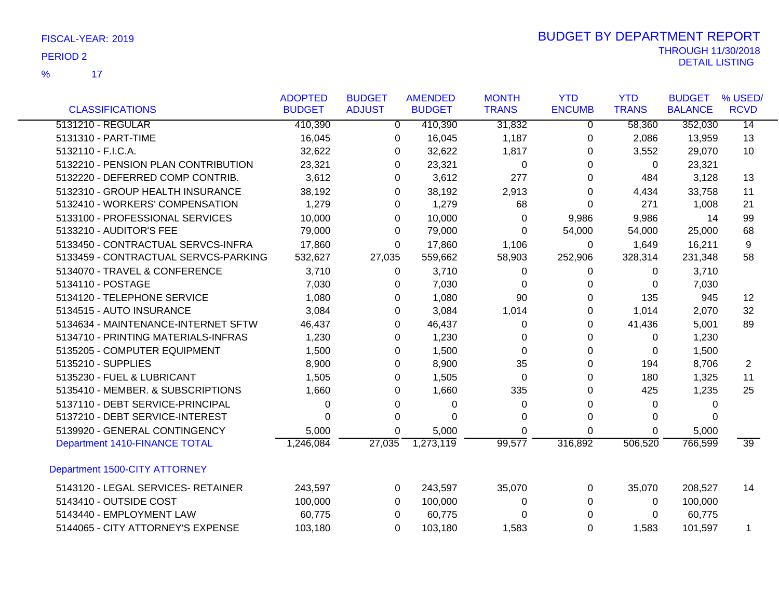|                                      | <b>ADOPTED</b> | <b>BUDGET</b> | <b>AMENDED</b> | <b>MONTH</b> | <b>YTD</b>    | <b>YTD</b>   | <b>BUDGET</b>  | % USED/         |
|--------------------------------------|----------------|---------------|----------------|--------------|---------------|--------------|----------------|-----------------|
| <b>CLASSIFICATIONS</b>               | <b>BUDGET</b>  | <b>ADJUST</b> | <b>BUDGET</b>  | <b>TRANS</b> | <b>ENCUMB</b> | <b>TRANS</b> | <b>BALANCE</b> | <b>RCVD</b>     |
| 5131210 - REGULAR                    | 410,390        | 0             | 410,390        | 31,832       | 0             | 58,360       | 352,030        | $\overline{14}$ |
| 5131310 - PART-TIME                  | 16,045         | 0             | 16,045         | 1,187        | 0             | 2,086        | 13,959         | 13              |
| 5132110 - F.I.C.A.                   | 32,622         | 0             | 32,622         | 1,817        | 0             | 3,552        | 29,070         | 10              |
| 5132210 - PENSION PLAN CONTRIBUTION  | 23,321         | 0             | 23,321         | 0            | 0             | 0            | 23,321         |                 |
| 5132220 - DEFERRED COMP CONTRIB.     | 3,612          | 0             | 3,612          | 277          | 0             | 484          | 3,128          | 13              |
| 5132310 - GROUP HEALTH INSURANCE     | 38,192         | 0             | 38,192         | 2,913        | 0             | 4,434        | 33,758         | 11              |
| 5132410 - WORKERS' COMPENSATION      | 1,279          | 0             | 1,279          | 68           | 0             | 271          | 1,008          | 21              |
| 5133100 - PROFESSIONAL SERVICES      | 10,000         | 0             | 10,000         | 0            | 9,986         | 9,986        | 14             | 99              |
| 5133210 - AUDITOR'S FEE              | 79,000         | 0             | 79,000         | $\Omega$     | 54,000        | 54,000       | 25,000         | 68              |
| 5133450 - CONTRACTUAL SERVCS-INFRA   | 17,860         | 0             | 17,860         | 1,106        | 0             | 1,649        | 16,211         | 9               |
| 5133459 - CONTRACTUAL SERVCS-PARKING | 532,627        | 27,035        | 559,662        | 58,903       | 252,906       | 328,314      | 231,348        | 58              |
| 5134070 - TRAVEL & CONFERENCE        | 3,710          | $\Omega$      | 3,710          | 0            | 0             | 0            | 3,710          |                 |
| 5134110 - POSTAGE                    | 7,030          | 0             | 7,030          | $\Omega$     | 0             | 0            | 7,030          |                 |
| 5134120 - TELEPHONE SERVICE          | 1,080          | 0             | 1,080          | 90           | 0             | 135          | 945            | 12              |
| 5134515 - AUTO INSURANCE             | 3,084          | 0             | 3,084          | 1,014        | 0             | 1,014        | 2,070          | 32              |
| 5134634 - MAINTENANCE-INTERNET SFTW  | 46,437         | 0             | 46,437         | 0            | 0             | 41,436       | 5,001          | 89              |
| 5134710 - PRINTING MATERIALS-INFRAS  | 1,230          | 0             | 1,230          | 0            | 0             | 0            | 1,230          |                 |
| 5135205 - COMPUTER EQUIPMENT         | 1,500          | 0             | 1,500          | 0            | 0             | 0            | 1,500          |                 |
| 5135210 - SUPPLIES                   | 8,900          | 0             | 8,900          | 35           | 0             | 194          | 8,706          | $\overline{2}$  |
| 5135230 - FUEL & LUBRICANT           | 1,505          | 0             | 1,505          | 0            | 0             | 180          | 1,325          | 11              |
| 5135410 - MEMBER. & SUBSCRIPTIONS    | 1,660          | 0             | 1,660          | 335          | 0             | 425          | 1,235          | 25              |
| 5137110 - DEBT SERVICE-PRINCIPAL     | 0              | 0             | 0              | 0            | 0             | 0            | 0              |                 |
| 5137210 - DEBT SERVICE-INTEREST      | 0              | 0             | $\Omega$       | 0            | 0             | 0            | 0              |                 |
| 5139920 - GENERAL CONTINGENCY        | 5,000          | 0             | 5,000          | 0            | $\Omega$      | 0            | 5,000          |                 |
| Department 1410-FINANCE TOTAL        | 1,246,084      | 27,035        | 1,273,119      | 99,577       | 316,892       | 506,520      | 766,599        | $\overline{39}$ |
| Department 1500-CITY ATTORNEY        |                |               |                |              |               |              |                |                 |
| 5143120 - LEGAL SERVICES- RETAINER   | 243,597        | $\Omega$      | 243,597        | 35,070       | 0             | 35,070       | 208,527        | 14              |
| 5143410 - OUTSIDE COST               | 100,000        | $\Omega$      | 100,000        | 0            | 0             | 0            | 100,000        |                 |
| 5143440 - EMPLOYMENT LAW             | 60,775         | $\Omega$      | 60,775         | 0            | $\Omega$      | 0            | 60,775         |                 |
| 5144065 - CITY ATTORNEY'S EXPENSE    | 103,180        | 0             | 103,180        | 1,583        | $\Omega$      | 1,583        | 101,597        |                 |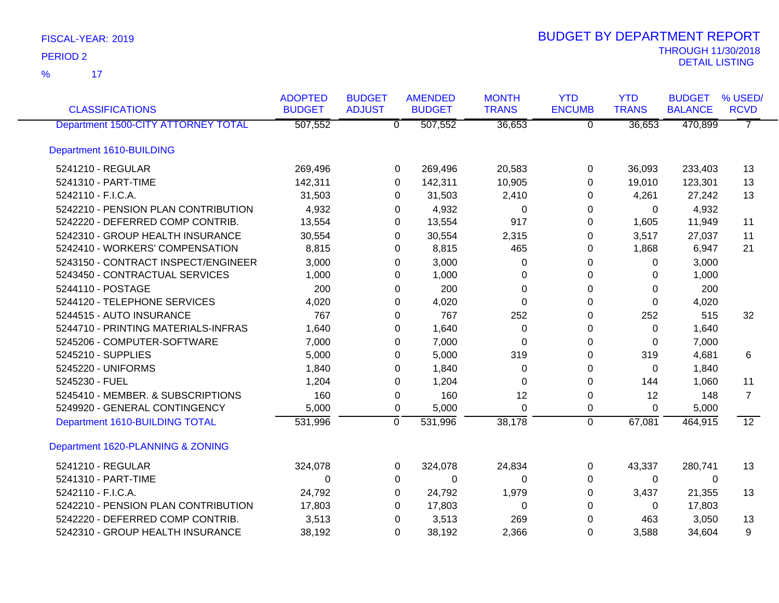| <b>CLASSIFICATIONS</b>              | <b>ADOPTED</b><br><b>BUDGET</b> | <b>BUDGET</b><br><b>ADJUST</b> | <b>AMENDED</b><br><b>BUDGET</b> | <b>MONTH</b><br><b>TRANS</b> | <b>YTD</b><br><b>ENCUMB</b> | <b>YTD</b><br><b>TRANS</b> | <b>BUDGET</b><br><b>BALANCE</b> | % USED/<br><b>RCVD</b> |
|-------------------------------------|---------------------------------|--------------------------------|---------------------------------|------------------------------|-----------------------------|----------------------------|---------------------------------|------------------------|
| Department 1500-CITY ATTORNEY TOTAL | 507,552                         | $\overline{0}$                 | 507,552                         | 36,653                       | $\overline{0}$              | 36,653                     | 470,899                         | $\overline{7}$         |
| Department 1610-BUILDING            |                                 |                                |                                 |                              |                             |                            |                                 |                        |
| 5241210 - REGULAR                   | 269,496                         | 0                              | 269,496                         | 20,583                       | 0                           | 36,093                     | 233,403                         | 13                     |
| 5241310 - PART-TIME                 | 142,311                         | $\Omega$                       | 142,311                         | 10,905                       | 0                           | 19,010                     | 123,301                         | 13                     |
| 5242110 - F.I.C.A.                  | 31,503                          | 0                              | 31,503                          | 2,410                        | 0                           | 4,261                      | 27,242                          | 13                     |
| 5242210 - PENSION PLAN CONTRIBUTION | 4,932                           | 0                              | 4,932                           | 0                            | 0                           | 0                          | 4,932                           |                        |
| 5242220 - DEFERRED COMP CONTRIB.    | 13,554                          | 0                              | 13,554                          | 917                          | 0                           | 1,605                      | 11,949                          | 11                     |
| 5242310 - GROUP HEALTH INSURANCE    | 30,554                          | 0                              | 30,554                          | 2,315                        | 0                           | 3,517                      | 27,037                          | 11                     |
| 5242410 - WORKERS' COMPENSATION     | 8,815                           | 0                              | 8,815                           | 465                          | 0                           | 1,868                      | 6,947                           | 21                     |
| 5243150 - CONTRACT INSPECT/ENGINEER | 3,000                           | 0                              | 3,000                           | 0                            | 0                           | 0                          | 3,000                           |                        |
| 5243450 - CONTRACTUAL SERVICES      | 1,000                           | 0                              | 1,000                           | $\Omega$                     | 0                           | 0                          | 1,000                           |                        |
| 5244110 - POSTAGE                   | 200                             | 0                              | 200                             | $\Omega$                     | 0                           | 0                          | 200                             |                        |
| 5244120 - TELEPHONE SERVICES        | 4,020                           | 0                              | 4,020                           | $\Omega$                     | 0                           | 0                          | 4,020                           |                        |
| 5244515 - AUTO INSURANCE            | 767                             | 0                              | 767                             | 252                          | 0                           | 252                        | 515                             | 32                     |
| 5244710 - PRINTING MATERIALS-INFRAS | 1,640                           | 0                              | 1,640                           | 0                            | 0                           | 0                          | 1,640                           |                        |
| 5245206 - COMPUTER-SOFTWARE         | 7,000                           | 0                              | 7,000                           | 0                            | 0                           | 0                          | 7,000                           |                        |
| 5245210 - SUPPLIES                  | 5,000                           | 0                              | 5,000                           | 319                          | 0                           | 319                        | 4,681                           | 6                      |
| 5245220 - UNIFORMS                  | 1,840                           | 0                              | 1,840                           | 0                            | 0                           | 0                          | 1,840                           |                        |
| 5245230 - FUEL                      | 1,204                           | 0                              | 1,204                           | $\Omega$                     | 0                           | 144                        | 1,060                           | 11                     |
| 5245410 - MEMBER. & SUBSCRIPTIONS   | 160                             | 0                              | 160                             | 12                           | 0                           | 12                         | 148                             | $\overline{7}$         |
| 5249920 - GENERAL CONTINGENCY       | 5,000                           | 0                              | 5,000                           | $\Omega$                     | 0                           | $\Omega$                   | 5,000                           |                        |
| Department 1610-BUILDING TOTAL      | 531,996                         | $\overline{0}$                 | 531,996                         | 38,178                       | $\overline{0}$              | 67,081                     | 464,915                         | $\overline{12}$        |
| Department 1620-PLANNING & ZONING   |                                 |                                |                                 |                              |                             |                            |                                 |                        |
| 5241210 - REGULAR                   | 324,078                         | 0                              | 324,078                         | 24,834                       | 0                           | 43,337                     | 280,741                         | 13                     |
| 5241310 - PART-TIME                 | $\Omega$                        | 0                              | $\Omega$                        | $\Omega$                     | 0                           | $\Omega$                   | $\Omega$                        |                        |
| 5242110 - F.I.C.A.                  | 24,792                          | 0                              | 24,792                          | 1,979                        | 0                           | 3,437                      | 21,355                          | 13                     |
| 5242210 - PENSION PLAN CONTRIBUTION | 17,803                          | 0                              | 17,803                          | 0                            | 0                           | 0                          | 17,803                          |                        |
| 5242220 - DEFERRED COMP CONTRIB.    | 3,513                           | 0                              | 3,513                           | 269                          | 0                           | 463                        | 3,050                           | 13                     |
| 5242310 - GROUP HEALTH INSURANCE    | 38,192                          | 0                              | 38,192                          | 2,366                        | $\Omega$                    | 3,588                      | 34,604                          | 9                      |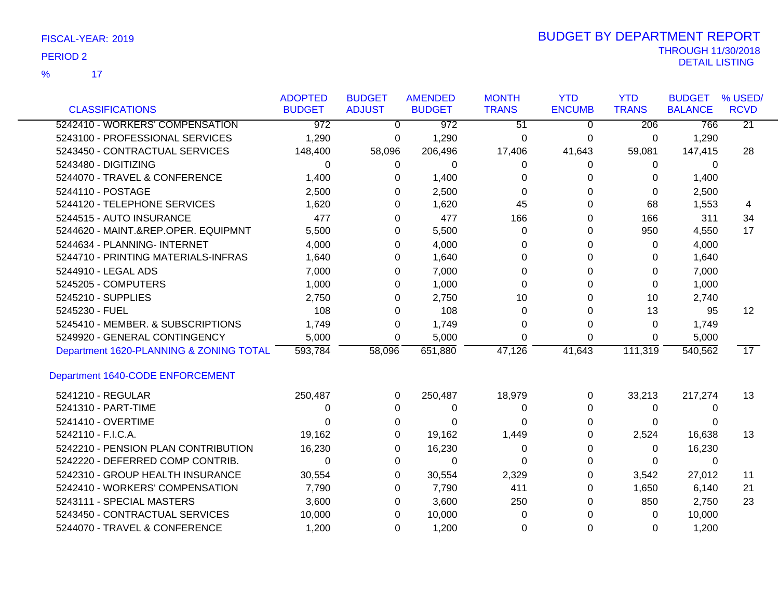17 **17** %

| <b>CLASSIFICATIONS</b>                  | <b>ADOPTED</b><br><b>BUDGET</b> | <b>BUDGET</b><br><b>ADJUST</b> | <b>AMENDED</b><br><b>BUDGET</b> | <b>MONTH</b><br><b>TRANS</b> | <b>YTD</b><br><b>ENCUMB</b> | <b>YTD</b><br><b>TRANS</b> | <b>BUDGET</b><br><b>BALANCE</b> | % USED/<br><b>RCVD</b> |
|-----------------------------------------|---------------------------------|--------------------------------|---------------------------------|------------------------------|-----------------------------|----------------------------|---------------------------------|------------------------|
| 5242410 - WORKERS' COMPENSATION         | $\overline{972}$                | $\overline{0}$                 | $\overline{972}$                | $\overline{51}$              | $\Omega$                    | 206                        | 766                             | $\overline{21}$        |
| 5243100 - PROFESSIONAL SERVICES         | 1,290                           | 0                              | 1,290                           | 0                            | 0                           | 0                          | 1,290                           |                        |
| 5243450 - CONTRACTUAL SERVICES          | 148,400                         | 58,096                         | 206,496                         | 17,406                       | 41,643                      | 59,081                     | 147,415                         | 28                     |
| 5243480 - DIGITIZING                    | 0                               | 0                              | 0                               | 0                            | 0                           | 0                          | 0                               |                        |
| 5244070 - TRAVEL & CONFERENCE           | 1,400                           | 0                              | 1,400                           | 0                            | 0                           | 0                          | 1,400                           |                        |
| 5244110 - POSTAGE                       | 2,500                           | 0                              | 2,500                           | 0                            | 0                           | 0                          | 2,500                           |                        |
| 5244120 - TELEPHONE SERVICES            | 1,620                           | 0                              | 1,620                           | 45                           | 0                           | 68                         | 1,553                           | 4                      |
| 5244515 - AUTO INSURANCE                | 477                             | $\Omega$                       | 477                             | 166                          | $\Omega$                    | 166                        | 311                             | 34                     |
| 5244620 - MAINT.&REP.OPER. EQUIPMNT     | 5,500                           | $\Omega$                       | 5,500                           | $\Omega$                     | 0                           | 950                        | 4,550                           | 17                     |
| 5244634 - PLANNING- INTERNET            | 4,000                           | 0                              | 4,000                           | 0                            | 0                           | 0                          | 4,000                           |                        |
| 5244710 - PRINTING MATERIALS-INFRAS     | 1,640                           | 0                              | 1,640                           | 0                            | 0                           | 0                          | 1,640                           |                        |
| 5244910 - LEGAL ADS                     | 7,000                           | 0                              | 7,000                           | $\Omega$                     | 0                           | 0                          | 7,000                           |                        |
| 5245205 - COMPUTERS                     | 1,000                           | 0                              | 1,000                           | 0                            | 0                           | 0                          | 1,000                           |                        |
| 5245210 - SUPPLIES                      | 2,750                           | 0                              | 2,750                           | 10                           | 0                           | 10                         | 2,740                           |                        |
| 5245230 - FUEL                          | 108                             | 0                              | 108                             | 0                            | 0                           | 13                         | 95                              | 12 <sup>2</sup>        |
| 5245410 - MEMBER. & SUBSCRIPTIONS       | 1,749                           | $\Omega$                       | 1,749                           | 0                            | 0                           | $\Omega$                   | 1,749                           |                        |
| 5249920 - GENERAL CONTINGENCY           | 5,000                           | $\Omega$                       | 5,000                           | 0                            | $\Omega$                    | $\Omega$                   | 5,000                           |                        |
| Department 1620-PLANNING & ZONING TOTAL | 593,784                         | 58,096                         | 651,880                         | 47,126                       | 41,643                      | 111,319                    | 540,562                         | $\overline{17}$        |
| Department 1640-CODE ENFORCEMENT        |                                 |                                |                                 |                              |                             |                            |                                 |                        |
| 5241210 - REGULAR                       | 250,487                         | 0                              | 250,487                         | 18,979                       | 0                           | 33,213                     | 217,274                         | 13                     |
| 5241310 - PART-TIME                     | 0                               | 0                              | 0                               | 0                            | 0                           | 0                          | 0                               |                        |
| 5241410 - OVERTIME                      | 0                               | 0                              | 0                               | 0                            | 0                           | 0                          | 0                               |                        |
| 5242110 - F.I.C.A.                      | 19,162                          | 0                              | 19,162                          | 1,449                        | 0                           | 2,524                      | 16,638                          | 13                     |
| 5242210 - PENSION PLAN CONTRIBUTION     | 16,230                          | $\Omega$                       | 16,230                          | $\Omega$                     | 0                           | 0                          | 16,230                          |                        |
| 5242220 - DEFERRED COMP CONTRIB.        | $\Omega$                        | 0                              | $\Omega$                        | 0                            | 0                           | 0                          | $\mathbf{0}$                    |                        |
| 5242310 - GROUP HEALTH INSURANCE        | 30,554                          | 0                              | 30,554                          | 2,329                        | 0                           | 3,542                      | 27,012                          | 11                     |
| 5242410 - WORKERS' COMPENSATION         | 7,790                           | 0                              | 7,790                           | 411                          | 0                           | 1,650                      | 6,140                           | 21                     |
| 5243111 - SPECIAL MASTERS               | 3,600                           | 0                              | 3,600                           | 250                          | 0                           | 850                        | 2,750                           | 23                     |
| 5243450 - CONTRACTUAL SERVICES          | 10,000                          | 0                              | 10,000                          | 0                            | 0                           | 0                          | 10,000                          |                        |
| 5244070 - TRAVEL & CONFERENCE           | 1,200                           | 0                              | 1,200                           | 0                            | 0                           | 0                          | 1,200                           |                        |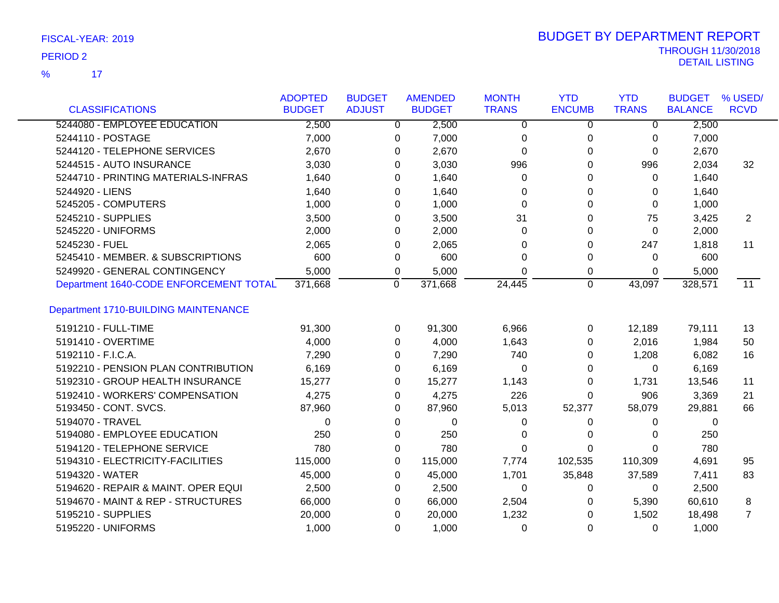17 %

|                                        | <b>ADOPTED</b> | <b>BUDGET</b> | <b>AMENDED</b>        | <b>MONTH</b> | <b>YTD</b>    | <b>YTD</b>   | <b>BUDGET</b>  | % USED/         |
|----------------------------------------|----------------|---------------|-----------------------|--------------|---------------|--------------|----------------|-----------------|
| <b>CLASSIFICATIONS</b>                 | <b>BUDGET</b>  | <b>ADJUST</b> | <b>BUDGET</b>         | <b>TRANS</b> | <b>ENCUMB</b> | <b>TRANS</b> | <b>BALANCE</b> | <b>RCVD</b>     |
| 5244080 - EMPLOYEE EDUCATION           | 2,500          |               | 2,500<br>$\mathbf{0}$ | $\Omega$     | 0             | $\Omega$     | 2,500          |                 |
| 5244110 - POSTAGE                      | 7,000          | 0             | 7,000                 | 0            | 0             | 0            | 7,000          |                 |
| 5244120 - TELEPHONE SERVICES           | 2,670          | 0             | 2,670                 | $\Omega$     | 0             | 0            | 2,670          |                 |
| 5244515 - AUTO INSURANCE               | 3,030          |               | 3,030<br>0            | 996          | 0             | 996          | 2,034          | 32              |
| 5244710 - PRINTING MATERIALS-INFRAS    | 1,640          |               | 0<br>1,640            | 0            | 0             | 0            | 1,640          |                 |
| 5244920 - LIENS                        | 1,640          | 0             | 1,640                 | 0            | 0             | 0            | 1,640          |                 |
| 5245205 - COMPUTERS                    | 1,000          | 0             | 1,000                 | $\Omega$     | 0             | 0            | 1,000          |                 |
| 5245210 - SUPPLIES                     | 3,500          |               | 3,500<br>0            | 31           | 0             | 75           | 3,425          | $\overline{2}$  |
| 5245220 - UNIFORMS                     | 2,000          | 0             | 2,000                 | 0            | 0             | 0            | 2,000          |                 |
| 5245230 - FUEL                         | 2,065          | 0             | 2,065                 | 0            | 0             | 247          | 1,818          | 11              |
| 5245410 - MEMBER. & SUBSCRIPTIONS      | 600            | 0             | 600                   | $\Omega$     | 0             | 0            | 600            |                 |
| 5249920 - GENERAL CONTINGENCY          | 5,000          | 0             | 5,000                 | 0            | 0             | 0            | 5,000          |                 |
| Department 1640-CODE ENFORCEMENT TOTAL | 371,668        | 0             | 371,668               | 24,445       | 0             | 43,097       | 328,571        | $\overline{11}$ |
| Department 1710-BUILDING MAINTENANCE   |                |               |                       |              |               |              |                |                 |
| 5191210 - FULL-TIME                    | 91,300         | 0             | 91,300                | 6,966        | 0             | 12,189       | 79,111         | 13              |
| 5191410 - OVERTIME                     | 4,000          | 0             | 4,000                 | 1,643        | 0             | 2,016        | 1,984          | 50              |
| 5192110 - F.I.C.A.                     | 7,290          |               | 7,290<br>0            | 740          | 0             | 1,208        | 6,082          | 16              |
| 5192210 - PENSION PLAN CONTRIBUTION    | 6,169          | 0             | 6,169                 | 0            | 0             | 0            | 6,169          |                 |
| 5192310 - GROUP HEALTH INSURANCE       | 15,277         | 0             | 15,277                | 1,143        | 0             | 1,731        | 13,546         | 11              |
| 5192410 - WORKERS' COMPENSATION        | 4,275          | 0             | 4,275                 | 226          | 0             | 906          | 3,369          | 21              |
| 5193450 - CONT. SVCS.                  | 87,960         | 0             | 87,960                | 5,013        | 52,377        | 58,079       | 29,881         | 66              |
| 5194070 - TRAVEL                       | 0              | 0             | 0                     | 0            | 0             | 0            | 0              |                 |
| 5194080 - EMPLOYEE EDUCATION           | 250            | 0             | 250                   | 0            | 0             | 0            | 250            |                 |
| 5194120 - TELEPHONE SERVICE            | 780            | 0             | 780                   | $\Omega$     | 0             | 0            | 780            |                 |
| 5194310 - ELECTRICITY-FACILITIES       | 115,000        | 0             | 115,000               | 7,774        | 102,535       | 110,309      | 4,691          | 95              |
| 5194320 - WATER                        | 45,000         | 0             | 45,000                | 1,701        | 35,848        | 37,589       | 7,411          | 83              |
| 5194620 - REPAIR & MAINT. OPER EQUI    | 2,500          | 0             | 2,500                 | 0            | 0             | 0            | 2,500          |                 |
| 5194670 - MAINT & REP - STRUCTURES     | 66,000         |               | 66,000<br>0           | 2,504        | 0             | 5,390        | 60,610         | 8               |
| 5195210 - SUPPLIES                     | 20,000         |               | 0<br>20,000           | 1,232        | 0             | 1,502        | 18,498         | $\overline{7}$  |
| 5195220 - UNIFORMS                     | 1,000          | $\Omega$      | 1,000                 | 0            | 0             | 0            | 1,000          |                 |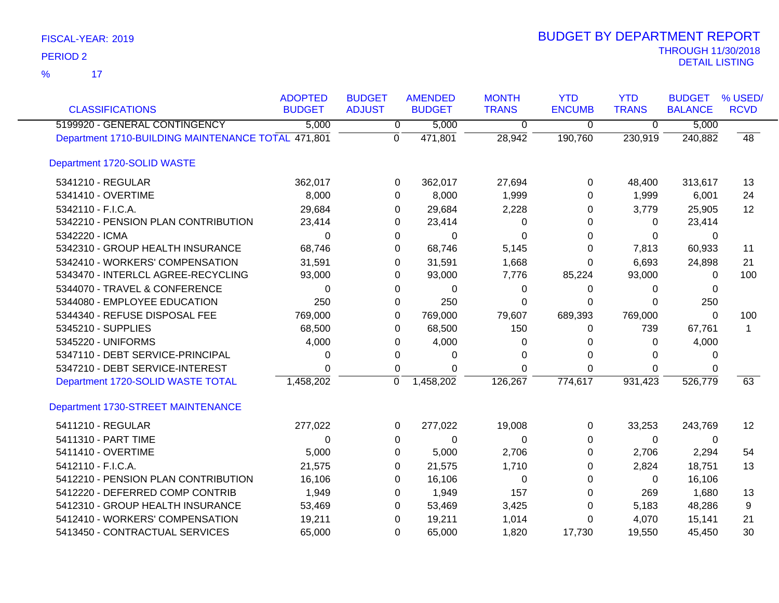| <b>CLASSIFICATIONS</b>                             | <b>ADOPTED</b><br><b>BUDGET</b> | <b>BUDGET</b><br><b>ADJUST</b> | <b>AMENDED</b><br><b>BUDGET</b> | <b>MONTH</b><br><b>TRANS</b> | <b>YTD</b><br><b>ENCUMB</b> | <b>YTD</b><br><b>TRANS</b> | <b>BUDGET</b><br><b>BALANCE</b> | % USED/<br><b>RCVD</b> |
|----------------------------------------------------|---------------------------------|--------------------------------|---------------------------------|------------------------------|-----------------------------|----------------------------|---------------------------------|------------------------|
| 5199920 - GENERAL CONTINGENCY                      | 5,000                           | 0                              | 5,000                           | 0                            | $\mathbf 0$                 | $\overline{0}$             | 5,000                           |                        |
| Department 1710-BUILDING MAINTENANCE TOTAL 471,801 |                                 | $\mathbf 0$                    | 471,801                         | 28,942                       | 190,760                     | 230,919                    | 240,882                         | $\overline{48}$        |
| Department 1720-SOLID WASTE                        |                                 |                                |                                 |                              |                             |                            |                                 |                        |
| 5341210 - REGULAR                                  | 362,017                         | 0                              | 362,017                         | 27,694                       | 0                           | 48,400                     | 313,617                         | 13                     |
| 5341410 - OVERTIME                                 | 8,000                           | 0                              | 8,000                           | 1,999                        | $\Omega$                    | 1,999                      | 6,001                           | 24                     |
| 5342110 - F.I.C.A.                                 | 29,684                          | 0                              | 29,684                          | 2,228                        | 0                           | 3,779                      | 25,905                          | 12                     |
| 5342210 - PENSION PLAN CONTRIBUTION                | 23,414                          | 0                              | 23,414                          | 0                            | 0                           | $\Omega$                   | 23,414                          |                        |
| 5342220 - ICMA                                     | 0                               | 0                              | 0                               | 0                            | $\Omega$                    | $\mathbf{0}$               | 0                               |                        |
| 5342310 - GROUP HEALTH INSURANCE                   | 68,746                          | 0                              | 68,746                          | 5,145                        | 0                           | 7,813                      | 60,933                          | 11                     |
| 5342410 - WORKERS' COMPENSATION                    | 31,591                          | 0                              | 31,591                          | 1,668                        | $\Omega$                    | 6,693                      | 24,898                          | 21                     |
| 5343470 - INTERLCL AGREE-RECYCLING                 | 93,000                          | 0                              | 93,000                          | 7,776                        | 85,224                      | 93,000                     | $\Omega$                        | 100                    |
| 5344070 - TRAVEL & CONFERENCE                      | $\Omega$                        | 0                              | $\Omega$                        | 0                            | $\Omega$                    | $\Omega$                   | $\Omega$                        |                        |
| 5344080 - EMPLOYEE EDUCATION                       | 250                             | 0                              | 250                             | 0                            | $\Omega$                    | $\Omega$                   | 250                             |                        |
| 5344340 - REFUSE DISPOSAL FEE                      | 769,000                         | 0                              | 769,000                         | 79,607                       | 689,393                     | 769,000                    | $\Omega$                        | 100                    |
| 5345210 - SUPPLIES                                 | 68,500                          | 0                              | 68,500                          | 150                          | 0                           | 739                        | 67,761                          | 1                      |
| 5345220 - UNIFORMS                                 | 4,000                           | 0                              | 4,000                           | 0                            | 0                           | $\mathbf{0}$               | 4,000                           |                        |
| 5347110 - DEBT SERVICE-PRINCIPAL                   | 0                               | 0                              | 0                               | 0                            | $\Omega$                    | $\Omega$                   | $\Omega$                        |                        |
| 5347210 - DEBT SERVICE-INTEREST                    | 0                               | 0                              | $\Omega$                        | 0                            | $\Omega$                    | $\mathbf{0}$               | $\Omega$                        |                        |
| Department 1720-SOLID WASTE TOTAL                  | 1,458,202                       | $\mathbf 0$                    | 1,458,202                       | 126,267                      | 774,617                     | 931,423                    | 526,779                         | 63                     |
| Department 1730-STREET MAINTENANCE                 |                                 |                                |                                 |                              |                             |                            |                                 |                        |
| 5411210 - REGULAR                                  | 277,022                         | 0                              | 277,022                         | 19,008                       | 0                           | 33,253                     | 243,769                         | $12 \,$                |
| 5411310 - PART TIME                                | $\Omega$                        | 0                              | $\Omega$                        | $\Omega$                     | $\Omega$                    | $\mathbf{0}$               | $\mathbf{0}$                    |                        |
| 5411410 - OVERTIME                                 | 5,000                           | 0                              | 5,000                           | 2,706                        | 0                           | 2,706                      | 2,294                           | 54                     |
| 5412110 - F.I.C.A.                                 | 21,575                          | 0                              | 21,575                          | 1,710                        | $\Omega$                    | 2,824                      | 18,751                          | 13                     |
| 5412210 - PENSION PLAN CONTRIBUTION                | 16,106                          | 0                              | 16,106                          | 0                            | $\Omega$                    | $\mathbf 0$                | 16,106                          |                        |
| 5412220 - DEFERRED COMP CONTRIB                    | 1,949                           | 0                              | 1,949                           | 157                          | 0                           | 269                        | 1,680                           | 13                     |
| 5412310 - GROUP HEALTH INSURANCE                   | 53,469                          | 0                              | 53,469                          | 3,425                        | 0                           | 5,183                      | 48,286                          | 9                      |
| 5412410 - WORKERS' COMPENSATION                    | 19,211                          | 0                              | 19,211                          | 1,014                        | 0                           | 4,070                      | 15,141                          | 21                     |
| 5413450 - CONTRACTUAL SERVICES                     | 65,000                          | $\Omega$                       | 65,000                          | 1,820                        | 17,730                      | 19,550                     | 45,450                          | 30                     |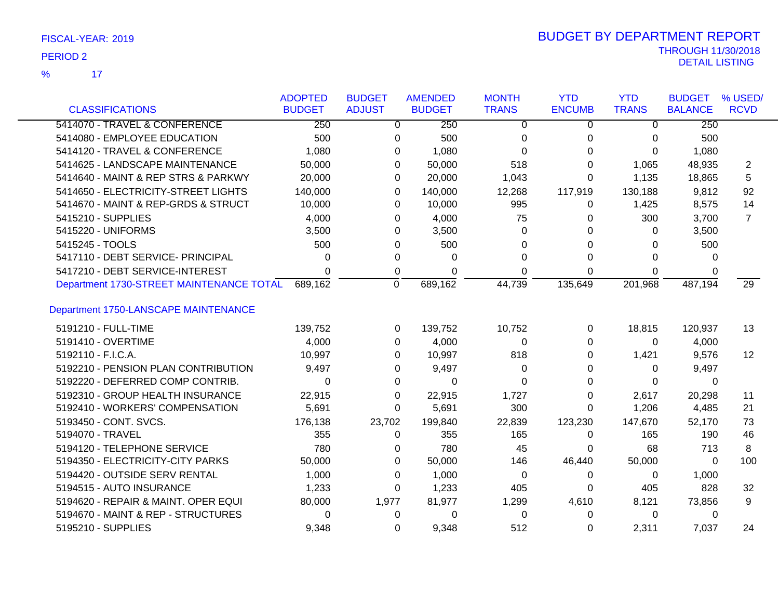| FISCAL-YEAR: 2019 |
|-------------------|
| $P-P12222$        |

|                                          | <b>ADOPTED</b> | <b>BUDGET</b> | <b>AMENDED</b> | <b>MONTH</b> | <b>YTD</b>    | <b>YTD</b>   | <b>BUDGET</b>  | % USED/         |
|------------------------------------------|----------------|---------------|----------------|--------------|---------------|--------------|----------------|-----------------|
| <b>CLASSIFICATIONS</b>                   | <b>BUDGET</b>  | <b>ADJUST</b> | <b>BUDGET</b>  | <b>TRANS</b> | <b>ENCUMB</b> | <b>TRANS</b> | <b>BALANCE</b> | <b>RCVD</b>     |
| 5414070 - TRAVEL & CONFERENCE            | 250            | 0             | 250            | $\Omega$     | $\Omega$      | $\Omega$     | 250            |                 |
| 5414080 - EMPLOYEE EDUCATION             | 500            | 0             | 500            | 0            | 0             | $\Omega$     | 500            |                 |
| 5414120 - TRAVEL & CONFERENCE            | 1,080          | 0             | 1,080          | $\Omega$     | 0             | $\Omega$     | 1,080          |                 |
| 5414625 - LANDSCAPE MAINTENANCE          | 50,000         | 0             | 50,000         | 518          | 0             | 1,065        | 48,935         | 2               |
| 5414640 - MAINT & REP STRS & PARKWY      | 20,000         | 0             | 20,000         | 1,043        | 0             | 1,135        | 18,865         | 5               |
| 5414650 - ELECTRICITY-STREET LIGHTS      | 140,000        | 0             | 140,000        | 12,268       | 117,919       | 130,188      | 9,812          | 92              |
| 5414670 - MAINT & REP-GRDS & STRUCT      | 10,000         | 0             | 10,000         | 995          | 0             | 1,425        | 8,575          | 14              |
| 5415210 - SUPPLIES                       | 4,000          | 0             | 4,000          | 75           | 0             | 300          | 3,700          | $\overline{7}$  |
| 5415220 - UNIFORMS                       | 3,500          | 0             | 3,500          | $\Omega$     | 0             | $\Omega$     | 3,500          |                 |
| 5415245 - TOOLS                          | 500            | 0             | 500            | 0            | 0             | $\Omega$     | 500            |                 |
| 5417110 - DEBT SERVICE- PRINCIPAL        | 0              | 0             | 0              | 0            | 0             | 0            | 0              |                 |
| 5417210 - DEBT SERVICE-INTEREST          | 0              | 0             | 0              | 0            | 0             | 0            | 0              |                 |
| Department 1730-STREET MAINTENANCE TOTAL | 689,162        | $\mathbf 0$   | 689,162        | 44,739       | 135,649       | 201,968      | 487,194        | $\overline{29}$ |
| Department 1750-LANSCAPE MAINTENANCE     |                |               |                |              |               |              |                |                 |
| 5191210 - FULL-TIME                      | 139,752        | 0             | 139,752        | 10,752       | 0             | 18,815       | 120,937        | 13              |
| 5191410 - OVERTIME                       | 4,000          | $\Omega$      | 4,000          | $\Omega$     | 0             | $\Omega$     | 4,000          |                 |
| 5192110 - F.I.C.A.                       | 10,997         | 0             | 10,997         | 818          | 0             | 1,421        | 9,576          | 12              |
| 5192210 - PENSION PLAN CONTRIBUTION      | 9,497          | 0             | 9,497          | 0            | 0             | 0            | 9,497          |                 |
| 5192220 - DEFERRED COMP CONTRIB.         | 0              | 0             | 0              | 0            | 0             | $\Omega$     | $\Omega$       |                 |
| 5192310 - GROUP HEALTH INSURANCE         | 22,915         | 0             | 22,915         | 1,727        | 0             | 2,617        | 20,298         | 11              |
| 5192410 - WORKERS' COMPENSATION          | 5,691          | 0             | 5,691          | 300          | 0             | 1,206        | 4,485          | 21              |
| 5193450 - CONT. SVCS.                    | 176,138        | 23,702        | 199,840        | 22,839       | 123,230       | 147,670      | 52,170         | 73              |
| 5194070 - TRAVEL                         | 355            | 0             | 355            | 165          | 0             | 165          | 190            | 46              |
| 5194120 - TELEPHONE SERVICE              | 780            | 0             | 780            | 45           | 0             | 68           | 713            | 8               |
| 5194350 - ELECTRICITY-CITY PARKS         | 50,000         | 0             | 50,000         | 146          | 46,440        | 50,000       | 0              | 100             |
| 5194420 - OUTSIDE SERV RENTAL            | 1,000          | 0             | 1,000          | 0            | 0             | 0            | 1,000          |                 |
| 5194515 - AUTO INSURANCE                 | 1,233          | 0             | 1,233          | 405          | 0             | 405          | 828            | 32              |
| 5194620 - REPAIR & MAINT. OPER EQUI      | 80,000         | 1,977         | 81,977         | 1,299        | 4,610         | 8,121        | 73,856         | 9               |
| 5194670 - MAINT & REP - STRUCTURES       | 0              | 0             | 0              | 0            | 0             | 0            | 0              |                 |
| 5195210 - SUPPLIES                       | 9,348          | 0             | 9,348          | 512          | 0             | 2,311        | 7,037          | 24              |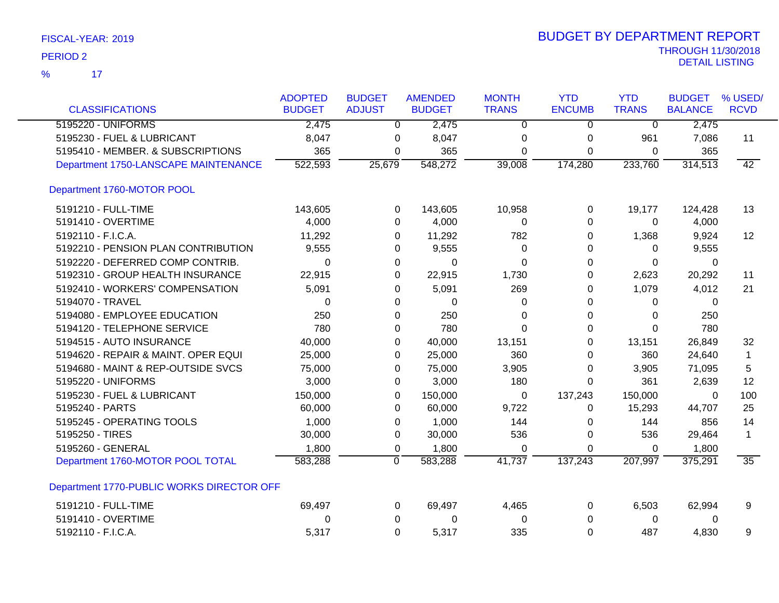| FISCAL-YEAR: 2019 |  |
|-------------------|--|
|-------------------|--|

| <b>CLASSIFICATIONS</b>                    | <b>ADOPTED</b><br><b>BUDGET</b> | <b>BUDGET</b><br><b>ADJUST</b> | <b>AMENDED</b><br><b>BUDGET</b> | <b>MONTH</b><br><b>TRANS</b> | <b>YTD</b><br><b>ENCUMB</b> | <b>YTD</b><br><b>TRANS</b> | <b>BUDGET</b><br><b>BALANCE</b> | % USED/<br><b>RCVD</b> |
|-------------------------------------------|---------------------------------|--------------------------------|---------------------------------|------------------------------|-----------------------------|----------------------------|---------------------------------|------------------------|
| 5195220 - UNIFORMS                        | 2,475                           | $\overline{0}$                 | 2,475                           | $\overline{0}$               | $\overline{0}$              | $\overline{0}$             | 2,475                           |                        |
| 5195230 - FUEL & LUBRICANT                | 8,047                           | 0                              | 8,047                           | 0                            | 0                           | 961                        | 7,086                           | 11                     |
| 5195410 - MEMBER. & SUBSCRIPTIONS         | 365                             | 0                              | 365                             | 0                            | 0                           | 0                          | 365                             |                        |
| Department 1750-LANSCAPE MAINTENANCE      | 522,593                         | 25,679                         | 548,272                         | 39,008                       | 174,280                     | 233,760                    | 314,513                         | 42                     |
| Department 1760-MOTOR POOL                |                                 |                                |                                 |                              |                             |                            |                                 |                        |
| 5191210 - FULL-TIME                       | 143,605                         | 0                              | 143,605                         | 10,958                       | 0                           | 19,177                     | 124,428                         | 13                     |
| 5191410 - OVERTIME                        | 4,000                           | 0                              | 4,000                           | 0                            | 0                           | 0                          | 4,000                           |                        |
| 5192110 - F.I.C.A.                        | 11,292                          | 0                              | 11,292                          | 782                          | 0                           | 1,368                      | 9,924                           | 12                     |
| 5192210 - PENSION PLAN CONTRIBUTION       | 9,555                           | 0                              | 9,555                           | $\Omega$                     | 0                           | 0                          | 9,555                           |                        |
| 5192220 - DEFERRED COMP CONTRIB.          | 0                               | 0                              | $\Omega$                        | $\Omega$                     | 0                           | $\Omega$                   | 0                               |                        |
| 5192310 - GROUP HEALTH INSURANCE          | 22,915                          | 0                              | 22,915                          | 1,730                        | $\Omega$                    | 2,623                      | 20,292                          | 11                     |
| 5192410 - WORKERS' COMPENSATION           | 5,091                           | 0                              | 5,091                           | 269                          | 0                           | 1,079                      | 4,012                           | 21                     |
| 5194070 - TRAVEL                          | $\Omega$                        | 0                              | $\Omega$                        | $\Omega$                     | 0                           | 0                          | $\Omega$                        |                        |
| 5194080 - EMPLOYEE EDUCATION              | 250                             | 0                              | 250                             | $\Omega$                     | 0                           | $\Omega$                   | 250                             |                        |
| 5194120 - TELEPHONE SERVICE               | 780                             | 0                              | 780                             | $\Omega$                     | 0                           | $\Omega$                   | 780                             |                        |
| 5194515 - AUTO INSURANCE                  | 40,000                          | 0                              | 40,000                          | 13,151                       | 0                           | 13,151                     | 26,849                          | 32                     |
| 5194620 - REPAIR & MAINT. OPER EQUI       | 25,000                          | 0                              | 25,000                          | 360                          | 0                           | 360                        | 24,640                          | $\mathbf 1$            |
| 5194680 - MAINT & REP-OUTSIDE SVCS        | 75,000                          | 0                              | 75,000                          | 3,905                        | 0                           | 3,905                      | 71,095                          | 5                      |
| 5195220 - UNIFORMS                        | 3,000                           | 0                              | 3,000                           | 180                          | 0                           | 361                        | 2,639                           | 12                     |
| 5195230 - FUEL & LUBRICANT                | 150,000                         | 0                              | 150,000                         | 0                            | 137,243                     | 150,000                    | 0                               | 100                    |
| 5195240 - PARTS                           | 60,000                          | 0                              | 60,000                          | 9,722                        | 0                           | 15,293                     | 44,707                          | 25                     |
| 5195245 - OPERATING TOOLS                 | 1,000                           | 0                              | 1,000                           | 144                          | 0                           | 144                        | 856                             | 14                     |
| 5195250 - TIRES                           | 30,000                          | 0                              | 30,000                          | 536                          | 0                           | 536                        | 29,464                          | $\mathbf 1$            |
| 5195260 - GENERAL                         | 1,800                           | 0                              | 1,800                           | 0                            | 0                           | $\Omega$                   | 1,800                           |                        |
| Department 1760-MOTOR POOL TOTAL          | 583,288                         | $\overline{0}$                 | 583,288                         | 41,737                       | 137,243                     | 207,997                    | 375,291                         | $\overline{35}$        |
| Department 1770-PUBLIC WORKS DIRECTOR OFF |                                 |                                |                                 |                              |                             |                            |                                 |                        |
| 5191210 - FULL-TIME                       | 69,497                          | 0                              | 69,497                          | 4,465                        | 0                           | 6,503                      | 62,994                          | 9                      |
| 5191410 - OVERTIME                        | 0                               | 0                              | 0                               | 0                            | 0                           | 0                          | 0                               |                        |
| 5192110 - F.I.C.A.                        | 5,317                           | 0                              | 5,317                           | 335                          | $\overline{0}$              | 487                        | 4,830                           | 9                      |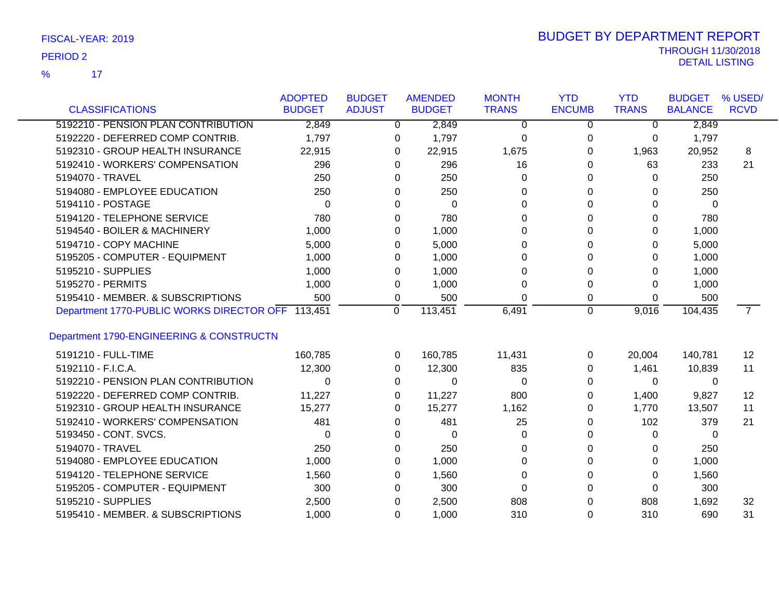| FISCAL-YEAR: 2019 |  |
|-------------------|--|
|-------------------|--|

|                                                   | <b>ADOPTED</b> | <b>BUDGET</b> | <b>AMENDED</b> | <b>MONTH</b> | <b>YTD</b>    | <b>YTD</b>   | <b>BUDGET</b>  | % USED/        |
|---------------------------------------------------|----------------|---------------|----------------|--------------|---------------|--------------|----------------|----------------|
| <b>CLASSIFICATIONS</b>                            | <b>BUDGET</b>  | <b>ADJUST</b> | <b>BUDGET</b>  | <b>TRANS</b> | <b>ENCUMB</b> | <b>TRANS</b> | <b>BALANCE</b> | <b>RCVD</b>    |
| 5192210 - PENSION PLAN CONTRIBUTION               | 2,849          | 0             | 2,849          | $\Omega$     | 0             | $\Omega$     | 2,849          |                |
| 5192220 - DEFERRED COMP CONTRIB.                  | 1,797          | 0             | 1,797          | 0            | 0             | 0            | 1,797          |                |
| 5192310 - GROUP HEALTH INSURANCE                  | 22,915         | 0             | 22,915         | 1,675        | 0             | 1,963        | 20,952         | 8              |
| 5192410 - WORKERS' COMPENSATION                   | 296            | 0             | 296            | 16           | $\Omega$      | 63           | 233            | 21             |
| 5194070 - TRAVEL                                  | 250            | 0             | 250            | 0            | $\Omega$      | 0            | 250            |                |
| 5194080 - EMPLOYEE EDUCATION                      | 250            | 0             | 250            | 0            | $\Omega$      | 0            | 250            |                |
| 5194110 - POSTAGE                                 | $\Omega$       | 0             | $\Omega$       | $\Omega$     | $\Omega$      | 0            | $\Omega$       |                |
| 5194120 - TELEPHONE SERVICE                       | 780            | 0             | 780            | 0            | 0             | 0            | 780            |                |
| 5194540 - BOILER & MACHINERY                      | 1,000          | 0             | 1,000          | 0            | $\Omega$      | 0            | 1,000          |                |
| 5194710 - COPY MACHINE                            | 5,000          | 0             | 5,000          | 0            | $\Omega$      | 0            | 5,000          |                |
| 5195205 - COMPUTER - EQUIPMENT                    | 1,000          | 0             | 1,000          | 0            | $\Omega$      | 0            | 1,000          |                |
| 5195210 - SUPPLIES                                | 1,000          | 0             | 1,000          | 0            | $\Omega$      | 0            | 1,000          |                |
| 5195270 - PERMITS                                 | 1,000          | 0             | 1,000          | 0            | 0             | 0            | 1,000          |                |
| 5195410 - MEMBER, & SUBSCRIPTIONS                 | 500            | 0             | 500            | 0            | 0             | 0            | 500            |                |
| Department 1770-PUBLIC WORKS DIRECTOR OFF 113,451 |                | $\Omega$      | 113,451        | 6,491        | $\mathbf 0$   | 9,016        | 104,435        | $\overline{7}$ |
|                                                   |                |               |                |              |               |              |                |                |
| Department 1790-ENGINEERING & CONSTRUCTN          |                |               |                |              |               |              |                |                |
| 5191210 - FULL-TIME                               | 160,785        | 0             | 160,785        | 11,431       | 0             | 20,004       | 140,781        | 12             |
| 5192110 - F.I.C.A.                                | 12,300         | 0             | 12,300         | 835          | 0             | 1,461        | 10,839         | 11             |
| 5192210 - PENSION PLAN CONTRIBUTION               | $\Omega$       | 0             | 0              | 0            | $\Omega$      | $\Omega$     | 0              |                |
| 5192220 - DEFERRED COMP CONTRIB.                  | 11,227         | 0             | 11,227         | 800          | 0             | 1,400        | 9,827          | 12             |
| 5192310 - GROUP HEALTH INSURANCE                  | 15,277         | 0             | 15,277         | 1,162        | 0             | 1,770        | 13,507         | 11             |
| 5192410 - WORKERS' COMPENSATION                   | 481            | 0             | 481            | 25           | $\Omega$      | 102          | 379            | 21             |
| 5193450 - CONT. SVCS.                             | $\Omega$       | 0             | 0              | 0            | 0             | 0            | 0              |                |
| 5194070 - TRAVEL                                  | 250            | 0             | 250            | 0            | 0             | 0            | 250            |                |
| 5194080 - EMPLOYEE EDUCATION                      | 1,000          | 0             | 1,000          | 0            | $\Omega$      | 0            | 1,000          |                |
| 5194120 - TELEPHONE SERVICE                       | 1,560          | 0             | 1,560          | 0            | $\Omega$      | 0            | 1,560          |                |
| 5195205 - COMPUTER - EQUIPMENT                    | 300            | 0             | 300            | 0            | $\Omega$      | 0            | 300            |                |
| 5195210 - SUPPLIES                                | 2,500          | 0             | 2,500          | 808          | 0             | 808          | 1,692          | 32             |
| 5195410 - MEMBER. & SUBSCRIPTIONS                 | 1,000          | 0             | 1,000          | 310          | $\Omega$      | 310          | 690            | 31             |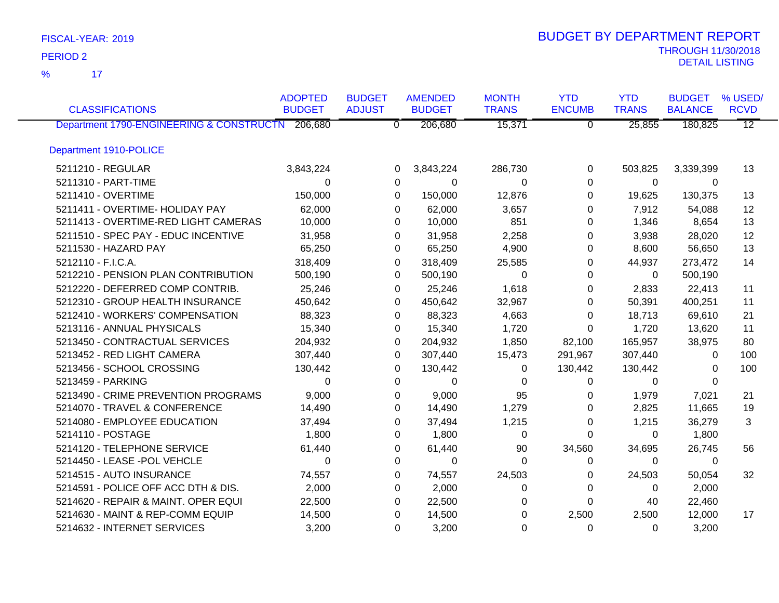17 %

|                                                  | <b>ADOPTED</b> | <b>BUDGET</b>  | <b>AMENDED</b> | <b>MONTH</b> | <b>YTD</b>    | <b>YTD</b>   | <b>BUDGET</b>  | % USED/         |
|--------------------------------------------------|----------------|----------------|----------------|--------------|---------------|--------------|----------------|-----------------|
| <b>CLASSIFICATIONS</b>                           | <b>BUDGET</b>  | <b>ADJUST</b>  | <b>BUDGET</b>  | <b>TRANS</b> | <b>ENCUMB</b> | <b>TRANS</b> | <b>BALANCE</b> | <b>RCVD</b>     |
| Department 1790-ENGINEERING & CONSTRUCTN 206,680 |                | $\overline{0}$ | 206,680        | 15,371       | $\Omega$      | 25,855       | 180,825        | $\overline{12}$ |
| Department 1910-POLICE                           |                |                |                |              |               |              |                |                 |
| 5211210 - REGULAR                                | 3,843,224      | 0              | 3,843,224      | 286,730      | 0             | 503,825      | 3,339,399      | 13              |
| 5211310 - PART-TIME                              | $\Omega$       | 0              | 0              | $\Omega$     | $\Omega$      | $\Omega$     | 0              |                 |
| 5211410 - OVERTIME                               | 150,000        | 0              | 150,000        | 12,876       | $\Omega$      | 19,625       | 130,375        | 13              |
| 5211411 - OVERTIME- HOLIDAY PAY                  | 62,000         | 0              | 62,000         | 3,657        | 0             | 7,912        | 54,088         | 12              |
| 5211413 - OVERTIME-RED LIGHT CAMERAS             | 10,000         | 0              | 10,000         | 851          | 0             | 1,346        | 8,654          | 13              |
| 5211510 - SPEC PAY - EDUC INCENTIVE              | 31,958         | 0              | 31,958         | 2,258        | 0             | 3,938        | 28,020         | 12              |
| 5211530 - HAZARD PAY                             | 65,250         | $\Omega$       | 65,250         | 4,900        | 0             | 8,600        | 56,650         | 13              |
| 5212110 - F.I.C.A.                               | 318,409        | 0              | 318,409        | 25,585       | 0             | 44,937       | 273,472        | 14              |
| 5212210 - PENSION PLAN CONTRIBUTION              | 500,190        | 0              | 500,190        | $\Omega$     | $\Omega$      | $\Omega$     | 500,190        |                 |
| 5212220 - DEFERRED COMP CONTRIB.                 | 25,246         | $\Omega$       | 25,246         | 1,618        | $\Omega$      | 2,833        | 22,413         | 11              |
| 5212310 - GROUP HEALTH INSURANCE                 | 450,642        | $\Omega$       | 450,642        | 32,967       | $\Omega$      | 50,391       | 400,251        | 11              |
| 5212410 - WORKERS' COMPENSATION                  | 88,323         | 0              | 88,323         | 4,663        | 0             | 18,713       | 69,610         | 21              |
| 5213116 - ANNUAL PHYSICALS                       | 15,340         | 0              | 15,340         | 1,720        | 0             | 1,720        | 13,620         | 11              |
| 5213450 - CONTRACTUAL SERVICES                   | 204,932        | 0              | 204,932        | 1,850        | 82,100        | 165,957      | 38,975         | 80              |
| 5213452 - RED LIGHT CAMERA                       | 307,440        | 0              | 307,440        | 15,473       | 291,967       | 307,440      | 0              | 100             |
| 5213456 - SCHOOL CROSSING                        | 130,442        | 0              | 130,442        | 0            | 130,442       | 130,442      | 0              | 100             |
| 5213459 - PARKING                                | $\Omega$       | 0              | 0              | 0            | 0             | $\Omega$     | $\Omega$       |                 |
| 5213490 - CRIME PREVENTION PROGRAMS              | 9,000          | 0              | 9,000          | 95           | 0             | 1,979        | 7,021          | 21              |
| 5214070 - TRAVEL & CONFERENCE                    | 14,490         | 0              | 14,490         | 1,279        | 0             | 2,825        | 11,665         | 19              |
| 5214080 - EMPLOYEE EDUCATION                     | 37,494         | 0              | 37,494         | 1,215        | 0             | 1,215        | 36,279         | 3               |
| 5214110 - POSTAGE                                | 1,800          | 0              | 1,800          | 0            | $\Omega$      | 0            | 1,800          |                 |
| 5214120 - TELEPHONE SERVICE                      | 61,440         | 0              | 61,440         | 90           | 34,560        | 34,695       | 26,745         | 56              |
| 5214450 - LEASE -POL VEHCLE                      | 0              | 0              | $\Omega$       | $\Omega$     | 0             | $\Omega$     | $\Omega$       |                 |
| 5214515 - AUTO INSURANCE                         | 74,557         | 0              | 74,557         | 24,503       | 0             | 24,503       | 50,054         | 32              |
| 5214591 - POLICE OFF ACC DTH & DIS.              | 2,000          | 0              | 2,000          | 0            | 0             | 0            | 2,000          |                 |
| 5214620 - REPAIR & MAINT. OPER EQUI              | 22,500         | 0              | 22,500         | 0            | $\Omega$      | 40           | 22,460         |                 |
| 5214630 - MAINT & REP-COMM EQUIP                 | 14,500         | 0              | 14,500         | 0            | 2,500         | 2,500        | 12,000         | 17              |
| 5214632 - INTERNET SERVICES                      | 3,200          | 0              | 3,200          | $\Omega$     | $\Omega$      | $\Omega$     | 3,200          |                 |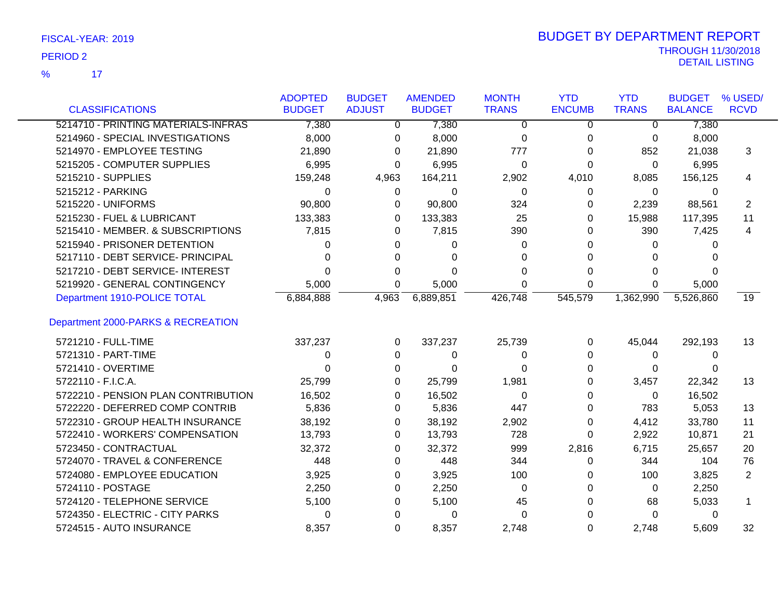17 %

| <b>CLASSIFICATIONS</b>              | <b>ADOPTED</b><br><b>BUDGET</b> | <b>BUDGET</b><br><b>ADJUST</b> | <b>AMENDED</b><br><b>BUDGET</b> | <b>MONTH</b><br><b>TRANS</b> | <b>YTD</b><br><b>ENCUMB</b> | <b>YTD</b><br><b>TRANS</b> | <b>BUDGET</b><br><b>BALANCE</b> | % USED/<br><b>RCVD</b> |
|-------------------------------------|---------------------------------|--------------------------------|---------------------------------|------------------------------|-----------------------------|----------------------------|---------------------------------|------------------------|
| 5214710 - PRINTING MATERIALS-INFRAS | 7,380                           | $\Omega$                       | 7,380                           | $\overline{0}$               | $\mathbf{0}$                | $\Omega$                   | 7,380                           |                        |
|                                     |                                 |                                |                                 |                              |                             |                            |                                 |                        |
| 5214960 - SPECIAL INVESTIGATIONS    | 8,000                           | 0                              | 8,000                           | 0                            | 0                           | 0                          | 8,000                           |                        |
| 5214970 - EMPLOYEE TESTING          | 21,890                          | 0                              | 21,890                          | 777                          | 0                           | 852                        | 21,038                          | 3                      |
| 5215205 - COMPUTER SUPPLIES         | 6,995                           | 0                              | 6,995                           | 0                            | 0                           | 0                          | 6,995                           |                        |
| 5215210 - SUPPLIES                  | 159,248                         | 4,963                          | 164,211                         | 2,902                        | 4,010                       | 8,085                      | 156,125                         | 4                      |
| 5215212 - PARKING                   | 0                               | 0                              | 0                               | 0                            | 0                           | 0                          | 0                               |                        |
| 5215220 - UNIFORMS                  | 90,800                          | 0                              | 90,800                          | 324                          | 0                           | 2,239                      | 88,561                          | $\mathbf{2}$           |
| 5215230 - FUEL & LUBRICANT          | 133,383                         | 0                              | 133,383                         | 25                           | 0                           | 15,988                     | 117,395                         | 11                     |
| 5215410 - MEMBER. & SUBSCRIPTIONS   | 7,815                           | 0                              | 7,815                           | 390                          | 0                           | 390                        | 7,425                           | 4                      |
| 5215940 - PRISONER DETENTION        | 0                               | $\Omega$                       | 0                               | 0                            | 0                           | 0                          | 0                               |                        |
| 5217110 - DEBT SERVICE- PRINCIPAL   | 0                               | 0                              | 0                               | 0                            |                             | 0                          |                                 |                        |
| 5217210 - DEBT SERVICE- INTEREST    | 0                               | 0                              | $\Omega$                        | 0                            | 0                           | 0                          | $\Omega$                        |                        |
| 5219920 - GENERAL CONTINGENCY       | 5,000                           | 0                              | 5,000                           | 0                            | 0                           | 0                          | 5,000                           |                        |
| Department 1910-POLICE TOTAL        | 6,884,888                       | 4,963                          | 6,889,851                       | 426,748                      | 545,579                     | 1,362,990                  | 5,526,860                       | 19                     |
| Department 2000-PARKS & RECREATION  |                                 |                                |                                 |                              |                             |                            |                                 |                        |
| 5721210 - FULL-TIME                 | 337,237                         | 0                              | 337,237                         | 25,739                       | 0                           | 45,044                     | 292,193                         | 13                     |
| 5721310 - PART-TIME                 | 0                               | 0                              | 0                               | 0                            | 0                           | 0                          | 0                               |                        |
| 5721410 - OVERTIME                  | ი                               | 0                              | 0                               | 0                            | 0                           | 0                          | 0                               |                        |
| 5722110 - F.I.C.A.                  | 25,799                          | 0                              | 25,799                          | 1,981                        | 0                           | 3,457                      | 22,342                          | 13                     |
| 5722210 - PENSION PLAN CONTRIBUTION | 16,502                          | 0                              | 16,502                          | $\Omega$                     | 0                           | 0                          | 16,502                          |                        |
| 5722220 - DEFERRED COMP CONTRIB     | 5,836                           | 0                              | 5,836                           | 447                          | 0                           | 783                        | 5,053                           | 13                     |
| 5722310 - GROUP HEALTH INSURANCE    | 38,192                          | 0                              | 38,192                          | 2,902                        | 0                           | 4,412                      | 33,780                          | 11                     |
| 5722410 - WORKERS' COMPENSATION     | 13,793                          | 0                              | 13,793                          | 728                          | 0                           | 2,922                      | 10,871                          | 21                     |
| 5723450 - CONTRACTUAL               | 32,372                          | 0                              | 32,372                          | 999                          | 2,816                       | 6,715                      | 25,657                          | 20                     |
| 5724070 - TRAVEL & CONFERENCE       | 448                             | 0                              | 448                             | 344                          | 0                           | 344                        | 104                             | 76                     |
| 5724080 - EMPLOYEE EDUCATION        | 3,925                           | 0                              | 3,925                           | 100                          | 0                           | 100                        | 3,825                           | 2                      |
| 5724110 - POSTAGE                   | 2,250                           | 0                              | 2,250                           | 0                            | 0                           | 0                          | 2,250                           |                        |
| 5724120 - TELEPHONE SERVICE         | 5,100                           | 0                              | 5,100                           | 45                           | 0                           | 68                         | 5,033                           |                        |
| 5724350 - ELECTRIC - CITY PARKS     | 0                               | 0                              | 0                               | 0                            |                             | 0                          | 0                               |                        |
| 5724515 - AUTO INSURANCE            | 8,357                           | 0                              | 8,357                           | 2,748                        | 0                           | 2,748                      | 5,609                           | 32                     |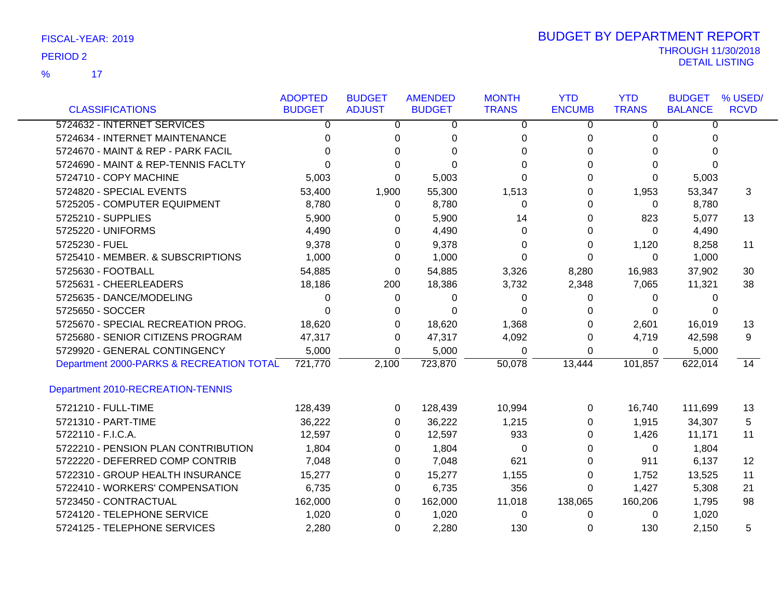|                                          | <b>ADOPTED</b> | <b>BUDGET</b> | <b>AMENDED</b> | <b>MONTH</b> | <b>YTD</b>    | <b>YTD</b>   | <b>BUDGET</b>  | % USED/     |
|------------------------------------------|----------------|---------------|----------------|--------------|---------------|--------------|----------------|-------------|
| <b>CLASSIFICATIONS</b>                   | <b>BUDGET</b>  | <b>ADJUST</b> | <b>BUDGET</b>  | <b>TRANS</b> | <b>ENCUMB</b> | <b>TRANS</b> | <b>BALANCE</b> | <b>RCVD</b> |
| 5724632 - INTERNET SERVICES              | 0              | 0             | 0              | 0            | 0             | 0            | 0              |             |
| 5724634 - INTERNET MAINTENANCE           | 0              | 0             | 0              | 0            | 0             | 0            | 0              |             |
| 5724670 - MAINT & REP - PARK FACIL       | 0              | $\Omega$      | 0              | 0            | 0             | 0            | 0              |             |
| 5724690 - MAINT & REP-TENNIS FACLTY      | 0              | 0             | $\Omega$       | 0            | 0             | 0            | 0              |             |
| 5724710 - COPY MACHINE                   | 5,003          | $\Omega$      | 5,003          | $\Omega$     | $\Omega$      | 0            | 5,003          |             |
| 5724820 - SPECIAL EVENTS                 | 53,400         | 1,900         | 55,300         | 1,513        | 0             | 1,953        | 53,347         | 3           |
| 5725205 - COMPUTER EQUIPMENT             | 8,780          | $\Omega$      | 8,780          | 0            | 0             | 0            | 8,780          |             |
| 5725210 - SUPPLIES                       | 5,900          | 0             | 5,900          | 14           | 0             | 823          | 5,077          | 13          |
| 5725220 - UNIFORMS                       | 4,490          | 0             | 4,490          | 0            | 0             | 0            | 4,490          |             |
| 5725230 - FUEL                           | 9,378          | 0             | 9,378          | 0            | 0             | 1,120        | 8,258          | 11          |
| 5725410 - MEMBER. & SUBSCRIPTIONS        | 1,000          | 0             | 1,000          | 0            | 0             | 0            | 1,000          |             |
| 5725630 - FOOTBALL                       | 54,885         | 0             | 54,885         | 3,326        | 8,280         | 16,983       | 37,902         | 30          |
| 5725631 - CHEERLEADERS                   | 18,186         | 200           | 18,386         | 3,732        | 2,348         | 7,065        | 11,321         | 38          |
| 5725635 - DANCE/MODELING                 | 0              | 0             | 0              | 0            | 0             | 0            | 0              |             |
| 5725650 - SOCCER                         | 0              | 0             | 0              | 0            | 0             | 0            | 0              |             |
| 5725670 - SPECIAL RECREATION PROG.       | 18,620         | 0             | 18,620         | 1,368        | 0             | 2,601        | 16,019         | 13          |
| 5725680 - SENIOR CITIZENS PROGRAM        | 47,317         | 0             | 47,317         | 4,092        | 0             | 4,719        | 42,598         | 9           |
| 5729920 - GENERAL CONTINGENCY            | 5,000          | 0             | 5,000          | 0            | 0             | 0            | 5,000          |             |
| Department 2000-PARKS & RECREATION TOTAL | 721,770        | 2,100         | 723,870        | 50,078       | 13,444        | 101,857      | 622,014        | 14          |
| Department 2010-RECREATION-TENNIS        |                |               |                |              |               |              |                |             |
| 5721210 - FULL-TIME                      | 128,439        | 0             | 128,439        | 10,994       | 0             | 16,740       | 111,699        | 13          |
| 5721310 - PART-TIME                      | 36,222         | 0             | 36,222         | 1,215        | 0             | 1,915        | 34,307         | 5           |
| 5722110 - F.I.C.A.                       | 12,597         | $\Omega$      | 12,597         | 933          | 0             | 1,426        | 11,171         | 11          |
| 5722210 - PENSION PLAN CONTRIBUTION      | 1,804          | 0             | 1,804          | 0            | 0             | 0            | 1,804          |             |
| 5722220 - DEFERRED COMP CONTRIB          | 7,048          | 0             | 7,048          | 621          | 0             | 911          | 6,137          | 12          |
| 5722310 - GROUP HEALTH INSURANCE         | 15,277         | 0             | 15,277         | 1,155        | 0             | 1,752        | 13,525         | 11          |
| 5722410 - WORKERS' COMPENSATION          | 6,735          | 0             | 6,735          | 356          | 0             | 1,427        | 5,308          | 21          |
| 5723450 - CONTRACTUAL                    | 162,000        | 0             | 162,000        | 11,018       | 138,065       | 160,206      | 1,795          | 98          |
| 5724120 - TELEPHONE SERVICE              | 1,020          | 0             | 1,020          | 0            | 0             | 0            | 1,020          |             |
| 5724125 - TELEPHONE SERVICES             | 2,280          | $\Omega$      | 2,280          | 130          | 0             | 130          | 2,150          | 5           |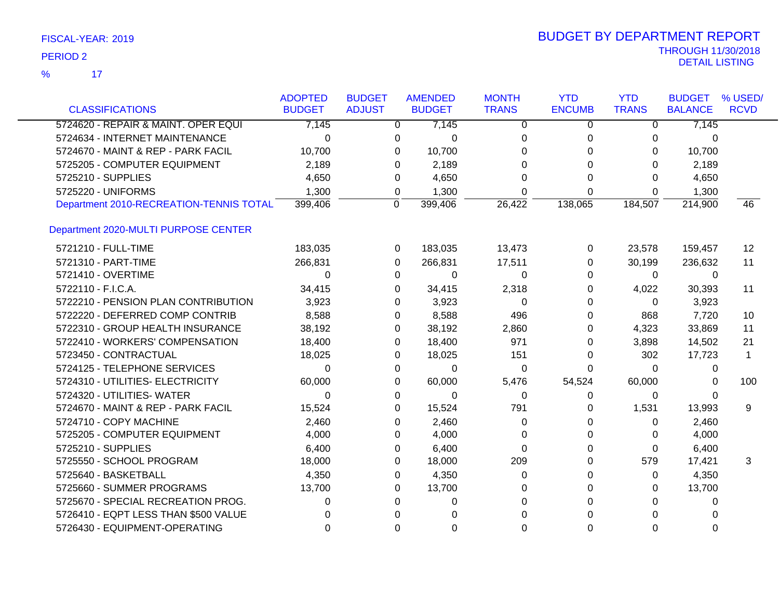| <b>CLASSIFICATIONS</b>                  | <b>ADOPTED</b><br><b>BUDGET</b> | <b>BUDGET</b><br><b>ADJUST</b> | <b>AMENDED</b><br><b>BUDGET</b> | <b>MONTH</b><br><b>TRANS</b> | <b>YTD</b><br><b>ENCUMB</b> | <b>YTD</b><br><b>TRANS</b> | <b>BUDGET</b><br><b>BALANCE</b> | % USED/<br><b>RCVD</b> |
|-----------------------------------------|---------------------------------|--------------------------------|---------------------------------|------------------------------|-----------------------------|----------------------------|---------------------------------|------------------------|
|                                         |                                 |                                |                                 |                              |                             |                            |                                 |                        |
| 5724620 - REPAIR & MAINT. OPER EQUI     | 7,145                           |                                | $\overline{0}$<br>7,145         | 0                            | 0                           | 0                          | 7,145                           |                        |
| 5724634 - INTERNET MAINTENANCE          | $\Omega$                        | 0                              | 0                               | $\Omega$                     | 0                           | 0                          | 0                               |                        |
| 5724670 - MAINT & REP - PARK FACIL      | 10,700                          |                                | 10,700<br>0                     | $\Omega$                     | 0                           | 0                          | 10,700                          |                        |
| 5725205 - COMPUTER EQUIPMENT            | 2,189                           | $\Omega$                       | 2,189                           | $\Omega$                     | $\Omega$                    | $\Omega$                   | 2,189                           |                        |
| 5725210 - SUPPLIES                      | 4,650                           | 0                              | 4,650                           | $\Omega$                     | 0                           | $\Omega$                   | 4,650                           |                        |
| 5725220 - UNIFORMS                      | 1,300                           | 0                              | 1,300                           | $\Omega$                     | $\Omega$                    | 0                          | 1,300                           |                        |
| Department 2010-RECREATION-TENNIS TOTAL | 399,406                         | 0                              | 399,406                         | 26,422                       | 138,065                     | 184,507                    | 214,900                         | 46                     |
| Department 2020-MULTI PURPOSE CENTER    |                                 |                                |                                 |                              |                             |                            |                                 |                        |
| 5721210 - FULL-TIME                     | 183,035                         |                                | 183,035<br>0                    | 13,473                       | 0                           | 23,578                     | 159,457                         | 12                     |
| 5721310 - PART-TIME                     | 266,831                         | 0                              | 266,831                         | 17,511                       | 0                           | 30,199                     | 236,632                         | 11                     |
| 5721410 - OVERTIME                      | $\Omega$                        | $\Omega$                       | 0                               | $\Omega$                     | 0                           | 0                          | 0                               |                        |
| 5722110 - F.I.C.A.                      | 34,415                          | $\Omega$                       | 34,415                          | 2,318                        | 0                           | 4,022                      | 30,393                          | 11                     |
| 5722210 - PENSION PLAN CONTRIBUTION     | 3,923                           |                                | 3,923<br>0                      | $\Omega$                     | 0                           | 0                          | 3,923                           |                        |
| 5722220 - DEFERRED COMP CONTRIB         | 8,588                           | 0                              | 8,588                           | 496                          | 0                           | 868                        | 7,720                           | 10                     |
| 5722310 - GROUP HEALTH INSURANCE        | 38,192                          |                                | 38,192<br>0                     | 2,860                        | 0                           | 4,323                      | 33,869                          | 11                     |
| 5722410 - WORKERS' COMPENSATION         | 18,400                          | $\Omega$                       | 18,400                          | 971                          | 0                           | 3,898                      | 14,502                          | 21                     |
| 5723450 - CONTRACTUAL                   | 18,025                          |                                | 0<br>18,025                     | 151                          | 0                           | 302                        | 17,723                          | $\mathbf 1$            |
| 5724125 - TELEPHONE SERVICES            | $\Omega$                        | $\Omega$                       | 0                               | $\Omega$                     | 0                           | $\Omega$                   | 0                               |                        |
| 5724310 - UTILITIES- ELECTRICITY        | 60,000                          | $\Omega$                       | 60,000                          | 5,476                        | 54,524                      | 60,000                     | 0                               | 100                    |
| 5724320 - UTILITIES- WATER              | $\Omega$                        | $\Omega$                       | 0                               | $\Omega$                     | 0                           | 0                          | 0                               |                        |
| 5724670 - MAINT & REP - PARK FACIL      | 15,524                          |                                | 0<br>15,524                     | 791                          | 0                           | 1,531                      | 13,993                          | 9                      |
| 5724710 - COPY MACHINE                  | 2,460                           | 0                              | 2,460                           | 0                            | 0                           | 0                          | 2,460                           |                        |
| 5725205 - COMPUTER EQUIPMENT            | 4,000                           | $\Omega$                       | 4,000                           | 0                            | 0                           | 0                          | 4,000                           |                        |
| 5725210 - SUPPLIES                      | 6,400                           | $\Omega$                       | 6,400                           | $\Omega$                     | 0                           | 0                          | 6,400                           |                        |
| 5725550 - SCHOOL PROGRAM                | 18,000                          | 0                              | 18,000                          | 209                          | 0                           | 579                        | 17,421                          | 3                      |
| 5725640 - BASKETBALL                    | 4,350                           | 0                              | 4,350                           | 0                            | 0                           | 0                          | 4,350                           |                        |
| 5725660 - SUMMER PROGRAMS               | 13,700                          | $\Omega$                       | 13,700                          | 0                            | 0                           | 0                          | 13,700                          |                        |
| 5725670 - SPECIAL RECREATION PROG.      | 0                               | $\Omega$                       | 0                               | $\Omega$                     | $\Omega$                    | 0                          | 0                               |                        |
| 5726410 - EQPT LESS THAN \$500 VALUE    | 0                               | $\Omega$                       | $\Omega$                        | $\Omega$                     | $\Omega$                    | $\Omega$                   | 0                               |                        |
| 5726430 - EQUIPMENT-OPERATING           | 0                               | $\Omega$                       | $\Omega$                        | $\Omega$                     | $\Omega$                    | $\Omega$                   | $\Omega$                        |                        |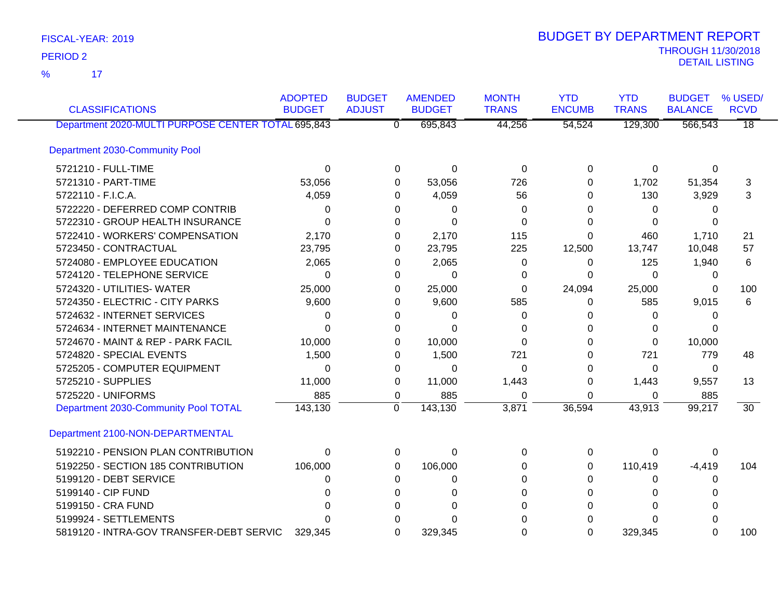17 %

| <b>CLASSIFICATIONS</b>                             | <b>ADOPTED</b><br><b>BUDGET</b> | <b>BUDGET</b><br><b>ADJUST</b> | <b>AMENDED</b><br><b>BUDGET</b> | <b>MONTH</b><br><b>TRANS</b> | <b>YTD</b><br><b>ENCUMB</b> | <b>YTD</b><br><b>TRANS</b> | <b>BUDGET</b><br><b>BALANCE</b> | % USED/<br><b>RCVD</b> |
|----------------------------------------------------|---------------------------------|--------------------------------|---------------------------------|------------------------------|-----------------------------|----------------------------|---------------------------------|------------------------|
| Department 2020-MULTI PURPOSE CENTER TOTAL 695,843 |                                 |                                | 695,843<br>$\overline{0}$       | 44,256                       | 54,524                      | 129,300                    | 566,543                         | $\overline{18}$        |
| Department 2030-Community Pool                     |                                 |                                |                                 |                              |                             |                            |                                 |                        |
| 5721210 - FULL-TIME                                | 0                               |                                | 0<br>0                          | 0                            | 0                           | 0                          | 0                               |                        |
| 5721310 - PART-TIME                                | 53,056                          |                                | 53,056<br>0                     | 726                          | 0                           | 1,702                      | 51,354                          | 3                      |
| 5722110 - F.I.C.A.                                 | 4,059                           |                                | 4,059<br>0                      | 56                           | 0                           | 130                        | 3,929                           | 3                      |
| 5722220 - DEFERRED COMP CONTRIB                    | 0                               |                                | 0<br>0                          | 0                            | 0                           | 0                          | 0                               |                        |
| 5722310 - GROUP HEALTH INSURANCE                   | $\Omega$                        |                                | $\Omega$<br>0                   | $\Omega$                     | 0                           | $\Omega$                   | 0                               |                        |
| 5722410 - WORKERS' COMPENSATION                    | 2,170                           |                                | 2,170<br>0                      | 115                          | 0                           | 460                        | 1,710                           | 21                     |
| 5723450 - CONTRACTUAL                              | 23,795                          |                                | 23,795<br>0                     | 225                          | 12,500                      | 13,747                     | 10,048                          | 57                     |
| 5724080 - EMPLOYEE EDUCATION                       | 2,065                           |                                | 2,065<br>0                      | 0                            | 0                           | 125                        | 1,940                           | 6                      |
| 5724120 - TELEPHONE SERVICE                        | $\Omega$                        |                                | $\Omega$<br>0                   | 0                            | 0                           | $\Omega$                   | 0                               |                        |
| 5724320 - UTILITIES- WATER                         | 25,000                          |                                | 25,000<br>0                     | 0                            | 24,094                      | 25,000                     | $\Omega$                        | 100                    |
| 5724350 - ELECTRIC - CITY PARKS                    | 9,600                           |                                | 9,600<br>0                      | 585                          | 0                           | 585                        | 9,015                           | 6                      |
| 5724632 - INTERNET SERVICES                        | 0                               |                                | $\Omega$<br>0                   | 0                            | 0                           | $\Omega$                   | 0                               |                        |
| 5724634 - INTERNET MAINTENANCE                     | $\Omega$                        |                                | $\Omega$<br>0                   | 0                            | 0                           | 0                          | $\Omega$                        |                        |
| 5724670 - MAINT & REP - PARK FACIL                 | 10,000                          |                                | 10,000<br>0                     | $\Omega$                     | 0                           | $\Omega$                   | 10,000                          |                        |
| 5724820 - SPECIAL EVENTS                           | 1,500                           |                                | 1,500<br>0                      | 721                          | 0                           | 721                        | 779                             | 48                     |
| 5725205 - COMPUTER EQUIPMENT                       | 0                               |                                | $\Omega$<br>0                   | $\Omega$                     | 0                           | $\Omega$                   | 0                               |                        |
| 5725210 - SUPPLIES                                 | 11,000                          |                                | 11,000<br>0                     | 1,443                        | 0                           | 1,443                      | 9,557                           | 13                     |
| 5725220 - UNIFORMS                                 | 885                             |                                | 885<br>0                        | 0                            | 0                           | 0                          | 885                             |                        |
| Department 2030-Community Pool TOTAL               | 143,130                         | $\mathbf 0$                    | 143,130                         | 3,871                        | 36,594                      | 43,913                     | 99,217                          | $\overline{30}$        |
| Department 2100-NON-DEPARTMENTAL                   |                                 |                                |                                 |                              |                             |                            |                                 |                        |
| 5192210 - PENSION PLAN CONTRIBUTION                | 0                               |                                | 0<br>$\Omega$                   | $\Omega$                     | 0                           | $\Omega$                   | $\Omega$                        |                        |
| 5192250 - SECTION 185 CONTRIBUTION                 | 106,000                         |                                | 106,000<br>0                    | 0                            | 0                           | 110,419                    | $-4,419$                        | 104                    |
| 5199120 - DEBT SERVICE                             | 0                               |                                | 0<br>0                          | 0                            | 0                           | 0                          | 0                               |                        |
| 5199140 - CIP FUND                                 | O                               |                                | 0<br>U                          | $\Omega$                     | 0                           | 0                          | 0                               |                        |
| 5199150 - CRA FUND                                 |                                 |                                | 0<br>0                          | U                            | 0                           | 0                          | 0                               |                        |
| 5199924 - SETTLEMENTS                              |                                 |                                |                                 |                              |                             | 0                          |                                 |                        |
| 5819120 - INTRA-GOV TRANSFER-DEBT SERVIC           | 329.345                         |                                | 329,345<br>0                    | U                            | $\Omega$                    | 329,345                    | $\Omega$                        | 100                    |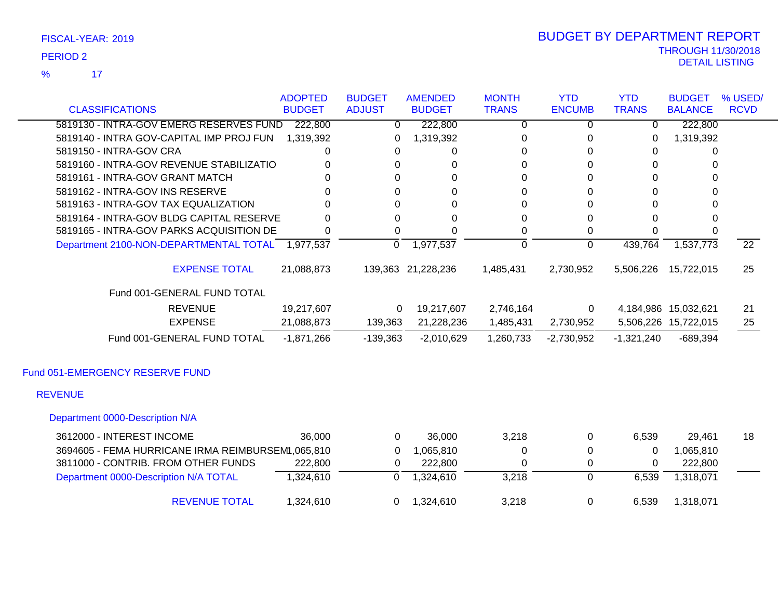17 %

| <b>CLASSIFICATIONS</b>                            | <b>ADOPTED</b><br><b>BUDGET</b> | <b>BUDGET</b><br><b>ADJUST</b> | <b>AMENDED</b><br><b>BUDGET</b> | <b>MONTH</b><br><b>TRANS</b> | <b>YTD</b><br><b>ENCUMB</b> | <b>YTD</b><br><b>TRANS</b> | <b>BUDGET</b><br><b>BALANCE</b> | % USED/<br><b>RCVD</b> |
|---------------------------------------------------|---------------------------------|--------------------------------|---------------------------------|------------------------------|-----------------------------|----------------------------|---------------------------------|------------------------|
| 5819130 - INTRA-GOV EMERG RESERVES FUND           | 222,800                         | $\mathbf{0}$                   | 222,800                         | 0                            | 0                           | 0                          | 222,800                         |                        |
| 5819140 - INTRA GOV-CAPITAL IMP PROJ FUN          | 1,319,392                       | 0                              | 1,319,392                       | 0                            | 0                           | 0                          | 1,319,392                       |                        |
| 5819150 - INTRA-GOV CRA                           | 0                               | 0                              | 0                               | 0                            | 0                           | 0                          | 0                               |                        |
| 5819160 - INTRA-GOV REVENUE STABILIZATIO          |                                 | $\Omega$                       | 0                               | 0                            | 0                           | 0                          | $\Omega$                        |                        |
| 5819161 - INTRA-GOV GRANT MATCH                   |                                 | $\Omega$                       | 0                               | 0                            | 0                           | 0                          | 0                               |                        |
| 5819162 - INTRA-GOV INS RESERVE                   |                                 | $\Omega$                       | 0                               | 0                            | 0                           | 0                          | 0                               |                        |
| 5819163 - INTRA-GOV TAX EQUALIZATION              |                                 | $\Omega$                       | 0                               | 0                            | 0                           | 0                          | 0                               |                        |
| 5819164 - INTRA-GOV BLDG CAPITAL RESERVE          | <sup>0</sup>                    | $\Omega$                       | 0                               | 0                            | 0                           | 0                          | $\Omega$                        |                        |
| 5819165 - INTRA-GOV PARKS ACQUISITION DE          | 0                               | 0                              | $\Omega$                        | 0                            | 0                           | 0                          | 0                               |                        |
| Department 2100-NON-DEPARTMENTAL TOTAL 1,977,537  |                                 | $\overline{0}$                 | 1,977,537                       | 0                            | $\mathbf 0$                 | 439,764                    | 1,537,773                       | $\overline{22}$        |
| <b>EXPENSE TOTAL</b>                              | 21,088,873                      |                                | 139,363 21,228,236              | 1,485,431                    | 2,730,952                   | 5,506,226                  | 15,722,015                      | 25                     |
| Fund 001-GENERAL FUND TOTAL                       |                                 |                                |                                 |                              |                             |                            |                                 |                        |
| <b>REVENUE</b>                                    | 19,217,607                      | 0                              | 19,217,607                      | 2,746,164                    | 0                           |                            | 4,184,986 15,032,621            | 21                     |
| <b>EXPENSE</b>                                    | 21,088,873                      | 139,363                        | 21,228,236                      | 1,485,431                    | 2,730,952                   |                            | 5,506,226 15,722,015            | 25                     |
| Fund 001-GENERAL FUND TOTAL                       | $-1,871,266$                    | $-139,363$                     | $-2,010,629$                    | 1,260,733                    | $-2,730,952$                | $-1,321,240$               | $-689,394$                      |                        |
| Fund 051-EMERGENCY RESERVE FUND                   |                                 |                                |                                 |                              |                             |                            |                                 |                        |
| <b>REVENUE</b>                                    |                                 |                                |                                 |                              |                             |                            |                                 |                        |
| Department 0000-Description N/A                   |                                 |                                |                                 |                              |                             |                            |                                 |                        |
| 3612000 - INTEREST INCOME                         | 36,000                          | $\mathbf 0$                    | 36,000                          | 3,218                        | 0                           | 6,539                      | 29,461                          | 18                     |
| 3694605 - FEMA HURRICANE IRMA REIMBURSEM1,065,810 |                                 | $\Omega$                       | 1,065,810                       | 0                            | $\Omega$                    | $\Omega$                   | 1,065,810                       |                        |
| 3811000 - CONTRIB. FROM OTHER FUNDS               | 222,800                         | 0                              | 222,800                         | $\Omega$                     | 0                           | 0                          | 222,800                         |                        |
| Department 0000-Description N/A TOTAL             | 1,324,610                       | 0                              | 1,324,610                       | 3,218                        | $\Omega$                    | 6,539                      | 1,318,071                       |                        |

REVENUE TOTAL 1,324,610 0 1,324,610 3,218 0 6,539 1,318,071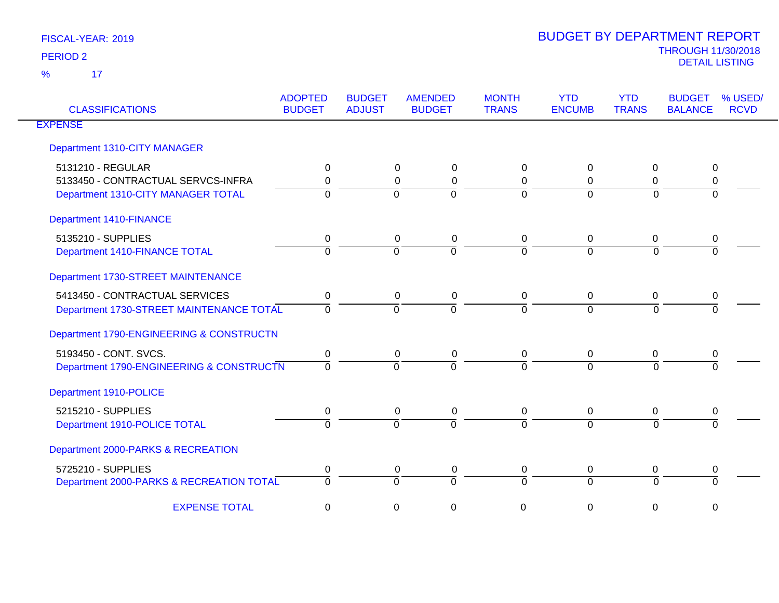| <b>CLASSIFICATIONS</b>                   | <b>ADOPTED</b><br><b>BUDGET</b> | <b>BUDGET</b><br><b>ADJUST</b> | <b>AMENDED</b><br><b>BUDGET</b> | <b>MONTH</b><br><b>TRANS</b> | <b>YTD</b><br><b>ENCUMB</b> | <b>YTD</b><br><b>TRANS</b> | <b>BUDGET</b><br><b>BALANCE</b> | % USED/<br><b>RCVD</b> |
|------------------------------------------|---------------------------------|--------------------------------|---------------------------------|------------------------------|-----------------------------|----------------------------|---------------------------------|------------------------|
| <b>EXPENSE</b>                           |                                 |                                |                                 |                              |                             |                            |                                 |                        |
| Department 1310-CITY MANAGER             |                                 |                                |                                 |                              |                             |                            |                                 |                        |
| 5131210 - REGULAR                        | 0                               |                                | 0<br>0                          | 0                            | $\Omega$                    | 0                          | 0                               |                        |
| 5133450 - CONTRACTUAL SERVCS-INFRA       | 0                               |                                | $\Omega$<br>0                   | 0                            | $\Omega$                    | 0                          | 0                               |                        |
| Department 1310-CITY MANAGER TOTAL       | $\Omega$                        |                                | $\Omega$<br>$\Omega$            | $\overline{0}$               | $\Omega$                    | $\Omega$                   | $\Omega$                        |                        |
| <b>Department 1410-FINANCE</b>           |                                 |                                |                                 |                              |                             |                            |                                 |                        |
| 5135210 - SUPPLIES                       | 0                               |                                | 0<br>0                          | 0                            | 0                           | 0                          | 0                               |                        |
| Department 1410-FINANCE TOTAL            | $\Omega$                        |                                | $\Omega$<br>$\Omega$            | 7                            | $\overline{0}$              | $\Omega$                   | $\Omega$                        |                        |
| Department 1730-STREET MAINTENANCE       |                                 |                                |                                 |                              |                             |                            |                                 |                        |
| 5413450 - CONTRACTUAL SERVICES           | $\mathbf 0$                     |                                | 0<br>0                          | 0                            | $\mathbf 0$                 | $\mathbf 0$                | 0                               |                        |
| Department 1730-STREET MAINTENANCE TOTAL | $\Omega$                        |                                | $\Omega$<br>$\Omega$            | $\Omega$                     | $\Omega$                    | $\Omega$                   | $\Omega$                        |                        |
| Department 1790-ENGINEERING & CONSTRUCTN |                                 |                                |                                 |                              |                             |                            |                                 |                        |
| 5193450 - CONT. SVCS.                    | 0                               |                                | 0<br>0                          | 0                            | $\mathbf 0$                 | 0                          | 0                               |                        |
| Department 1790-ENGINEERING & CONSTRUCTN | $\Omega$                        |                                | $\Omega$<br>$\Omega$            | $\Omega$                     | $\Omega$                    | $\Omega$                   |                                 |                        |
| Department 1910-POLICE                   |                                 |                                |                                 |                              |                             |                            |                                 |                        |
| 5215210 - SUPPLIES                       | 0                               |                                | $\mathbf 0$<br>0                | 0                            | $\overline{0}$              | $\boldsymbol{0}$           | 0                               |                        |
| Department 1910-POLICE TOTAL             | $\Omega$                        |                                | $\Omega$<br>$\Omega$            | $\Omega$                     | $\Omega$                    | $\Omega$                   | $\Omega$                        |                        |
| Department 2000-PARKS & RECREATION       |                                 |                                |                                 |                              |                             |                            |                                 |                        |
| 5725210 - SUPPLIES                       | 0                               |                                | 0<br>0                          | 0                            | 0                           | 0                          | 0                               |                        |
| Department 2000-PARKS & RECREATION TOTAL | $\Omega$                        |                                | $\Omega$<br>$\Omega$            | 0                            | $\Omega$                    | $\Omega$                   | $\Omega$                        |                        |
| <b>EXPENSE TOTAL</b>                     | 0                               |                                | 0<br>0                          | 0                            | 0                           | 0                          | 0                               |                        |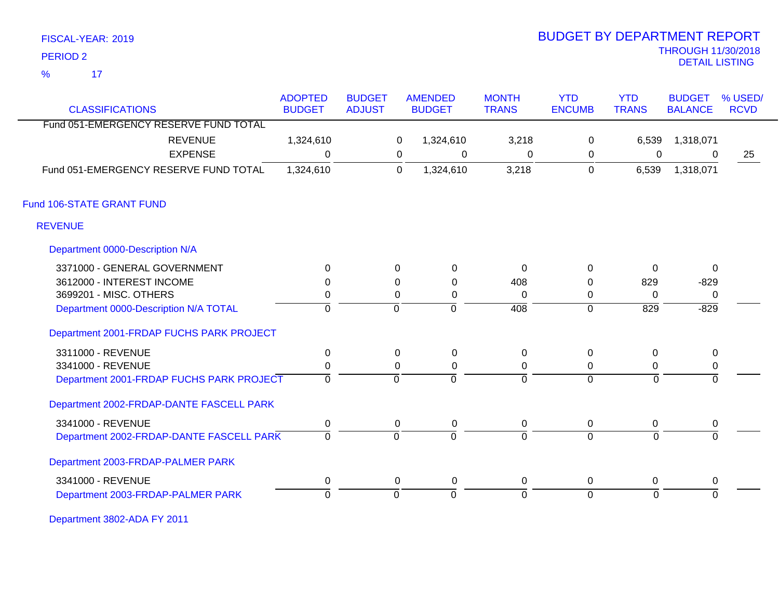| FISCAL-YEAR: 2019 |  |
|-------------------|--|
|                   |  |

## THROUGH 11/30/2018 DETAIL LISTING PERIOD <sup>2</sup> BUDGET BY DEPARTMENT REPORT

| <b>CLASSIFICATIONS</b>                   | <b>ADOPTED</b><br><b>BUDGET</b> | <b>BUDGET</b><br><b>ADJUST</b> |                | <b>AMENDED</b><br><b>BUDGET</b> | <b>MONTH</b><br><b>TRANS</b> | <b>YTD</b><br><b>ENCUMB</b> | <b>YTD</b><br><b>TRANS</b> | <b>BUDGET</b><br><b>BALANCE</b> | % USED/<br><b>RCVD</b> |
|------------------------------------------|---------------------------------|--------------------------------|----------------|---------------------------------|------------------------------|-----------------------------|----------------------------|---------------------------------|------------------------|
| Fund 051-EMERGENCY RESERVE FUND TOTAL    |                                 |                                |                |                                 |                              |                             |                            |                                 |                        |
| <b>REVENUE</b>                           | 1,324,610                       |                                | 0              | 1,324,610                       | 3,218                        | $\mathbf 0$                 | 6,539                      | 1,318,071                       |                        |
| <b>EXPENSE</b>                           | $\Omega$                        |                                | 0              | 0                               | 0                            | 0                           | $\mathbf 0$                | $\Omega$                        | 25                     |
| Fund 051-EMERGENCY RESERVE FUND TOTAL    | 1,324,610                       |                                | $\overline{0}$ | 1,324,610                       | 3,218                        | 0                           | 6,539                      | 1,318,071                       |                        |
| Fund 106-STATE GRANT FUND                |                                 |                                |                |                                 |                              |                             |                            |                                 |                        |
| <b>REVENUE</b>                           |                                 |                                |                |                                 |                              |                             |                            |                                 |                        |
| Department 0000-Description N/A          |                                 |                                |                |                                 |                              |                             |                            |                                 |                        |
| 3371000 - GENERAL GOVERNMENT             | $\Omega$                        |                                | $\Omega$       | 0                               | $\Omega$                     | 0                           | 0                          | $\mathbf{0}$                    |                        |
| 3612000 - INTEREST INCOME                | $\Omega$                        |                                | $\Omega$       | 0                               | 408                          | $\Omega$                    | 829                        | $-829$                          |                        |
| 3699201 - MISC. OTHERS                   | 0                               |                                | 0              | 0                               | $\Omega$                     | 0                           | $\Omega$                   | $\mathbf 0$                     |                        |
| Department 0000-Description N/A TOTAL    | $\mathbf 0$                     |                                | $\Omega$       | $\overline{0}$                  | 408                          | $\overline{0}$              | $\overline{829}$           | $-829$                          |                        |
| Department 2001-FRDAP FUCHS PARK PROJECT |                                 |                                |                |                                 |                              |                             |                            |                                 |                        |
| 3311000 - REVENUE                        | $\pmb{0}$                       |                                | 0              | $\mathbf 0$                     | 0                            | $\boldsymbol{0}$            | 0                          | $\pmb{0}$                       |                        |
| 3341000 - REVENUE                        | $\mathbf 0$                     |                                | $\Omega$       | 0                               | 0                            | 0                           | 0                          | $\mathbf 0$                     |                        |
| Department 2001-FRDAP FUCHS PARK PROJECT | $\overline{0}$                  |                                | $\mathbf 0$    | $\overline{0}$                  | $\overline{0}$               | $\overline{0}$              | $\Omega$                   | $\Omega$                        |                        |
| Department 2002-FRDAP-DANTE FASCELL PARK |                                 |                                |                |                                 |                              |                             |                            |                                 |                        |
| 3341000 - REVENUE                        | 0                               |                                | 0              | 0                               | 0                            | 0                           | 0                          | 0                               |                        |
| Department 2002-FRDAP-DANTE FASCELL PARK | $\mathbf{0}$                    |                                | $\mathbf 0$    | $\overline{0}$                  | $\overline{0}$               | $\overline{0}$              | $\Omega$                   | $\mathbf{0}$                    |                        |
| Department 2003-FRDAP-PALMER PARK        |                                 |                                |                |                                 |                              |                             |                            |                                 |                        |
| 3341000 - REVENUE                        | $\pmb{0}$                       |                                | $\mathbf 0$    | $\mathbf 0$                     | $\mathbf 0$                  | 0                           | 0                          | 0                               |                        |
| Department 2003-FRDAP-PALMER PARK        | $\Omega$                        |                                | $\overline{0}$ | $\Omega$                        | $\Omega$                     | $\Omega$                    | $\Omega$                   | $\Omega$                        |                        |

Department 3802-ADA FY 2011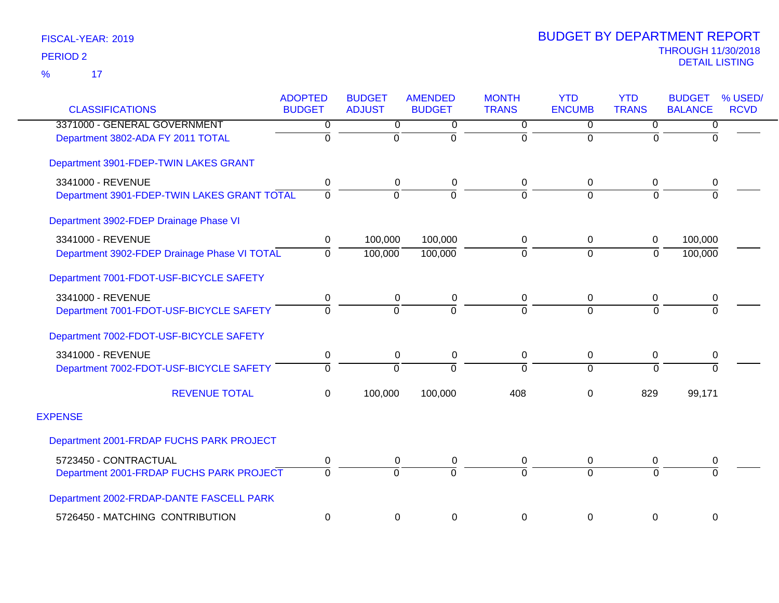|                                              | <b>ADOPTED</b> | <b>BUDGET</b> | <b>AMENDED</b> | <b>MONTH</b> | <b>YTD</b>    | <b>YTD</b>   | <b>BUDGET</b>  | % USED/     |
|----------------------------------------------|----------------|---------------|----------------|--------------|---------------|--------------|----------------|-------------|
| <b>CLASSIFICATIONS</b>                       | <b>BUDGET</b>  | <b>ADJUST</b> | <b>BUDGET</b>  | <b>TRANS</b> | <b>ENCUMB</b> | <b>TRANS</b> | <b>BALANCE</b> | <b>RCVD</b> |
| 3371000 - GENERAL GOVERNMENT                 | 0              | 0             | 0              | 0            | $\mathbf{0}$  | 0            | 0              |             |
| Department 3802-ADA FY 2011 TOTAL            | $\overline{0}$ | $\Omega$      | $\Omega$       | $\mathbf 0$  | $\mathbf 0$   | $\Omega$     | $\Omega$       |             |
| Department 3901-FDEP-TWIN LAKES GRANT        |                |               |                |              |               |              |                |             |
| 3341000 - REVENUE                            | 0              | 0             | 0              | 0            | $\mathbf 0$   | 0            | 0              |             |
| Department 3901-FDEP-TWIN LAKES GRANT TOTAL  | $\Omega$       | $\Omega$      | $\Omega$       | $\Omega$     | $\Omega$      | $\Omega$     | $\Omega$       |             |
| Department 3902-FDEP Drainage Phase VI       |                |               |                |              |               |              |                |             |
| 3341000 - REVENUE                            | 0              | 100,000       | 100,000        | 0            | $\mathbf 0$   | $\mathbf 0$  | 100,000        |             |
| Department 3902-FDEP Drainage Phase VI TOTAL | $\Omega$       | 100,000       | 100,000        | 0            | $\mathbf 0$   | $\Omega$     | 100,000        |             |
| Department 7001-FDOT-USF-BICYCLE SAFETY      |                |               |                |              |               |              |                |             |
| 3341000 - REVENUE                            | 0              | 0             | 0              | 0            | $\mathbf 0$   | 0            | 0              |             |
| Department 7001-FDOT-USF-BICYCLE SAFETY      | $\Omega$       | $\Omega$      | $\Omega$       | $\Omega$     | $\Omega$      | $\Omega$     | $\Omega$       |             |
| Department 7002-FDOT-USF-BICYCLE SAFETY      |                |               |                |              |               |              |                |             |
| 3341000 - REVENUE                            | $\pmb{0}$      | 0             | 0              | 0            | $\mathbf 0$   | 0            | $\pmb{0}$      |             |
| Department 7002-FDOT-USF-BICYCLE SAFETY      | $\Omega$       | $\Omega$      | $\Omega$       | $\Omega$     | $\Omega$      | $\Omega$     | $\Omega$       |             |
| <b>REVENUE TOTAL</b>                         | $\mathbf 0$    | 100,000       | 100,000        | 408          | $\mathbf{0}$  | 829          | 99,171         |             |
| <b>EXPENSE</b>                               |                |               |                |              |               |              |                |             |
| Department 2001-FRDAP FUCHS PARK PROJECT     |                |               |                |              |               |              |                |             |
| 5723450 - CONTRACTUAL                        | 0              | 0             | 0              | 0            | $\mathbf 0$   | 0            | 0              |             |
| Department 2001-FRDAP FUCHS PARK PROJECT     | $\Omega$       | $\Omega$      | $\Omega$       | $\Omega$     | $\Omega$      | $\Omega$     | $\Omega$       |             |
| Department 2002-FRDAP-DANTE FASCELL PARK     |                |               |                |              |               |              |                |             |
| 5726450 - MATCHING CONTRIBUTION              | $\pmb{0}$      | 0             | 0              | 0            | $\mathbf 0$   | 0            | $\mathsf 0$    |             |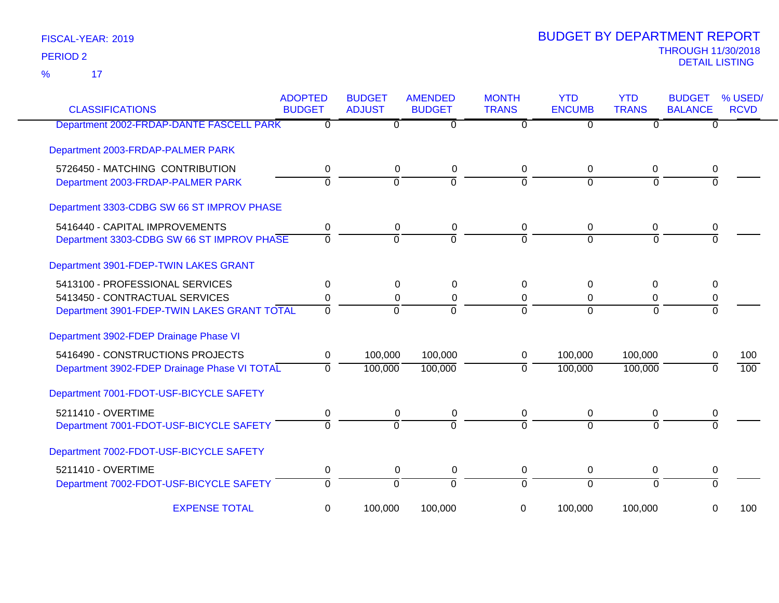17 %

| <b>CLASSIFICATIONS</b>                       | <b>ADOPTED</b><br><b>BUDGET</b> | <b>BUDGET</b><br><b>ADJUST</b> | <b>AMENDED</b><br><b>BUDGET</b> | <b>MONTH</b><br><b>TRANS</b> | <b>YTD</b><br><b>ENCUMB</b> | <b>YTD</b><br><b>TRANS</b> | <b>BUDGET</b><br><b>BALANCE</b> | % USED/<br><b>RCVD</b> |
|----------------------------------------------|---------------------------------|--------------------------------|---------------------------------|------------------------------|-----------------------------|----------------------------|---------------------------------|------------------------|
| Department 2002-FRDAP-DANTE FASCELL PARK     | n                               | $\mathbf{0}$                   | $\Omega$                        | 0                            | $\Omega$                    | $\Omega$                   | 0                               |                        |
| Department 2003-FRDAP-PALMER PARK            |                                 |                                |                                 |                              |                             |                            |                                 |                        |
| 5726450 - MATCHING CONTRIBUTION              | 0                               | 0                              | 0                               | 0                            | 0                           | 0                          | 0                               |                        |
| Department 2003-FRDAP-PALMER PARK            | $\overline{0}$                  | $\overline{0}$                 | $\overline{0}$                  | $\Omega$                     | $\Omega$                    | $\Omega$                   | $\Omega$                        |                        |
| Department 3303-CDBG SW 66 ST IMPROV PHASE   |                                 |                                |                                 |                              |                             |                            |                                 |                        |
| 5416440 - CAPITAL IMPROVEMENTS               | 0                               | 0                              | 0                               | 0                            | 0                           | 0                          | 0                               |                        |
| Department 3303-CDBG SW 66 ST IMPROV PHASE   | $\overline{0}$                  | $\Omega$                       | $\overline{0}$                  | $\Omega$                     | $\Omega$                    | $\Omega$                   | $\Omega$                        |                        |
| Department 3901-FDEP-TWIN LAKES GRANT        |                                 |                                |                                 |                              |                             |                            |                                 |                        |
| 5413100 - PROFESSIONAL SERVICES              | 0                               | 0                              | 0                               | 0                            | $\Omega$                    | $\Omega$                   | 0                               |                        |
| 5413450 - CONTRACTUAL SERVICES               | 0                               | 0                              | 0                               | 0                            | 0                           | 0                          | 0                               |                        |
| Department 3901-FDEP-TWIN LAKES GRANT TOTAL  | $\overline{0}$                  | $\Omega$                       | $\Omega$                        | $\Omega$                     | $\Omega$                    | $\Omega$                   | $\Omega$                        |                        |
| Department 3902-FDEP Drainage Phase VI       |                                 |                                |                                 |                              |                             |                            |                                 |                        |
| 5416490 - CONSTRUCTIONS PROJECTS             | 0                               | 100,000                        | 100,000                         | 0                            | 100,000                     | 100,000                    | 0                               | 100                    |
| Department 3902-FDEP Drainage Phase VI TOTAL | 0                               | 100,000                        | 100,000                         | $\mathbf 0$                  | 100,000                     | 100,000                    | $\Omega$                        | 100                    |
| Department 7001-FDOT-USF-BICYCLE SAFETY      |                                 |                                |                                 |                              |                             |                            |                                 |                        |
| 5211410 - OVERTIME                           | $\mathbf 0$                     | 0                              | 0                               | 0                            | 0                           | 0                          | 0                               |                        |
| Department 7001-FDOT-USF-BICYCLE SAFETY      | $\Omega$                        | $\Omega$                       | $\Omega$                        | $\Omega$                     | $\Omega$                    | $\Omega$                   | $\Omega$                        |                        |
| Department 7002-FDOT-USF-BICYCLE SAFETY      |                                 |                                |                                 |                              |                             |                            |                                 |                        |
| 5211410 - OVERTIME                           | 0                               | 0                              | 0                               | 0                            | 0                           | 0                          | 0                               |                        |
| Department 7002-FDOT-USF-BICYCLE SAFETY      | $\overline{0}$                  | $\overline{0}$                 | ō                               | $\overline{0}$               | $\overline{0}$              | $\overline{0}$             | $\overline{0}$                  |                        |
| <b>EXPENSE TOTAL</b>                         | 0                               | 100,000                        | 100,000                         | 0                            | 100,000                     | 100,000                    | 0                               | 100                    |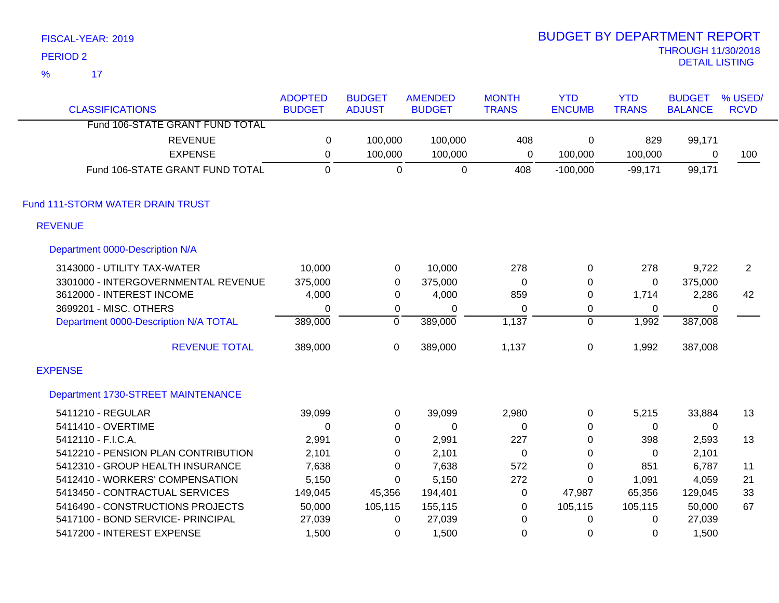| <b>PERIOD 2</b>                       |                                 |                                |                                 |                              |                             |                            | <b>THROUGH 11/30/2018</b><br><b>DETAIL LISTING</b> |                        |
|---------------------------------------|---------------------------------|--------------------------------|---------------------------------|------------------------------|-----------------------------|----------------------------|----------------------------------------------------|------------------------|
| $\frac{9}{6}$<br>17                   |                                 |                                |                                 |                              |                             |                            |                                                    |                        |
| <b>CLASSIFICATIONS</b>                | <b>ADOPTED</b><br><b>BUDGET</b> | <b>BUDGET</b><br><b>ADJUST</b> | <b>AMENDED</b><br><b>BUDGET</b> | <b>MONTH</b><br><b>TRANS</b> | <b>YTD</b><br><b>ENCUMB</b> | <b>YTD</b><br><b>TRANS</b> | <b>BUDGET</b><br><b>BALANCE</b>                    | % USED/<br><b>RCVD</b> |
| Fund 106-STATE GRANT FUND TOTAL       |                                 |                                |                                 |                              |                             |                            |                                                    |                        |
| <b>REVENUE</b>                        | 0                               | 100,000                        | 100,000                         | 408                          | 0                           | 829                        | 99,171                                             |                        |
| <b>EXPENSE</b>                        | $\pmb{0}$                       | 100,000                        | 100,000                         | $\mathbf 0$                  | 100,000                     | 100,000                    | 0                                                  | 100                    |
| Fund 106-STATE GRANT FUND TOTAL       | $\mathbf 0$                     | $\mathbf 0$                    | $\mathbf 0$                     | 408                          | $-100,000$                  | $-99,171$                  | 99,171                                             |                        |
| Fund 111-STORM WATER DRAIN TRUST      |                                 |                                |                                 |                              |                             |                            |                                                    |                        |
| <b>REVENUE</b>                        |                                 |                                |                                 |                              |                             |                            |                                                    |                        |
| Department 0000-Description N/A       |                                 |                                |                                 |                              |                             |                            |                                                    |                        |
| 3143000 - UTILITY TAX-WATER           | 10,000                          | $\pmb{0}$                      | 10,000                          | 278                          | 0                           | 278                        | 9,722                                              | $\overline{2}$         |
| 3301000 - INTERGOVERNMENTAL REVENUE   | 375,000                         | $\boldsymbol{0}$               | 375,000                         | $\pmb{0}$                    | 0                           | 0                          | 375,000                                            |                        |
| 3612000 - INTEREST INCOME             | 4,000                           | $\pmb{0}$                      | 4,000                           | 859                          | 0                           | 1,714                      | 2,286                                              | 42                     |
| 3699201 - MISC. OTHERS                | $\mathbf 0$                     | $\pmb{0}$                      | 0                               | 0                            | 0                           | 0                          | 0                                                  |                        |
| Department 0000-Description N/A TOTAL | 389,000                         | $\overline{0}$                 | 389,000                         | 1,137                        | $\mathbf 0$                 | 1,992                      | 387,008                                            |                        |
| <b>REVENUE TOTAL</b>                  | 389,000                         | $\pmb{0}$                      | 389,000                         | 1,137                        | $\pmb{0}$                   | 1,992                      | 387,008                                            |                        |
| <b>EXPENSE</b>                        |                                 |                                |                                 |                              |                             |                            |                                                    |                        |
| Department 1730-STREET MAINTENANCE    |                                 |                                |                                 |                              |                             |                            |                                                    |                        |
| 5411210 - REGULAR                     | 39,099                          | $\mathbf 0$                    | 39,099                          | 2,980                        | 0                           | 5,215                      | 33,884                                             | 13                     |
| 5411410 - OVERTIME                    | $\mathbf 0$                     | $\pmb{0}$                      | $\pmb{0}$                       | $\pmb{0}$                    | 0                           | $\mathbf 0$                | 0                                                  |                        |
| 5412110 - F.I.C.A.                    | 2,991                           | 0                              | 2,991                           | 227                          | 0                           | 398                        | 2,593                                              | 13                     |
| 5412210 - PENSION PLAN CONTRIBUTION   | 2,101                           | $\mathbf 0$                    | 2,101                           | $\boldsymbol{0}$             | 0                           | 0                          | 2,101                                              |                        |
| 5412310 - GROUP HEALTH INSURANCE      | 7,638                           | 0                              | 7,638                           | 572                          | 0                           | 851                        | 6,787                                              | 11                     |
| 5412410 - WORKERS' COMPENSATION       | 5,150                           | 0                              | 5,150                           | 272                          | 0                           | 1,091                      | 4,059                                              | 21                     |
| 5413450 - CONTRACTUAL SERVICES        | 149,045                         | 45,356                         | 194,401                         | $\pmb{0}$                    | 47,987                      | 65,356                     | 129,045                                            | 33                     |
| 5416490 - CONSTRUCTIONS PROJECTS      | 50,000                          | 105,115                        | 155,115                         | $\pmb{0}$                    | 105,115                     | 105,115                    | 50,000                                             | 67                     |
| 5417100 - BOND SERVICE- PRINCIPAL     | 27,039                          | $\pmb{0}$                      | 27,039                          | $\mathbf 0$                  | 0                           | 0                          | 27,039                                             |                        |
| 5417200 - INTEREST EXPENSE            | 1,500                           | 0                              | 1,500                           | 0                            | 0                           | 0                          | 1,500                                              |                        |

# BUDGET BY DEPARTMENT REPORT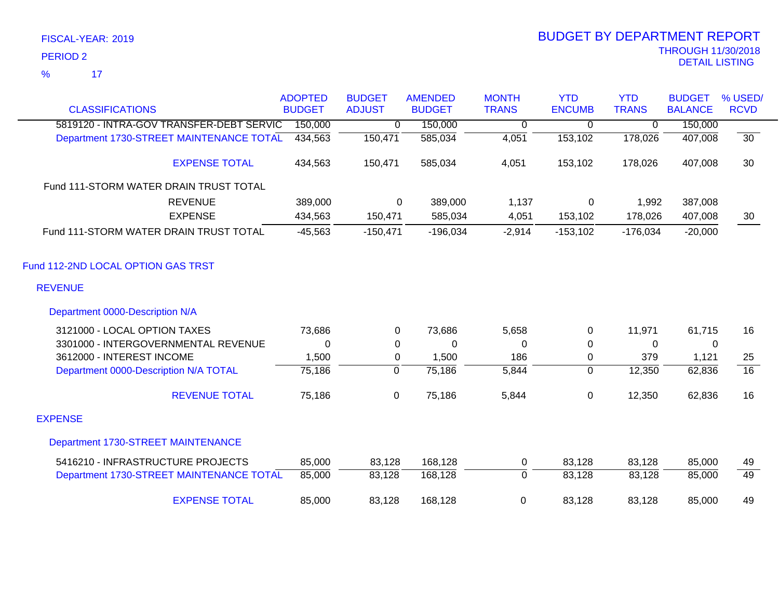| <b>CLASSIFICATIONS</b>                                              | <b>ADOPTED</b><br><b>BUDGET</b> | <b>BUDGET</b><br><b>ADJUST</b> | <b>AMENDED</b><br><b>BUDGET</b> | <b>MONTH</b><br><b>TRANS</b> | <b>YTD</b><br><b>ENCUMB</b> | <b>YTD</b><br><b>TRANS</b> | <b>BUDGET</b><br><b>BALANCE</b> | % USED/<br><b>RCVD</b> |
|---------------------------------------------------------------------|---------------------------------|--------------------------------|---------------------------------|------------------------------|-----------------------------|----------------------------|---------------------------------|------------------------|
| 5819120 - INTRA-GOV TRANSFER-DEBT SERVIC                            | 150,000                         | 0                              | 150,000                         | 0                            | 0                           | 0                          | 150,000                         |                        |
| Department 1730-STREET MAINTENANCE TOTAL                            | 434,563                         | 150,471                        | 585,034                         | 4,051                        | 153,102                     | 178,026                    | 407,008                         | $\overline{30}$        |
| <b>EXPENSE TOTAL</b>                                                | 434,563                         | 150,471                        | 585,034                         | 4,051                        | 153,102                     | 178,026                    | 407,008                         | 30                     |
| Fund 111-STORM WATER DRAIN TRUST TOTAL                              |                                 |                                |                                 |                              |                             |                            |                                 |                        |
| <b>REVENUE</b><br><b>EXPENSE</b>                                    | 389,000<br>434,563              | 0<br>150,471                   | 389,000<br>585,034              | 1,137<br>4,051               | 0<br>153,102                | 1,992<br>178,026           | 387,008<br>407,008              | 30                     |
| Fund 111-STORM WATER DRAIN TRUST TOTAL                              | $-45,563$                       | $-150,471$                     | $-196,034$                      | $-2,914$                     | $-153,102$                  | $-176,034$                 | $-20,000$                       |                        |
| Fund 112-2ND LOCAL OPTION GAS TRST<br><b>REVENUE</b>                |                                 |                                |                                 |                              |                             |                            |                                 |                        |
| Department 0000-Description N/A                                     |                                 |                                |                                 |                              |                             |                            |                                 |                        |
|                                                                     |                                 |                                |                                 |                              |                             |                            |                                 |                        |
| 3121000 - LOCAL OPTION TAXES<br>3301000 - INTERGOVERNMENTAL REVENUE | 73,686                          | 0                              | 73,686                          | 5,658                        | 0                           | 11,971                     | 61,715                          | 16                     |
| 3612000 - INTEREST INCOME                                           | 0<br>1,500                      | $\pmb{0}$<br>0                 | $\mathbf 0$<br>1,500            | 0<br>186                     | 0<br>0                      | 0<br>379                   | 0<br>1,121                      | 25                     |
| Department 0000-Description N/A TOTAL                               | 75,186                          | $\mathbf{0}$                   | 75,186                          | 5,844                        | $\Omega$                    | 12,350                     | 62,836                          | $\overline{16}$        |
| <b>REVENUE TOTAL</b>                                                | 75,186                          | $\mathbf 0$                    | 75,186                          | 5,844                        | 0                           | 12,350                     | 62,836                          | 16                     |
| <b>EXPENSE</b>                                                      |                                 |                                |                                 |                              |                             |                            |                                 |                        |
| Department 1730-STREET MAINTENANCE                                  |                                 |                                |                                 |                              |                             |                            |                                 |                        |
| 5416210 - INFRASTRUCTURE PROJECTS                                   | 85,000                          | 83,128                         | 168,128                         | 0                            | 83,128                      | 83,128                     | 85,000                          | 49                     |
| Department 1730-STREET MAINTENANCE TOTAL                            | 85,000                          | 83,128                         | 168,128                         | $\mathbf 0$                  | 83,128                      | 83,128                     | 85,000                          | 49                     |
| <b>EXPENSE TOTAL</b>                                                | 85,000                          | 83,128                         | 168,128                         | 0                            | 83,128                      | 83,128                     | 85,000                          | 49                     |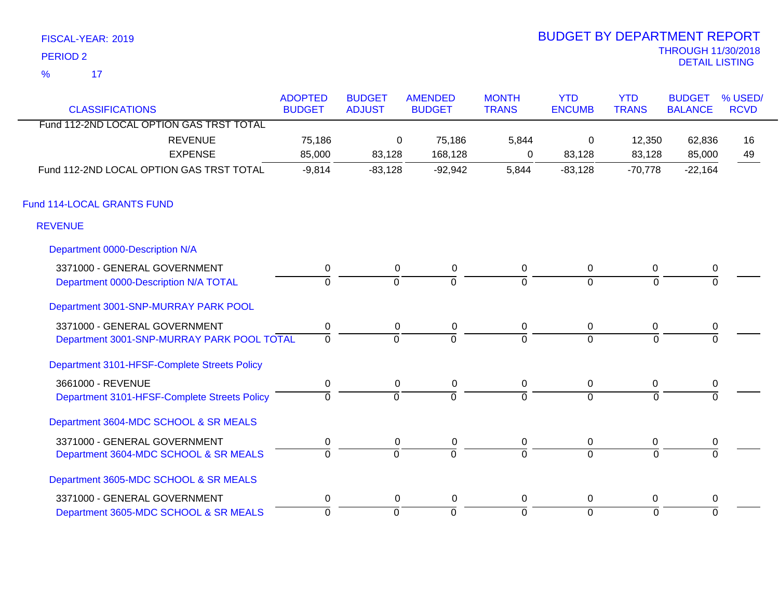|                     | FISCAL-YEAR: 2019 |  |  |
|---------------------|-------------------|--|--|
| PERIOD <sub>2</sub> |                   |  |  |
| %                   | 17                |  |  |

| <b>CLASSIFICATIONS</b>                       | <b>ADOPTED</b><br><b>BUDGET</b> | <b>BUDGET</b><br><b>ADJUST</b> | <b>AMENDED</b><br><b>BUDGET</b> | <b>MONTH</b><br><b>TRANS</b> | <b>YTD</b><br><b>ENCUMB</b> | <b>YTD</b><br><b>TRANS</b> | <b>BUDGET</b><br><b>BALANCE</b> | % USED/<br><b>RCVD</b> |
|----------------------------------------------|---------------------------------|--------------------------------|---------------------------------|------------------------------|-----------------------------|----------------------------|---------------------------------|------------------------|
| Fund 112-2ND LOCAL OPTION GAS TRST TOTAL     |                                 |                                |                                 |                              |                             |                            |                                 |                        |
| <b>REVENUE</b>                               | 75,186                          | 0                              | 75,186                          | 5,844                        | 0                           | 12,350                     | 62,836                          | 16                     |
| <b>EXPENSE</b>                               | 85,000                          | 83,128                         | 168,128                         | 0                            | 83,128                      | 83,128                     | 85,000                          | 49                     |
| Fund 112-2ND LOCAL OPTION GAS TRST TOTAL     | $-9,814$                        | $-83,128$                      | $-92,942$                       | 5,844                        | $-83,128$                   | $-70,778$                  | $-22,164$                       |                        |
| Fund 114-LOCAL GRANTS FUND                   |                                 |                                |                                 |                              |                             |                            |                                 |                        |
| <b>REVENUE</b>                               |                                 |                                |                                 |                              |                             |                            |                                 |                        |
| Department 0000-Description N/A              |                                 |                                |                                 |                              |                             |                            |                                 |                        |
| 3371000 - GENERAL GOVERNMENT                 | 0                               | $\mathbf{0}$                   | $\mathbf 0$                     | 0                            | $\mathbf 0$                 | 0                          | 0                               |                        |
| Department 0000-Description N/A TOTAL        | $\Omega$                        | $\Omega$                       | $\Omega$                        | $\Omega$                     | $\Omega$                    | $\Omega$                   | $\Omega$                        |                        |
| Department 3001-SNP-MURRAY PARK POOL         |                                 |                                |                                 |                              |                             |                            |                                 |                        |
| 3371000 - GENERAL GOVERNMENT                 | 0                               | 0                              | 0                               | 0                            | $\mathbf 0$                 | 0                          | 0                               |                        |
| Department 3001-SNP-MURRAY PARK POOL TOTAL   | $\overline{0}$                  | $\overline{0}$                 | $\overline{0}$                  | $\Omega$                     | $\overline{0}$              | $\Omega$                   | $\Omega$                        |                        |
| Department 3101-HFSF-Complete Streets Policy |                                 |                                |                                 |                              |                             |                            |                                 |                        |
| 3661000 - REVENUE                            | 0                               | 0                              | 0                               | 0                            | 0                           | 0                          | 0                               |                        |
| Department 3101-HFSF-Complete Streets Policy | $\mathbf 0$                     | $\overline{0}$                 | $\overline{0}$                  | $\overline{0}$               | $\overline{0}$              | $\Omega$                   | $\Omega$                        |                        |
| Department 3604-MDC SCHOOL & SR MEALS        |                                 |                                |                                 |                              |                             |                            |                                 |                        |
| 3371000 - GENERAL GOVERNMENT                 | 0                               | 0                              | 0                               | 0                            | 0                           | 0                          | 0                               |                        |
| Department 3604-MDC SCHOOL & SR MEALS        | $\Omega$                        | $\overline{0}$                 | $\overline{0}$                  | $\overline{0}$               | $\overline{0}$              | $\overline{0}$             | $\Omega$                        |                        |
| Department 3605-MDC SCHOOL & SR MEALS        |                                 |                                |                                 |                              |                             |                            |                                 |                        |
| 3371000 - GENERAL GOVERNMENT                 | $\pmb{0}$                       | 0                              | $\mathbf 0$                     | $\mathbf 0$                  | 0                           | 0                          | $\mathbf 0$                     |                        |
| Department 3605-MDC SCHOOL & SR MEALS        | 0                               | 0                              | $\overline{0}$                  | 0                            | $\overline{0}$              | 0                          | $\overline{0}$                  |                        |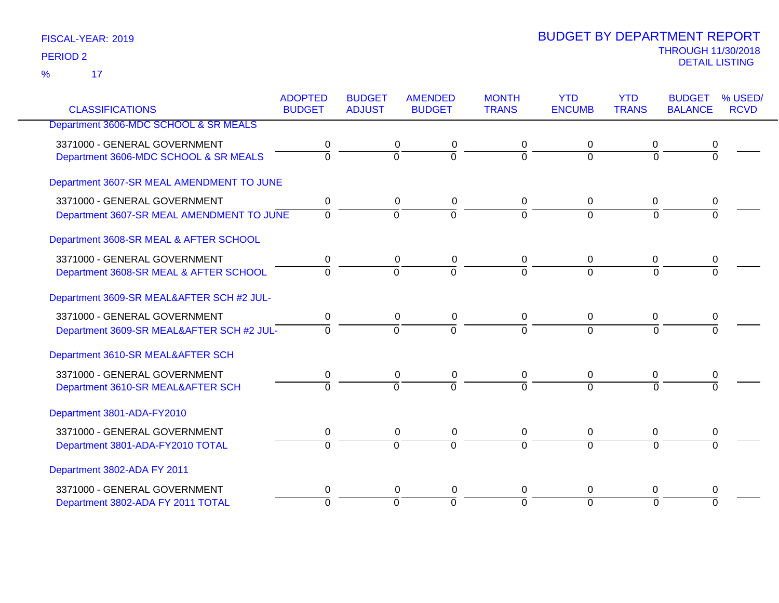| <b>CLASSIFICATIONS</b>                    | <b>ADOPTED</b><br><b>BUDGET</b> | <b>BUDGET</b><br><b>ADJUST</b> | <b>AMENDED</b><br><b>BUDGET</b> | <b>MONTH</b><br><b>TRANS</b> | <b>YTD</b><br><b>ENCUMB</b> | <b>YTD</b><br><b>TRANS</b> | <b>BUDGET</b><br><b>BALANCE</b> | % USED/<br><b>RCVD</b> |
|-------------------------------------------|---------------------------------|--------------------------------|---------------------------------|------------------------------|-----------------------------|----------------------------|---------------------------------|------------------------|
|                                           |                                 |                                |                                 |                              |                             |                            |                                 |                        |
| Department 3606-MDC SCHOOL & SR MEALS     |                                 |                                |                                 |                              |                             |                            |                                 |                        |
| 3371000 - GENERAL GOVERNMENT              | 0                               | 0                              | 0                               | 0                            | 0                           | 0                          | 0                               |                        |
| Department 3606-MDC SCHOOL & SR MEALS     | $\overline{0}$                  | $\overline{0}$                 | $\overline{0}$                  | $\overline{0}$               | $\Omega$                    | $\Omega$                   | $\overline{0}$                  |                        |
| Department 3607-SR MEAL AMENDMENT TO JUNE |                                 |                                |                                 |                              |                             |                            |                                 |                        |
| 3371000 - GENERAL GOVERNMENT              | 0                               |                                | 0<br>0                          | 0                            | $\mathbf 0$                 | $\mathbf 0$                | 0                               |                        |
| Department 3607-SR MEAL AMENDMENT TO JUNE | $\overline{0}$                  | $\overline{0}$                 | $\overline{0}$                  | $\overline{0}$               | $\overline{0}$              | $\overline{0}$             | $\Omega$                        |                        |
|                                           |                                 |                                |                                 |                              |                             |                            |                                 |                        |
| Department 3608-SR MEAL & AFTER SCHOOL    |                                 |                                |                                 |                              |                             |                            |                                 |                        |
| 3371000 - GENERAL GOVERNMENT              | 0                               | 0                              | 0                               | 0                            | 0                           | 0                          | 0                               |                        |
| Department 3608-SR MEAL & AFTER SCHOOL    | $\overline{0}$                  | $\overline{0}$                 | $\overline{0}$                  | $\Omega$                     | $\Omega$                    | $\Omega$                   | 0                               |                        |
| Department 3609-SR MEAL&AFTER SCH #2 JUL- |                                 |                                |                                 |                              |                             |                            |                                 |                        |
| 3371000 - GENERAL GOVERNMENT              | $\mathbf 0$                     | 0                              | 0                               | 0                            | $\mathbf 0$                 | 0                          | 0                               |                        |
| Department 3609-SR MEAL&AFTER SCH #2 JUL- | $\overline{0}$                  | $\overline{0}$                 | $\overline{0}$                  | $\Omega$                     | $\Omega$                    | $\overline{0}$             | $\overline{0}$                  |                        |
| Department 3610-SR MEAL&AFTER SCH         |                                 |                                |                                 |                              |                             |                            |                                 |                        |
| 3371000 - GENERAL GOVERNMENT              | 0                               |                                | 0<br>$\mathbf 0$                | 0                            | $\mathbf 0$                 | $\mathbf 0$                | 0                               |                        |
| Department 3610-SR MEAL&AFTER SCH         | $\Omega$                        | $\Omega$                       | $\Omega$                        | $\Omega$                     | $\Omega$                    | $\Omega$                   |                                 |                        |
| Department 3801-ADA-FY2010                |                                 |                                |                                 |                              |                             |                            |                                 |                        |
| 3371000 - GENERAL GOVERNMENT              | 0                               |                                | 0<br>0                          | 0                            | $\pmb{0}$                   | 0                          | 0                               |                        |
| Department 3801-ADA-FY2010 TOTAL          | $\overline{0}$                  | $\overline{0}$                 | $\overline{0}$                  | $\Omega$                     | $\overline{0}$              | $\Omega$                   | $\overline{0}$                  |                        |
| Department 3802-ADA FY 2011               |                                 |                                |                                 |                              |                             |                            |                                 |                        |
| 3371000 - GENERAL GOVERNMENT              | 0                               |                                | 0<br>0                          | 0                            | 0                           | 0                          | 0                               |                        |
| Department 3802-ADA FY 2011 TOTAL         | $\Omega$                        | $\overline{0}$                 | $\overline{0}$                  | $\overline{0}$               | $\overline{0}$              | $\Omega$                   | $\overline{0}$                  |                        |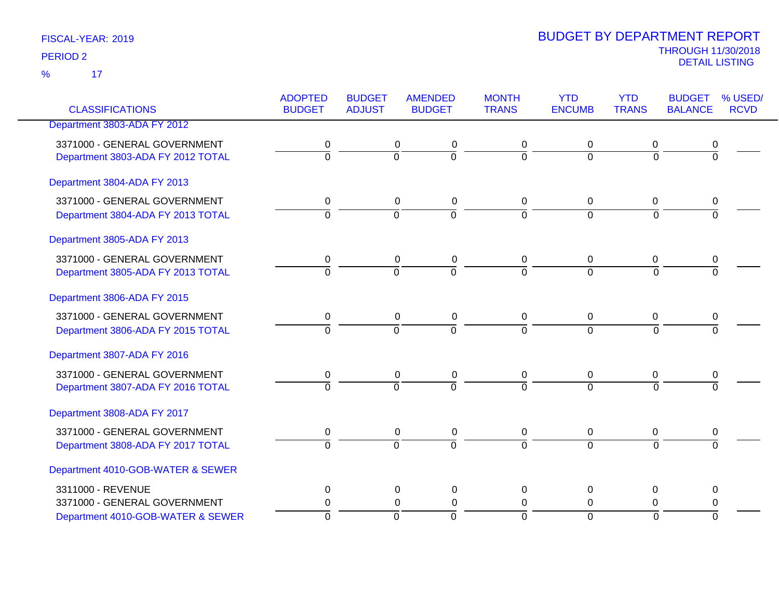17 %

| <b>CLASSIFICATIONS</b>                                            | <b>ADOPTED</b><br><b>BUDGET</b> | <b>BUDGET</b><br><b>ADJUST</b> | <b>AMENDED</b><br><b>BUDGET</b>                              | <b>MONTH</b><br><b>TRANS</b> | <b>YTD</b><br><b>ENCUMB</b>   | <b>YTD</b><br><b>TRANS</b>  | <b>BUDGET</b><br><b>BALANCE</b> | % USED/<br><b>RCVD</b> |
|-------------------------------------------------------------------|---------------------------------|--------------------------------|--------------------------------------------------------------|------------------------------|-------------------------------|-----------------------------|---------------------------------|------------------------|
| Department 3803-ADA FY 2012                                       |                                 |                                |                                                              |                              |                               |                             |                                 |                        |
| 3371000 - GENERAL GOVERNMENT<br>Department 3803-ADA FY 2012 TOTAL | 0<br>$\overline{0}$             |                                | 0<br>0<br>$\overline{0}$<br>$\overline{0}$                   | 0<br>$\overline{0}$          | 0<br>$\overline{0}$           | 0<br>$\overline{0}$         | 0<br>$\overline{0}$             |                        |
| Department 3804-ADA FY 2013                                       |                                 |                                |                                                              |                              |                               |                             |                                 |                        |
| 3371000 - GENERAL GOVERNMENT<br>Department 3804-ADA FY 2013 TOTAL | 0<br>$\overline{0}$             |                                | 0<br>0<br>$\overline{0}$<br>$\overline{0}$                   | 0<br>$\overline{0}$          | $\mathbf 0$<br>$\overline{0}$ | 0<br>$\overline{0}$         | 0<br>$\overline{0}$             |                        |
| Department 3805-ADA FY 2013                                       |                                 |                                |                                                              |                              |                               |                             |                                 |                        |
| 3371000 - GENERAL GOVERNMENT<br>Department 3805-ADA FY 2013 TOTAL | 0<br>$\overline{0}$             |                                | $\mathbf 0$<br>$\pmb{0}$<br>$\overline{0}$<br>$\overline{0}$ | 0<br>$\Omega$                | $\mathbf 0$<br>$\Omega$       | 0<br>$\overline{0}$         | 0<br>$\overline{0}$             |                        |
| Department 3806-ADA FY 2015                                       |                                 |                                |                                                              |                              |                               |                             |                                 |                        |
| 3371000 - GENERAL GOVERNMENT<br>Department 3806-ADA FY 2015 TOTAL | 0<br>$\overline{0}$             |                                | $\pmb{0}$<br>$\mathbf 0$<br>$\overline{0}$<br>$\overline{0}$ | $\pmb{0}$<br>$\Omega$        | $\mathbf 0$<br>$\overline{0}$ | $\pmb{0}$<br>$\overline{0}$ | 0<br>$\Omega$                   |                        |
| Department 3807-ADA FY 2016                                       |                                 |                                |                                                              |                              |                               |                             |                                 |                        |
| 3371000 - GENERAL GOVERNMENT<br>Department 3807-ADA FY 2016 TOTAL | 0<br>$\Omega$                   |                                | 0<br>$\pmb{0}$<br>$\overline{0}$<br>$\overline{0}$           | $\pmb{0}$<br>$\Omega$        | 0<br>$\Omega$                 | $\pmb{0}$<br>$\Omega$       | 0<br>$\Omega$                   |                        |
| Department 3808-ADA FY 2017                                       |                                 |                                |                                                              |                              |                               |                             |                                 |                        |
| 3371000 - GENERAL GOVERNMENT<br>Department 3808-ADA FY 2017 TOTAL | 0<br>$\Omega$                   |                                | $\pmb{0}$<br>0<br>$\overline{0}$<br>$\overline{0}$           | $\pmb{0}$<br>$\Omega$        | $\pmb{0}$<br>$\overline{0}$   | $\pmb{0}$<br>$\Omega$       | $\pmb{0}$<br>$\overline{0}$     |                        |
| Department 4010-GOB-WATER & SEWER                                 |                                 |                                |                                                              |                              |                               |                             |                                 |                        |
| 3311000 - REVENUE<br>3371000 - GENERAL GOVERNMENT                 | 0                               |                                | $\mathbf 0$<br>$\pmb{0}$                                     | 0                            | $\pmb{0}$                     | $\pmb{0}$                   | 0                               |                        |
| Department 4010-GOB-WATER & SEWER                                 | 0<br>$\overline{0}$             |                                | $\mathbf 0$<br>$\pmb{0}$<br>ō<br>$\overline{0}$              | $\pmb{0}$<br>$\Omega$        | $\pmb{0}$<br>$\mathbf 0$      | $\mathbf 0$<br>0            | $\pmb{0}$<br>$\Omega$           |                        |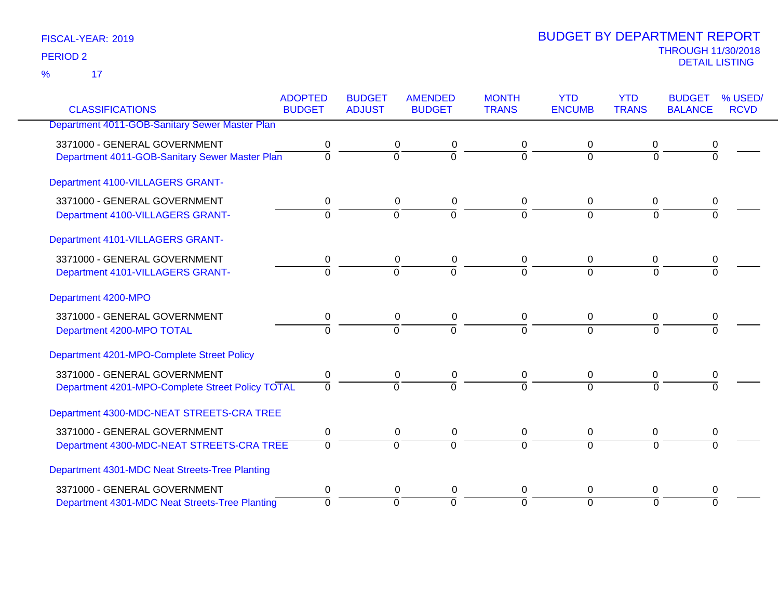17 %

|                                                  | <b>ADOPTED</b><br><b>BUDGET</b> | <b>BUDGET</b>  | <b>AMENDED</b>           | <b>MONTH</b><br><b>TRANS</b> | <b>YTD</b><br><b>ENCUMB</b> | <b>YTD</b><br><b>TRANS</b> | <b>BUDGET</b>  | % USED/<br><b>RCVD</b> |
|--------------------------------------------------|---------------------------------|----------------|--------------------------|------------------------------|-----------------------------|----------------------------|----------------|------------------------|
| <b>CLASSIFICATIONS</b>                           |                                 | <b>ADJUST</b>  | <b>BUDGET</b>            |                              |                             |                            | <b>BALANCE</b> |                        |
| Department 4011-GOB-Sanitary Sewer Master Plan   |                                 |                |                          |                              |                             |                            |                |                        |
| 3371000 - GENERAL GOVERNMENT                     | 0                               |                | 0<br>0                   | 0                            | 0                           | 0                          | 0              |                        |
| Department 4011-GOB-Sanitary Sewer Master Plan   | $\overline{0}$                  | $\mathbf 0$    | $\overline{0}$           | $\Omega$                     | $\overline{0}$              | $\Omega$                   | 0              |                        |
| Department 4100-VILLAGERS GRANT-                 |                                 |                |                          |                              |                             |                            |                |                        |
| 3371000 - GENERAL GOVERNMENT                     | 0                               |                | $\mathbf 0$<br>$\pmb{0}$ | 0                            | $\mathbf 0$                 | 0                          | 0              |                        |
| Department 4100-VILLAGERS GRANT-                 | $\overline{0}$                  | $\overline{0}$ | $\overline{0}$           | $\overline{0}$               | $\overline{0}$              | $\Omega$                   | $\Omega$       |                        |
| Department 4101-VILLAGERS GRANT-                 |                                 |                |                          |                              |                             |                            |                |                        |
| 3371000 - GENERAL GOVERNMENT                     | 0                               |                | 0<br>0                   | 0                            | 0                           | 0                          | 0              |                        |
| Department 4101-VILLAGERS GRANT-                 | $\Omega$                        | $\overline{0}$ | $\overline{0}$           | $\Omega$                     | $\Omega$                    | $\Omega$                   | $\Omega$       |                        |
| Department 4200-MPO                              |                                 |                |                          |                              |                             |                            |                |                        |
| 3371000 - GENERAL GOVERNMENT                     | $\mathbf 0$                     |                | $\mathbf 0$<br>0         | $\mathbf 0$                  | $\mathbf 0$                 | $\mathbf 0$                | 0              |                        |
| Department 4200-MPO TOTAL                        | $\Omega$                        | $\Omega$       | $\overline{0}$           | $\Omega$                     | $\Omega$                    | $\Omega$                   | 0              |                        |
| Department 4201-MPO-Complete Street Policy       |                                 |                |                          |                              |                             |                            |                |                        |
| 3371000 - GENERAL GOVERNMENT                     | 0                               |                | $\mathbf 0$<br>$\pmb{0}$ | $\mathbf 0$                  | $\mathbf 0$                 | 0                          | 0              |                        |
| Department 4201-MPO-Complete Street Policy TOTAL | $\overline{0}$                  | $\Omega$       | $\overline{0}$           | $\Omega$                     | $\overline{0}$              | $\Omega$                   | O              |                        |
| Department 4300-MDC-NEAT STREETS-CRA TREE        |                                 |                |                          |                              |                             |                            |                |                        |
| 3371000 - GENERAL GOVERNMENT                     | 0                               |                | $\pmb{0}$<br>$\pmb{0}$   | 0                            | $\mathbf 0$                 | $\mathbf 0$                | 0              |                        |
| Department 4300-MDC-NEAT STREETS-CRA TREE        | $\mathbf 0$                     | $\mathbf 0$    | $\Omega$                 | $\Omega$                     | $\Omega$                    | $\Omega$                   | $\Omega$       |                        |
| Department 4301-MDC Neat Streets-Tree Planting   |                                 |                |                          |                              |                             |                            |                |                        |
| 3371000 - GENERAL GOVERNMENT                     | 0                               |                | 0<br>0                   | 0                            | 0                           | 0                          | 0              |                        |
| Department 4301-MDC Neat Streets-Tree Planting   | $\Omega$                        | $\overline{0}$ | $\Omega$                 | $\Omega$                     | $\overline{0}$              | $\Omega$                   | $\Omega$       |                        |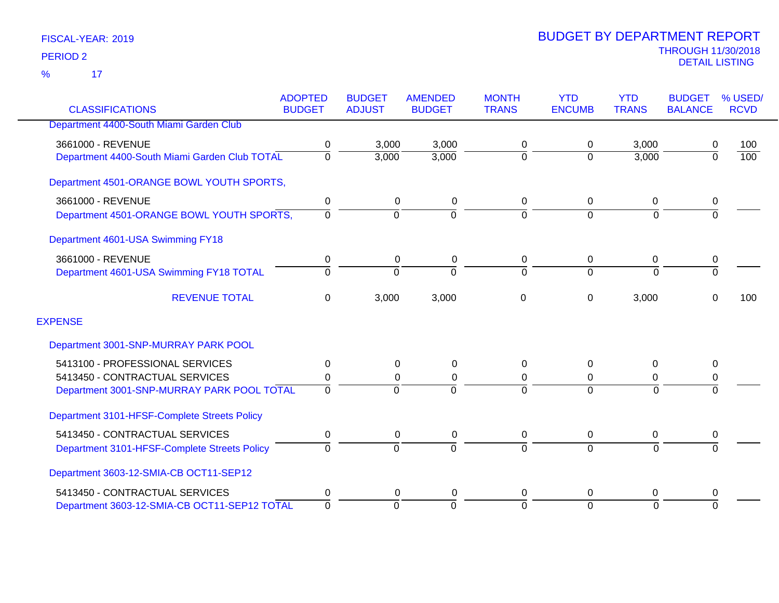|                                               | <b>ADOPTED</b><br><b>BUDGET</b> | <b>BUDGET</b> | <b>AMENDED</b> | <b>MONTH</b><br><b>TRANS</b> | <b>YTD</b><br><b>ENCUMB</b> | <b>YTD</b><br><b>TRANS</b> | <b>BUDGET</b>  | % USED/<br><b>RCVD</b> |
|-----------------------------------------------|---------------------------------|---------------|----------------|------------------------------|-----------------------------|----------------------------|----------------|------------------------|
| <b>CLASSIFICATIONS</b>                        |                                 | <b>ADJUST</b> | <b>BUDGET</b>  |                              |                             |                            | <b>BALANCE</b> |                        |
| Department 4400-South Miami Garden Club       |                                 |               |                |                              |                             |                            |                |                        |
| 3661000 - REVENUE                             | 0                               | 3,000         | 3,000          | 0                            | $\mathbf 0$                 | 3,000                      | 0              | 100                    |
| Department 4400-South Miami Garden Club TOTAL | 0                               | 3,000         | 3,000          | $\pmb{0}$                    | $\Omega$                    | 3,000                      | $\mathbf 0$    | 100                    |
| Department 4501-ORANGE BOWL YOUTH SPORTS,     |                                 |               |                |                              |                             |                            |                |                        |
| 3661000 - REVENUE                             | 0                               | $\mathbf 0$   | 0              | 0                            | $\mathbf 0$                 | 0                          | 0              |                        |
| Department 4501-ORANGE BOWL YOUTH SPORTS,     | 0                               | 0             | $\Omega$       | $\overline{0}$               | $\Omega$                    | $\overline{0}$             | $\overline{0}$ |                        |
| Department 4601-USA Swimming FY18             |                                 |               |                |                              |                             |                            |                |                        |
| 3661000 - REVENUE                             | 0                               | $\mathbf 0$   | 0              | 0                            | $\mathbf 0$                 | $\mathbf 0$                | 0              |                        |
| Department 4601-USA Swimming FY18 TOTAL       | $\Omega$                        | $\Omega$      | $\Omega$       | $\Omega$                     | $\Omega$                    | $\Omega$                   | $\overline{0}$ |                        |
| <b>REVENUE TOTAL</b>                          | 0                               | 3,000         | 3,000          | 0                            | 0                           | 3,000                      | $\Omega$       | 100                    |
| <b>EXPENSE</b>                                |                                 |               |                |                              |                             |                            |                |                        |
| Department 3001-SNP-MURRAY PARK POOL          |                                 |               |                |                              |                             |                            |                |                        |
| 5413100 - PROFESSIONAL SERVICES               | 0                               | $\mathbf 0$   | 0              | 0                            | $\Omega$                    | $\mathbf 0$                | 0              |                        |
| 5413450 - CONTRACTUAL SERVICES                | 0                               | 0             | 0              | 0                            | 0                           | 0                          | 0              |                        |
| Department 3001-SNP-MURRAY PARK POOL TOTAL    | $\Omega$                        | $\Omega$      | $\Omega$       | $\Omega$                     | $\Omega$                    | $\Omega$                   | $\Omega$       |                        |
| Department 3101-HFSF-Complete Streets Policy  |                                 |               |                |                              |                             |                            |                |                        |
| 5413450 - CONTRACTUAL SERVICES                | 0                               | 0             | 0              | 0                            | 0                           | 0                          | 0              |                        |
| Department 3101-HFSF-Complete Streets Policy  | $\Omega$                        | $\Omega$      | $\Omega$       | $\mathbf 0$                  | $\Omega$                    | $\Omega$                   | $\overline{0}$ |                        |
| Department 3603-12-SMIA-CB OCT11-SEP12        |                                 |               |                |                              |                             |                            |                |                        |
| 5413450 - CONTRACTUAL SERVICES                | 0                               | 0             | 0              | 0                            | 0                           | 0                          | 0              |                        |
| Department 3603-12-SMIA-CB OCT11-SEP12 TOTAL  | $\mathbf 0$                     | $\Omega$      | $\Omega$       | $\overline{0}$               | $\Omega$                    | $\overline{0}$             | $\Omega$       |                        |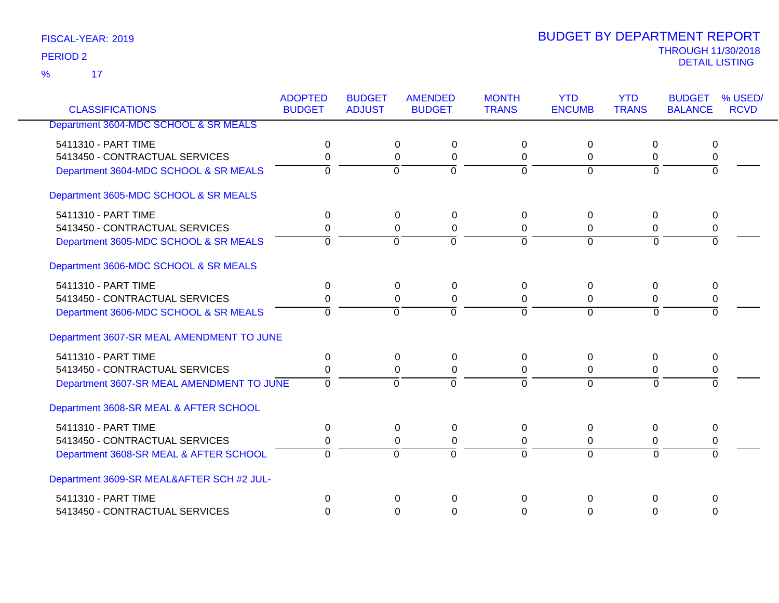17 %

|                                           | <b>ADOPTED</b> | <b>BUDGET</b>  | <b>AMENDED</b>                   | <b>MONTH</b>   | <b>YTD</b>     | <b>YTD</b>     | <b>BUDGET</b>  | % USED/     |
|-------------------------------------------|----------------|----------------|----------------------------------|----------------|----------------|----------------|----------------|-------------|
| <b>CLASSIFICATIONS</b>                    | <b>BUDGET</b>  | <b>ADJUST</b>  | <b>BUDGET</b>                    | <b>TRANS</b>   | <b>ENCUMB</b>  | <b>TRANS</b>   | <b>BALANCE</b> | <b>RCVD</b> |
| Department 3604-MDC SCHOOL & SR MEALS     |                |                |                                  |                |                |                |                |             |
| 5411310 - PART TIME                       | 0              |                | $\mathbf 0$<br>0                 | $\Omega$       | $\Omega$       | $\Omega$       | 0              |             |
| 5413450 - CONTRACTUAL SERVICES            | 0              |                | 0<br>0                           | 0              | $\Omega$       | 0              | 0              |             |
| Department 3604-MDC SCHOOL & SR MEALS     | $\overline{0}$ |                | $\overline{0}$<br>$\overline{0}$ | $\overline{0}$ | $\overline{0}$ | $\overline{0}$ | $\overline{0}$ |             |
| Department 3605-MDC SCHOOL & SR MEALS     |                |                |                                  |                |                |                |                |             |
| 5411310 - PART TIME                       | 0              |                | $\mathbf 0$<br>$\mathbf 0$       | $\Omega$       | 0              | 0              | 0              |             |
| 5413450 - CONTRACTUAL SERVICES            | 0              |                | $\pmb{0}$<br>0                   | 0              | 0              | 0              | 0              |             |
| Department 3605-MDC SCHOOL & SR MEALS     | $\Omega$       |                | $\Omega$<br>$\Omega$             | $\mathbf{0}$   | $\Omega$       | $\Omega$       | $\Omega$       |             |
| Department 3606-MDC SCHOOL & SR MEALS     |                |                |                                  |                |                |                |                |             |
| 5411310 - PART TIME                       | 0              |                | 0<br>0                           | $\Omega$       | 0              | 0              | 0              |             |
| 5413450 - CONTRACTUAL SERVICES            | 0              |                | $\mathbf{0}$<br>$\mathbf 0$      | $\Omega$       | $\Omega$       | 0              | 0              |             |
| Department 3606-MDC SCHOOL & SR MEALS     | $\Omega$       | $\overline{0}$ | $\overline{0}$                   | $\Omega$       | $\Omega$       | $\Omega$       | $\overline{0}$ |             |
| Department 3607-SR MEAL AMENDMENT TO JUNE |                |                |                                  |                |                |                |                |             |
| 5411310 - PART TIME                       | $\mathbf{0}$   |                | 0<br>$\mathbf{0}$                | $\Omega$       | 0              | $\Omega$       | $\Omega$       |             |
| 5413450 - CONTRACTUAL SERVICES            | 0              |                | $\Omega$<br>0                    | $\Omega$       | $\Omega$       | $\Omega$       | 0              |             |
| Department 3607-SR MEAL AMENDMENT TO JUNE | $\overline{0}$ | $\Omega$       | $\Omega$                         | $\Omega$       | $\Omega$       | $\Omega$       | $\Omega$       |             |
| Department 3608-SR MEAL & AFTER SCHOOL    |                |                |                                  |                |                |                |                |             |
| 5411310 - PART TIME                       | 0              |                | 0<br>0                           | 0              | 0              | 0              | 0              |             |
| 5413450 - CONTRACTUAL SERVICES            | 0              |                | 0<br>0                           | 0              | 0              | 0              | 0              |             |
| Department 3608-SR MEAL & AFTER SCHOOL    | $\Omega$       | $\overline{0}$ | $\overline{0}$                   | $\Omega$       | $\overline{0}$ | $\overline{0}$ | $\Omega$       |             |
| Department 3609-SR MEAL&AFTER SCH #2 JUL- |                |                |                                  |                |                |                |                |             |
| 5411310 - PART TIME                       | $\mathbf 0$    |                | $\Omega$<br>$\Omega$             | 0              | $\Omega$       | 0              | $\Omega$       |             |
| 5413450 - CONTRACTUAL SERVICES            | $\Omega$       |                | 0<br>$\Omega$                    | $\Omega$       | $\Omega$       | $\Omega$       | $\Omega$       |             |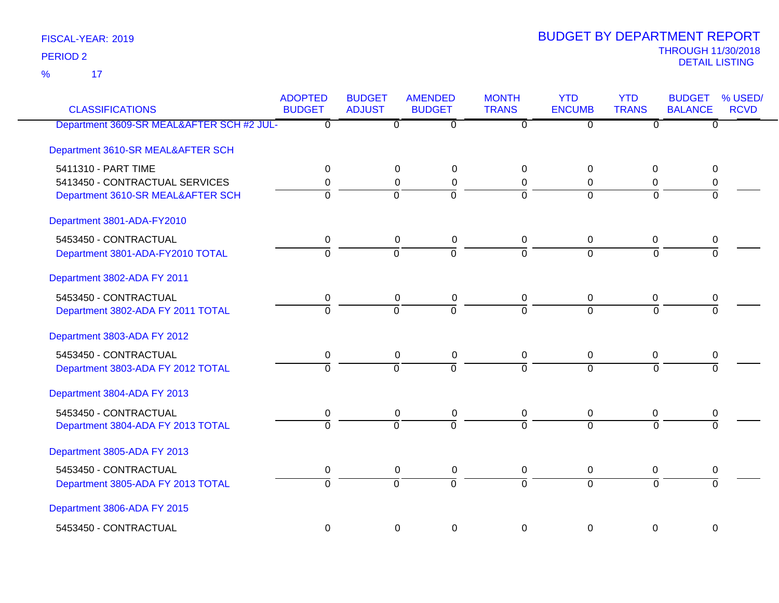17 %

| <b>CLASSIFICATIONS</b>                    | <b>ADOPTED</b><br><b>BUDGET</b> | <b>BUDGET</b><br><b>ADJUST</b> | <b>AMENDED</b><br><b>BUDGET</b> | <b>MONTH</b><br><b>TRANS</b> | <b>YTD</b><br><b>ENCUMB</b> | <b>YTD</b><br><b>TRANS</b> | <b>BUDGET</b><br><b>BALANCE</b> | % USED/<br><b>RCVD</b> |
|-------------------------------------------|---------------------------------|--------------------------------|---------------------------------|------------------------------|-----------------------------|----------------------------|---------------------------------|------------------------|
| Department 3609-SR MEAL&AFTER SCH #2 JUL- | $\overline{\mathfrak{o}}$       | $\overline{0}$                 | $\overline{0}$                  | $\overline{\mathfrak{o}}$    | $\overline{0}$              | $\overline{\mathfrak{o}}$  | $\overline{0}$                  |                        |
| Department 3610-SR MEAL&AFTER SCH         |                                 |                                |                                 |                              |                             |                            |                                 |                        |
| 5411310 - PART TIME                       | 0                               | $\Omega$                       | 0                               | $\overline{0}$               | $\Omega$                    | 0                          | 0                               |                        |
| 5413450 - CONTRACTUAL SERVICES            | 0                               | 0                              | 0                               | 0                            | $\Omega$                    | 0                          | 0                               |                        |
| Department 3610-SR MEAL&AFTER SCH         | $\overline{0}$                  | $\overline{0}$                 | 0                               | $\Omega$                     | $\Omega$                    | $\Omega$                   | $\overline{0}$                  |                        |
| Department 3801-ADA-FY2010                |                                 |                                |                                 |                              |                             |                            |                                 |                        |
| 5453450 - CONTRACTUAL                     | 0                               | 0                              | $\pmb{0}$                       | $\mathbf 0$                  | 0                           | $\mathbf 0$                | 0                               |                        |
| Department 3801-ADA-FY2010 TOTAL          | $\overline{0}$                  | $\overline{0}$                 | $\overline{0}$                  | $\Omega$                     | $\Omega$                    | $\Omega$                   | $\overline{0}$                  |                        |
| Department 3802-ADA FY 2011               |                                 |                                |                                 |                              |                             |                            |                                 |                        |
| 5453450 - CONTRACTUAL                     | $\pmb{0}$                       | 0                              | $\pmb{0}$                       | $\mathbf 0$                  | $\mathbf 0$                 | $\mathbf 0$                | $\pmb{0}$                       |                        |
| Department 3802-ADA FY 2011 TOTAL         | $\overline{0}$                  | $\Omega$                       | $\overline{0}$                  | $\Omega$                     | $\Omega$                    | $\Omega$                   | $\overline{0}$                  |                        |
| Department 3803-ADA FY 2012               |                                 |                                |                                 |                              |                             |                            |                                 |                        |
| 5453450 - CONTRACTUAL                     | 0                               | 0                              | $\pmb{0}$                       | 0                            | $\mathbf 0$                 | $\mathbf 0$                | 0                               |                        |
| Department 3803-ADA FY 2012 TOTAL         | $\overline{0}$                  | $\overline{0}$                 | $\overline{0}$                  | $\overline{0}$               | $\overline{0}$              | $\overline{0}$             | $\overline{0}$                  |                        |
| Department 3804-ADA FY 2013               |                                 |                                |                                 |                              |                             |                            |                                 |                        |
| 5453450 - CONTRACTUAL                     | 0                               | 0                              | 0                               | 0                            | 0                           | 0                          | 0                               |                        |
| Department 3804-ADA FY 2013 TOTAL         | $\overline{0}$                  | $\overline{0}$                 | $\overline{0}$                  | $\overline{0}$               | $\overline{0}$              | $\Omega$                   | $\overline{0}$                  |                        |
| Department 3805-ADA FY 2013               |                                 |                                |                                 |                              |                             |                            |                                 |                        |
| 5453450 - CONTRACTUAL                     | 0                               | 0                              | $\pmb{0}$                       | $\mathbf 0$                  | $\mathbf 0$                 | $\mathbf 0$                | $\pmb{0}$                       |                        |
| Department 3805-ADA FY 2013 TOTAL         | $\overline{0}$                  | $\overline{0}$                 | $\overline{0}$                  | $\overline{0}$               | $\overline{0}$              | $\overline{0}$             | $\overline{0}$                  |                        |
| Department 3806-ADA FY 2015               |                                 |                                |                                 |                              |                             |                            |                                 |                        |
| 5453450 - CONTRACTUAL                     | 0                               | $\mathbf 0$                    | $\mathbf 0$                     | 0                            | $\mathbf 0$                 | $\mathbf 0$                | $\mathbf 0$                     |                        |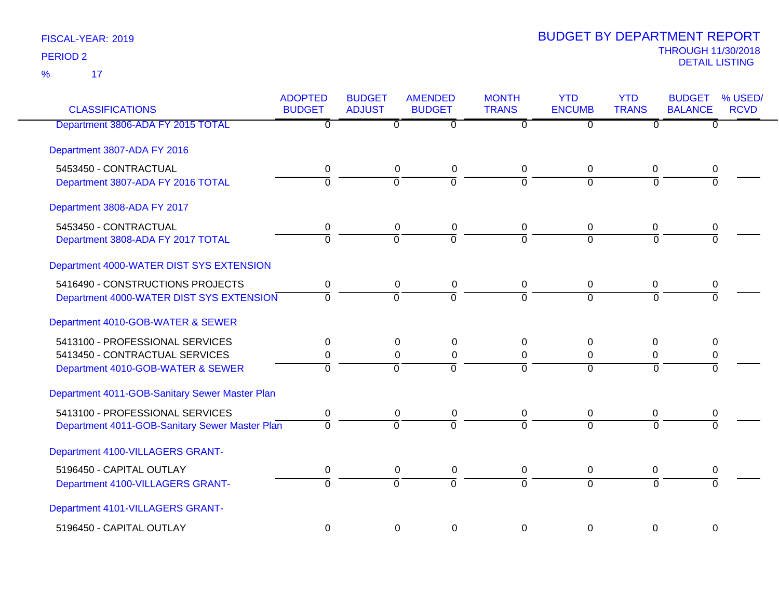17 %

| <b>CLASSIFICATIONS</b>                         | <b>ADOPTED</b><br><b>BUDGET</b> | <b>BUDGET</b><br><b>ADJUST</b> | <b>AMENDED</b><br><b>BUDGET</b>  | <b>MONTH</b><br><b>TRANS</b> | <b>YTD</b><br><b>ENCUMB</b> | <b>YTD</b><br><b>TRANS</b> | <b>BUDGET</b><br><b>BALANCE</b> | % USED/<br><b>RCVD</b> |
|------------------------------------------------|---------------------------------|--------------------------------|----------------------------------|------------------------------|-----------------------------|----------------------------|---------------------------------|------------------------|
| Department 3806-ADA FY 2015 TOTAL              | $\overline{0}$                  |                                | $\overline{0}$<br>$\overline{0}$ | $\overline{0}$               | $\overline{0}$              | $\overline{0}$             | $\overline{0}$                  |                        |
| Department 3807-ADA FY 2016                    |                                 |                                |                                  |                              |                             |                            |                                 |                        |
| 5453450 - CONTRACTUAL                          | 0                               |                                | $\boldsymbol{0}$<br>0            | 0                            | 0                           | 0                          | 0                               |                        |
| Department 3807-ADA FY 2016 TOTAL              | $\overline{0}$                  |                                | $\overline{0}$<br>$\overline{0}$ | $\Omega$                     | $\overline{0}$              | $\Omega$                   | 0                               |                        |
| Department 3808-ADA FY 2017                    |                                 |                                |                                  |                              |                             |                            |                                 |                        |
| 5453450 - CONTRACTUAL                          | 0                               |                                | $\mathbf 0$<br>$\pmb{0}$         | $\mathbf 0$                  | $\pmb{0}$                   | 0                          | 0                               |                        |
| Department 3808-ADA FY 2017 TOTAL              | $\Omega$                        |                                | $\Omega$<br>$\Omega$             | $\Omega$                     | $\Omega$                    | $\Omega$                   | $\Omega$                        |                        |
| Department 4000-WATER DIST SYS EXTENSION       |                                 |                                |                                  |                              |                             |                            |                                 |                        |
| 5416490 - CONSTRUCTIONS PROJECTS               | 0                               |                                | $\mathbf 0$<br>$\pmb{0}$         | $\mathbf 0$                  | $\pmb{0}$                   | 0                          | 0                               |                        |
| Department 4000-WATER DIST SYS EXTENSION       | $\Omega$                        |                                | $\overline{0}$<br>$\overline{0}$ | $\Omega$                     | $\Omega$                    | $\Omega$                   | $\overline{0}$                  |                        |
| Department 4010-GOB-WATER & SEWER              |                                 |                                |                                  |                              |                             |                            |                                 |                        |
| 5413100 - PROFESSIONAL SERVICES                | 0                               |                                | 0<br>$\mathbf{0}$                | $\Omega$                     | 0                           | $\Omega$                   | 0                               |                        |
| 5413450 - CONTRACTUAL SERVICES                 | 0                               |                                | $\pmb{0}$<br>$\boldsymbol{0}$    | $\mathbf 0$                  | $\mathbf 0$                 | 0                          | 0                               |                        |
| Department 4010-GOB-WATER & SEWER              | $\Omega$                        |                                | $\Omega$<br>$\Omega$             | $\Omega$                     | $\Omega$                    | $\Omega$                   | 0                               |                        |
| Department 4011-GOB-Sanitary Sewer Master Plan |                                 |                                |                                  |                              |                             |                            |                                 |                        |
| 5413100 - PROFESSIONAL SERVICES                | 0                               |                                | 0<br>0                           | 0                            | 0                           | 0                          | 0                               |                        |
| Department 4011-GOB-Sanitary Sewer Master Plan | $\overline{0}$                  |                                | $\overline{0}$<br>$\Omega$       | $\Omega$                     | $\overline{0}$              | $\Omega$                   | $\overline{0}$                  |                        |
| Department 4100-VILLAGERS GRANT-               |                                 |                                |                                  |                              |                             |                            |                                 |                        |
| 5196450 - CAPITAL OUTLAY                       | 0                               |                                | 0<br>0                           | 0                            | 0                           | 0                          | 0                               |                        |
| Department 4100-VILLAGERS GRANT-               | $\overline{0}$                  |                                | $\overline{0}$<br>$\overline{0}$ | $\overline{0}$               | $\overline{0}$              | $\Omega$                   | $\overline{0}$                  |                        |
| Department 4101-VILLAGERS GRANT-               |                                 |                                |                                  |                              |                             |                            |                                 |                        |
| 5196450 - CAPITAL OUTLAY                       | $\mathbf 0$                     |                                | $\mathbf 0$<br>$\mathbf 0$       | $\Omega$                     | 0                           | $\mathbf 0$                | $\mathbf 0$                     |                        |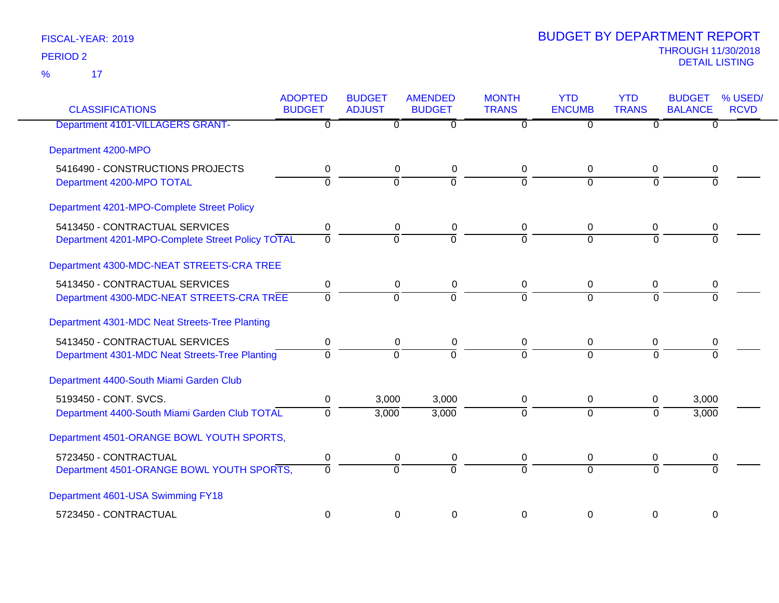| <b>CLASSIFICATIONS</b>                           | <b>ADOPTED</b><br><b>BUDGET</b> | <b>BUDGET</b><br><b>ADJUST</b> | <b>AMENDED</b><br><b>BUDGET</b> | <b>MONTH</b><br><b>TRANS</b> | <b>YTD</b><br><b>ENCUMB</b> | <b>YTD</b><br><b>TRANS</b> | <b>BUDGET</b><br><b>BALANCE</b> | % USED/<br><b>RCVD</b> |
|--------------------------------------------------|---------------------------------|--------------------------------|---------------------------------|------------------------------|-----------------------------|----------------------------|---------------------------------|------------------------|
| Department 4101-VILLAGERS GRANT-                 | $\overline{0}$                  | 0                              | $\overline{0}$                  | 0                            | $\overline{0}$              | $\overline{0}$             | $\overline{0}$                  |                        |
| Department 4200-MPO                              |                                 |                                |                                 |                              |                             |                            |                                 |                        |
| 5416490 - CONSTRUCTIONS PROJECTS                 | $\mathbf 0$                     | $\mathbf 0$                    | 0                               | 0                            | $\mathbf 0$                 | $\mathbf 0$                | 0                               |                        |
| Department 4200-MPO TOTAL                        | $\overline{0}$                  | $\overline{0}$                 | $\overline{0}$                  | $\overline{0}$               | $\overline{0}$              | $\Omega$                   | $\Omega$                        |                        |
| Department 4201-MPO-Complete Street Policy       |                                 |                                |                                 |                              |                             |                            |                                 |                        |
| 5413450 - CONTRACTUAL SERVICES                   | 0                               | 0                              | 0                               | 0                            | $\mathbf 0$                 | $\mathbf 0$                | 0                               |                        |
| Department 4201-MPO-Complete Street Policy TOTAL | $\overline{0}$                  | $\overline{0}$                 | $\mathbf 0$                     | $\Omega$                     | $\overline{0}$              | $\Omega$                   | $\Omega$                        |                        |
| Department 4300-MDC-NEAT STREETS-CRA TREE        |                                 |                                |                                 |                              |                             |                            |                                 |                        |
| 5413450 - CONTRACTUAL SERVICES                   | $\pmb{0}$                       | $\mathsf 0$                    | 0                               | 0                            | $\boldsymbol{0}$            | $\mathbf 0$                | 0                               |                        |
| Department 4300-MDC-NEAT STREETS-CRA TREE        | $\overline{0}$                  | $\overline{0}$                 | $\overline{0}$                  | $\overline{0}$               | $\overline{0}$              | $\Omega$                   | $\Omega$                        |                        |
| Department 4301-MDC Neat Streets-Tree Planting   |                                 |                                |                                 |                              |                             |                            |                                 |                        |
| 5413450 - CONTRACTUAL SERVICES                   | $\pmb{0}$                       | $\mathbf 0$                    | $\pmb{0}$                       | 0                            | 0                           | 0                          | 0                               |                        |
| Department 4301-MDC Neat Streets-Tree Planting   | $\mathbf 0$                     | ō                              | $\overline{0}$                  | ō                            | $\overline{0}$              | $\Omega$                   | $\Omega$                        |                        |
| Department 4400-South Miami Garden Club          |                                 |                                |                                 |                              |                             |                            |                                 |                        |
| 5193450 - CONT. SVCS.                            | $\pmb{0}$                       | 3,000                          | 3,000                           | 0                            | $\mathbf 0$                 | $\mathbf 0$                | 3,000                           |                        |
| Department 4400-South Miami Garden Club TOTAL    | $\Omega$                        | 3,000                          | 3,000                           | $\overline{0}$               | $\mathbf 0$                 | $\Omega$                   | 3,000                           |                        |
| Department 4501-ORANGE BOWL YOUTH SPORTS,        |                                 |                                |                                 |                              |                             |                            |                                 |                        |
| 5723450 - CONTRACTUAL                            | $\pmb{0}$                       | 0                              | $\pmb{0}$                       | 0                            | $\mathbf 0$                 | 0                          | 0                               |                        |
| Department 4501-ORANGE BOWL YOUTH SPORTS,        | $\overline{0}$                  | ō                              | $\Omega$                        | $\overline{0}$               | $\overline{0}$              | $\Omega$                   | $\Omega$                        |                        |
| Department 4601-USA Swimming FY18                |                                 |                                |                                 |                              |                             |                            |                                 |                        |
| 5723450 - CONTRACTUAL                            | $\pmb{0}$                       | $\mathbf 0$                    | $\pmb{0}$                       | 0                            | 0                           | 0                          | $\mathbf 0$                     |                        |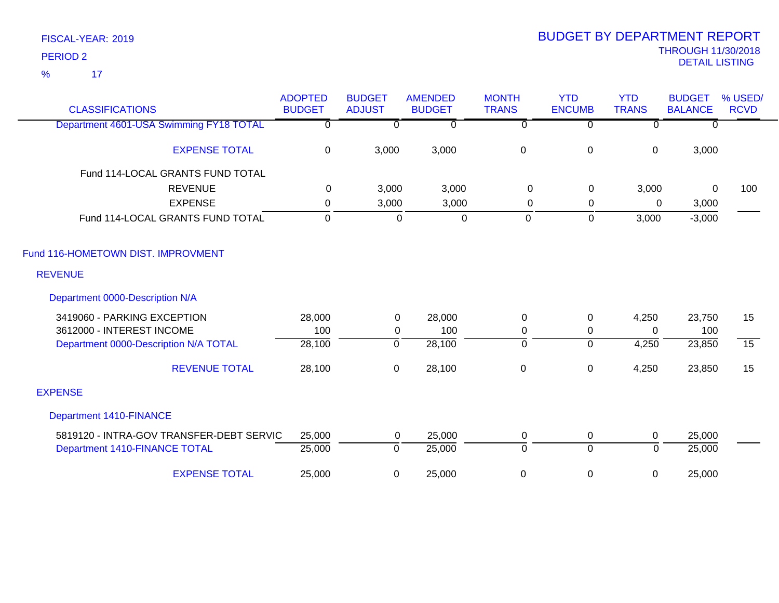| <b>CLASSIFICATIONS</b>                   | <b>ADOPTED</b><br><b>BUDGET</b> | <b>BUDGET</b><br><b>ADJUST</b> | <b>AMENDED</b><br><b>BUDGET</b> | <b>MONTH</b><br><b>TRANS</b> | <b>YTD</b><br><b>ENCUMB</b> | <b>YTD</b><br><b>TRANS</b> | <b>BUDGET</b><br><b>BALANCE</b> | % USED/<br><b>RCVD</b> |
|------------------------------------------|---------------------------------|--------------------------------|---------------------------------|------------------------------|-----------------------------|----------------------------|---------------------------------|------------------------|
| Department 4601-USA Swimming FY18 TOTAL  | 0                               | $\overline{0}$                 | $\overline{0}$                  | $\overline{0}$               | $\overline{0}$              | $\overline{0}$             | $\overline{0}$                  |                        |
| <b>EXPENSE TOTAL</b>                     | 0                               | 3,000                          | 3,000                           | $\mathsf 0$                  | $\mathbf 0$                 | $\mathbf 0$                | 3,000                           |                        |
| Fund 114-LOCAL GRANTS FUND TOTAL         |                                 |                                |                                 |                              |                             |                            |                                 |                        |
| <b>REVENUE</b>                           | 0                               | 3,000                          | 3,000                           | 0                            | $\mathbf 0$                 | 3,000                      | 0                               | 100                    |
| <b>EXPENSE</b>                           | $\mathbf 0$                     | 3,000                          | 3,000                           | 0                            | 0                           | 0                          | 3,000                           |                        |
| Fund 114-LOCAL GRANTS FUND TOTAL         | $\mathbf 0$                     | $\mathbf 0$                    | $\mathbf 0$                     | $\mathbf 0$                  | $\Omega$                    | 3,000                      | $-3,000$                        |                        |
| Fund 116-HOMETOWN DIST. IMPROVMENT       |                                 |                                |                                 |                              |                             |                            |                                 |                        |
| <b>REVENUE</b>                           |                                 |                                |                                 |                              |                             |                            |                                 |                        |
| Department 0000-Description N/A          |                                 |                                |                                 |                              |                             |                            |                                 |                        |
| 3419060 - PARKING EXCEPTION              | 28,000                          | $\mathbf 0$                    | 28,000                          | $\mathbf 0$                  | 0                           | 4,250                      | 23,750                          | 15                     |
| 3612000 - INTEREST INCOME                | 100                             | $\mathbf 0$                    | 100                             | 0                            | 0                           | $\Omega$                   | 100                             |                        |
| Department 0000-Description N/A TOTAL    | 28,100                          | $\overline{0}$                 | 28,100                          | ᅙ                            | $\overline{0}$              | 4,250                      | 23,850                          | $\overline{15}$        |
| <b>REVENUE TOTAL</b>                     | 28,100                          | $\mathsf 0$                    | 28,100                          | $\mathsf 0$                  | $\pmb{0}$                   | 4,250                      | 23,850                          | 15                     |
| <b>EXPENSE</b>                           |                                 |                                |                                 |                              |                             |                            |                                 |                        |
| <b>Department 1410-FINANCE</b>           |                                 |                                |                                 |                              |                             |                            |                                 |                        |
| 5819120 - INTRA-GOV TRANSFER-DEBT SERVIC | 25,000                          | 0                              | 25,000                          | 0                            | 0                           | $\mathbf 0$                | 25,000                          |                        |
| Department 1410-FINANCE TOTAL            | 25,000                          | $\mathbf 0$                    | 25,000                          | $\overline{0}$               | $\overline{0}$              | $\Omega$                   | 25,000                          |                        |
| <b>EXPENSE TOTAL</b>                     | 25,000                          | 0                              | 25,000                          | $\mathbf 0$                  | 0                           | 0                          | 25,000                          |                        |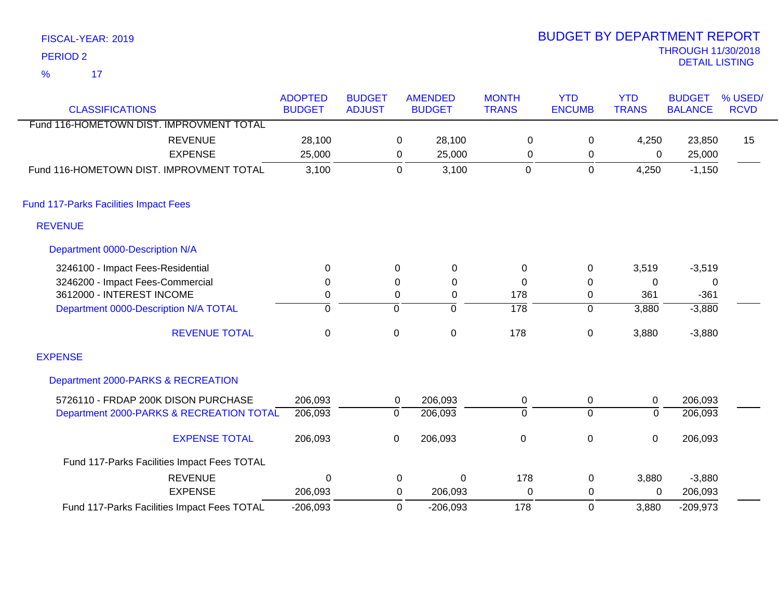| <b>PERIOD 2</b>                              |                                 |                                |                  |                                 |                              |                             |                            | <b>THROUGH 11/30/2018</b><br><b>DETAIL LISTING</b> |                        |
|----------------------------------------------|---------------------------------|--------------------------------|------------------|---------------------------------|------------------------------|-----------------------------|----------------------------|----------------------------------------------------|------------------------|
| 17<br>$\frac{9}{6}$                          |                                 |                                |                  |                                 |                              |                             |                            |                                                    |                        |
| <b>CLASSIFICATIONS</b>                       | <b>ADOPTED</b><br><b>BUDGET</b> | <b>BUDGET</b><br><b>ADJUST</b> |                  | <b>AMENDED</b><br><b>BUDGET</b> | <b>MONTH</b><br><b>TRANS</b> | <b>YTD</b><br><b>ENCUMB</b> | <b>YTD</b><br><b>TRANS</b> | <b>BUDGET</b><br><b>BALANCE</b>                    | % USED/<br><b>RCVD</b> |
| Fund 116-HOMETOWN DIST. IMPROVMENT TOTAL     |                                 |                                |                  |                                 |                              |                             |                            |                                                    |                        |
| <b>REVENUE</b>                               | 28,100                          |                                | 0                | 28,100                          | 0                            | 0                           | 4,250                      | 23,850                                             | 15                     |
| <b>EXPENSE</b>                               | 25,000                          |                                | 0                | 25,000                          | $\Omega$                     | 0                           | $\Omega$                   | 25,000                                             |                        |
| Fund 116-HOMETOWN DIST. IMPROVMENT TOTAL     | 3,100                           |                                | $\Omega$         | 3,100                           | $\Omega$                     | $\mathbf 0$                 | 4,250                      | $-1,150$                                           |                        |
| <b>Fund 117-Parks Facilities Impact Fees</b> |                                 |                                |                  |                                 |                              |                             |                            |                                                    |                        |
| <b>REVENUE</b>                               |                                 |                                |                  |                                 |                              |                             |                            |                                                    |                        |
| Department 0000-Description N/A              |                                 |                                |                  |                                 |                              |                             |                            |                                                    |                        |
| 3246100 - Impact Fees-Residential            | $\mathbf 0$                     |                                | $\Omega$         | 0                               | $\pmb{0}$                    | 0                           | 3,519                      | $-3,519$                                           |                        |
| 3246200 - Impact Fees-Commercial             | 0                               |                                | 0                | 0                               | $\mathbf 0$                  | 0                           | $\mathbf 0$                | 0                                                  |                        |
| 3612000 - INTEREST INCOME                    | 0                               |                                | $\boldsymbol{0}$ | $\pmb{0}$                       | 178                          | 0                           | 361                        | $-361$                                             |                        |
| Department 0000-Description N/A TOTAL        | $\overline{0}$                  |                                | 0                | $\overline{0}$                  | $\overline{178}$             | $\overline{0}$              | 3,880                      | $-3,880$                                           |                        |
| <b>REVENUE TOTAL</b>                         | $\mathbf 0$                     |                                | $\mathbf 0$      | $\pmb{0}$                       | 178                          | 0                           | 3,880                      | $-3,880$                                           |                        |
| <b>EXPENSE</b>                               |                                 |                                |                  |                                 |                              |                             |                            |                                                    |                        |
| Department 2000-PARKS & RECREATION           |                                 |                                |                  |                                 |                              |                             |                            |                                                    |                        |
| 5726110 - FRDAP 200K DISON PURCHASE          | 206,093                         |                                | 0                | 206,093                         | 0                            | 0                           | $\pmb{0}$                  | 206,093                                            |                        |
| Department 2000-PARKS & RECREATION TOTAL     | 206,093                         |                                | $\overline{0}$   | 206,093                         | $\overline{0}$               | $\overline{0}$              | $\overline{0}$             | 206,093                                            |                        |
| <b>EXPENSE TOTAL</b>                         | 206,093                         |                                | $\pmb{0}$        | 206,093                         | $\pmb{0}$                    | $\boldsymbol{0}$            | $\pmb{0}$                  | 206,093                                            |                        |
| Fund 117-Parks Facilities Impact Fees TOTAL  |                                 |                                |                  |                                 |                              |                             |                            |                                                    |                        |
| <b>REVENUE</b>                               | $\Omega$                        |                                | 0                | $\mathbf 0$                     | 178                          | 0                           | 3,880                      | $-3,880$                                           |                        |
| <b>EXPENSE</b>                               | 206,093                         |                                | 0                | 206,093                         | $\mathbf 0$                  | 0                           | 0                          | 206,093                                            |                        |
| Fund 117-Parks Facilities Impact Fees TOTAL  | $-206,093$                      |                                | $\Omega$         | $-206,093$                      | 178                          | $\mathbf{0}$                | 3,880                      | $-209,973$                                         |                        |

BUDGET BY DEPARTMENT REPORT

FISCAL-YEAR: 2019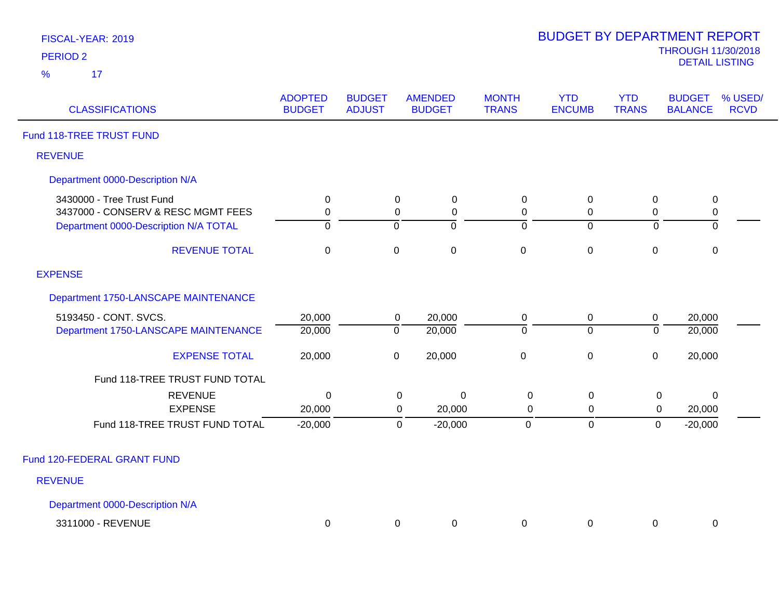| FISCAL-YEAR: 2019 |  |
|-------------------|--|
| <b>PERIOD 2</b>   |  |

| <b>CLASSIFICATIONS</b>                                          | <b>ADOPTED</b><br><b>BUDGET</b> | <b>BUDGET</b><br><b>ADJUST</b> | <b>AMENDED</b><br><b>BUDGET</b>                        | <b>MONTH</b><br><b>TRANS</b>    | <b>YTD</b><br><b>ENCUMB</b>   | <b>YTD</b><br><b>TRANS</b>    | <b>BUDGET</b><br>% USED/<br><b>RCVD</b><br><b>BALANCE</b> |  |
|-----------------------------------------------------------------|---------------------------------|--------------------------------|--------------------------------------------------------|---------------------------------|-------------------------------|-------------------------------|-----------------------------------------------------------|--|
| Fund 118-TREE TRUST FUND                                        |                                 |                                |                                                        |                                 |                               |                               |                                                           |  |
| <b>REVENUE</b>                                                  |                                 |                                |                                                        |                                 |                               |                               |                                                           |  |
| Department 0000-Description N/A                                 |                                 |                                |                                                        |                                 |                               |                               |                                                           |  |
| 3430000 - Tree Trust Fund<br>3437000 - CONSERV & RESC MGMT FEES | $\pmb{0}$<br>$\mathbf 0$        |                                | $\mathsf 0$<br>$\pmb{0}$<br>$\mathbf 0$<br>$\mathbf 0$ | $\pmb{0}$<br>$\mathbf 0$        | $\pmb{0}$<br>$\boldsymbol{0}$ | $\boldsymbol{0}$<br>$\pmb{0}$ | $\pmb{0}$<br>$\pmb{0}$                                    |  |
| Department 0000-Description N/A TOTAL<br><b>REVENUE TOTAL</b>   | $\mathbf{0}$<br>$\mathbf 0$     | 0<br>$\pmb{0}$                 | ō<br>$\mathbf 0$                                       | $\mathbf 0$<br>$\mathbf 0$      | $\overline{0}$<br>$\pmb{0}$   | 0<br>$\pmb{0}$                | 0<br>$\pmb{0}$                                            |  |
| <b>EXPENSE</b>                                                  |                                 |                                |                                                        |                                 |                               |                               |                                                           |  |
| Department 1750-LANSCAPE MAINTENANCE                            |                                 |                                |                                                        |                                 |                               |                               |                                                           |  |
| 5193450 - CONT. SVCS.<br>Department 1750-LANSCAPE MAINTENANCE   | 20,000<br>20,000                | $\overline{0}$                 | 20,000<br>$\mathbf 0$<br>20,000                        | 0<br>$\mathbf 0$                | $\mathbf 0$<br>$\overline{0}$ | $\pmb{0}$<br>$\Omega$         | 20,000<br>20,000                                          |  |
| <b>EXPENSE TOTAL</b>                                            | 20,000                          | $\pmb{0}$                      | 20,000                                                 | $\mathbf 0$                     | $\pmb{0}$                     | $\mathbf 0$                   | 20,000                                                    |  |
| Fund 118-TREE TRUST FUND TOTAL                                  |                                 |                                |                                                        |                                 |                               |                               |                                                           |  |
| <b>REVENUE</b><br><b>EXPENSE</b>                                | $\mathbf 0$<br>20,000           |                                | $\pmb{0}$<br>$\mathbf 0$<br>20,000<br>0                | $\boldsymbol{0}$<br>$\mathbf 0$ | $\mathbf 0$<br>0              | $\mathbf 0$<br>$\mathbf 0$    | $\Omega$<br>20,000                                        |  |
| Fund 118-TREE TRUST FUND TOTAL                                  | $-20,000$                       |                                | $\mathbf 0$<br>$-20,000$                               | $\mathbf 0$                     | $\pmb{0}$                     | $\pmb{0}$                     | $-20,000$                                                 |  |
| Fund 120-FEDERAL GRANT FUND                                     |                                 |                                |                                                        |                                 |                               |                               |                                                           |  |
| <b>REVENUE</b>                                                  |                                 |                                |                                                        |                                 |                               |                               |                                                           |  |
| Department 0000-Description N/A                                 |                                 |                                |                                                        |                                 |                               |                               |                                                           |  |
| 3311000 - REVENUE                                               | 0                               |                                | 0<br>0                                                 | 0                               | 0                             | 0                             | 0                                                         |  |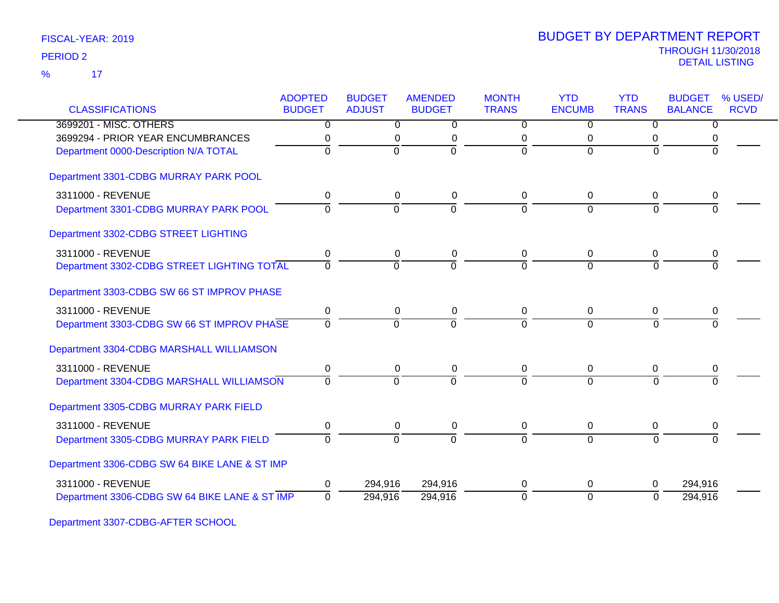| <b>CLASSIFICATIONS</b>                        | <b>ADOPTED</b><br><b>BUDGET</b> | <b>BUDGET</b><br><b>ADJUST</b> | <b>AMENDED</b><br><b>BUDGET</b> | <b>MONTH</b><br><b>TRANS</b> | <b>YTD</b><br><b>ENCUMB</b> | <b>YTD</b><br><b>TRANS</b> | <b>BUDGET</b><br><b>BALANCE</b> | % USED/<br><b>RCVD</b> |
|-----------------------------------------------|---------------------------------|--------------------------------|---------------------------------|------------------------------|-----------------------------|----------------------------|---------------------------------|------------------------|
| 3699201 - MISC. OTHERS                        | $\overline{0}$                  | $\overline{0}$                 | $\overline{0}$                  | $\overline{0}$               | $\overline{0}$              | $\Omega$                   | $\overline{0}$                  |                        |
| 3699294 - PRIOR YEAR ENCUMBRANCES             |                                 | 0                              | 0                               | 0                            | $\mathbf 0$                 |                            |                                 |                        |
| Department 0000-Description N/A TOTAL         | $\Omega$                        | $\overline{0}$                 | $\Omega$                        | $\Omega$                     | $\Omega$                    | $\Omega$                   |                                 |                        |
| Department 3301-CDBG MURRAY PARK POOL         |                                 |                                |                                 |                              |                             |                            |                                 |                        |
| 3311000 - REVENUE                             | 0                               | 0                              | $\pmb{0}$                       | 0                            | 0                           | 0                          | 0                               |                        |
| Department 3301-CDBG MURRAY PARK POOL         | $\Omega$                        | $\overline{0}$                 | $\overline{0}$                  | $\overline{0}$               | $\Omega$                    | $\Omega$                   |                                 |                        |
| Department 3302-CDBG STREET LIGHTING          |                                 |                                |                                 |                              |                             |                            |                                 |                        |
| 3311000 - REVENUE                             | 0                               | 0                              | 0                               | 0                            | 0                           | 0                          | 0                               |                        |
| Department 3302-CDBG STREET LIGHTING TOTAL    | $\overline{0}$                  | $\mathbf 0$                    | $\Omega$                        | $\Omega$                     | $\Omega$                    | $\Omega$                   | $\Omega$                        |                        |
| Department 3303-CDBG SW 66 ST IMPROV PHASE    |                                 |                                |                                 |                              |                             |                            |                                 |                        |
| 3311000 - REVENUE                             | 0                               | $\mathbf 0$                    | $\pmb{0}$                       | 0                            | 0                           | 0                          | 0                               |                        |
| Department 3303-CDBG SW 66 ST IMPROV PHASE    | $\Omega$                        | $\Omega$                       | $\Omega$                        | $\Omega$                     | $\Omega$                    | $\Omega$                   | $\Omega$                        |                        |
| Department 3304-CDBG MARSHALL WILLIAMSON      |                                 |                                |                                 |                              |                             |                            |                                 |                        |
| 3311000 - REVENUE                             | 0                               | 0                              | 0                               | 0                            | 0                           | 0                          | 0                               |                        |
| Department 3304-CDBG MARSHALL WILLIAMSON      | $\Omega$                        | $\Omega$                       | $\Omega$                        | $\Omega$                     | $\Omega$                    | $\Omega$                   | $\Omega$                        |                        |
| Department 3305-CDBG MURRAY PARK FIELD        |                                 |                                |                                 |                              |                             |                            |                                 |                        |
| 3311000 - REVENUE                             | 0                               | 0                              | 0                               | 0                            | $\mathbf 0$                 | 0                          | 0                               |                        |
| Department 3305-CDBG MURRAY PARK FIELD        | $\Omega$                        | $\overline{0}$                 | $\Omega$                        | $\Omega$                     | $\Omega$                    | $\Omega$                   |                                 |                        |
| Department 3306-CDBG SW 64 BIKE LANE & ST IMP |                                 |                                |                                 |                              |                             |                            |                                 |                        |
| 3311000 - REVENUE                             | 0                               | 294,916                        | 294,916                         | 0                            | $\mathbf 0$                 | 0                          | 294,916                         |                        |
| Department 3306-CDBG SW 64 BIKE LANE & ST IMP | $\Omega$                        | 294,916                        | 294,916                         | $\overline{0}$               | $\mathbf 0$                 | $\Omega$                   | 294,916                         |                        |

Department 3307-CDBG-AFTER SCHOOL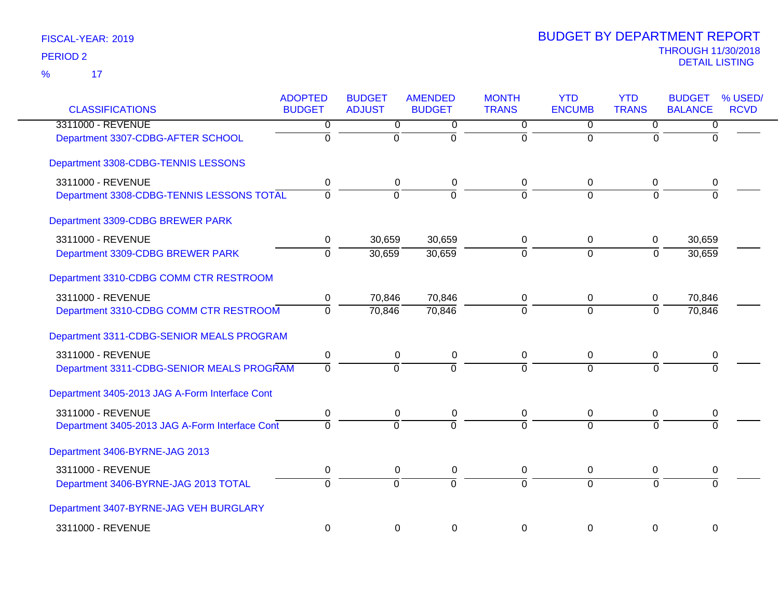| <b>CLASSIFICATIONS</b>                         | <b>ADOPTED</b><br><b>BUDGET</b> | <b>BUDGET</b><br><b>ADJUST</b> | <b>AMENDED</b><br><b>BUDGET</b> | <b>MONTH</b><br><b>TRANS</b> | <b>YTD</b><br><b>ENCUMB</b> | <b>YTD</b><br><b>TRANS</b> | <b>BUDGET</b><br><b>BALANCE</b> | % USED/<br><b>RCVD</b> |
|------------------------------------------------|---------------------------------|--------------------------------|---------------------------------|------------------------------|-----------------------------|----------------------------|---------------------------------|------------------------|
| 3311000 - REVENUE                              | $\overline{0}$                  | $\overline{0}$                 | 0                               | $\overline{0}$               | $\overline{0}$              | $\overline{0}$             | 0                               |                        |
| Department 3307-CDBG-AFTER SCHOOL              | $\overline{0}$                  | $\overline{0}$                 | $\overline{0}$                  | $\overline{0}$               | $\overline{0}$              | $\Omega$                   | $\Omega$                        |                        |
| Department 3308-CDBG-TENNIS LESSONS            |                                 |                                |                                 |                              |                             |                            |                                 |                        |
| 3311000 - REVENUE                              | 0                               | 0                              | 0                               | 0                            | 0                           | 0                          | 0                               |                        |
| Department 3308-CDBG-TENNIS LESSONS TOTAL      | $\overline{0}$                  | $\overline{0}$                 | $\Omega$                        | $\overline{0}$               | $\Omega$                    | $\Omega$                   | $\Omega$                        |                        |
| Department 3309-CDBG BREWER PARK               |                                 |                                |                                 |                              |                             |                            |                                 |                        |
| 3311000 - REVENUE                              | 0                               | 30,659                         | 30,659                          | 0                            | 0                           | 0                          | 30,659                          |                        |
| Department 3309-CDBG BREWER PARK               | $\overline{0}$                  | 30,659                         | 30,659                          | $\overline{0}$               | $\overline{0}$              | $\overline{0}$             | 30,659                          |                        |
| Department 3310-CDBG COMM CTR RESTROOM         |                                 |                                |                                 |                              |                             |                            |                                 |                        |
| 3311000 - REVENUE                              | 0                               | 70,846                         | 70,846                          | 0                            | 0                           | 0                          | 70,846                          |                        |
| Department 3310-CDBG COMM CTR RESTROOM         | $\mathbf 0$                     | 70,846                         | 70,846                          | $\Omega$                     | $\Omega$                    | $\Omega$                   | 70,846                          |                        |
| Department 3311-CDBG-SENIOR MEALS PROGRAM      |                                 |                                |                                 |                              |                             |                            |                                 |                        |
| 3311000 - REVENUE                              | $\mathbf 0$                     | $\mathbf 0$                    | $\pmb{0}$                       | $\mathbf 0$                  | $\mathbf 0$                 | 0                          | 0                               |                        |
| Department 3311-CDBG-SENIOR MEALS PROGRAM      | $\mathbf 0$                     | $\overline{0}$                 | $\Omega$                        | $\Omega$                     | $\Omega$                    | $\Omega$                   | 0                               |                        |
| Department 3405-2013 JAG A-Form Interface Cont |                                 |                                |                                 |                              |                             |                            |                                 |                        |
| 3311000 - REVENUE                              | 0                               | 0                              | 0                               | 0                            | 0                           | 0                          | 0                               |                        |
| Department 3405-2013 JAG A-Form Interface Cont | $\Omega$                        | $\Omega$                       | $\overline{0}$                  | $\overline{0}$               | $\Omega$                    | $\Omega$                   |                                 |                        |
| Department 3406-BYRNE-JAG 2013                 |                                 |                                |                                 |                              |                             |                            |                                 |                        |
| 3311000 - REVENUE                              | 0                               | $\pmb{0}$                      | $\pmb{0}$                       | $\mathbf 0$                  | $\pmb{0}$                   | 0                          | 0                               |                        |
| Department 3406-BYRNE-JAG 2013 TOTAL           | $\Omega$                        | $\mathbf 0$                    | $\Omega$                        | $\Omega$                     | $\Omega$                    | $\Omega$                   | $\Omega$                        |                        |
| Department 3407-BYRNE-JAG VEH BURGLARY         |                                 |                                |                                 |                              |                             |                            |                                 |                        |
| 3311000 - REVENUE                              | $\mathbf 0$                     | $\mathbf 0$                    | 0                               | $\Omega$                     | $\mathbf 0$                 | $\mathbf 0$                | 0                               |                        |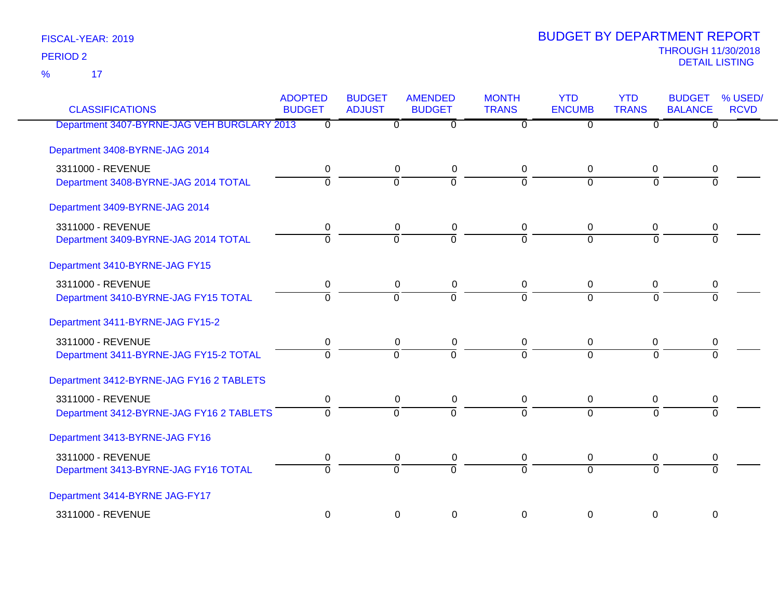17 %

| <b>CLASSIFICATIONS</b>                      | <b>ADOPTED</b><br><b>BUDGET</b> | <b>BUDGET</b><br><b>ADJUST</b> | <b>AMENDED</b><br><b>BUDGET</b> | <b>MONTH</b><br><b>TRANS</b> | <b>YTD</b><br><b>ENCUMB</b> | <b>YTD</b><br><b>TRANS</b> | <b>BUDGET</b><br><b>BALANCE</b> | % USED/<br><b>RCVD</b> |
|---------------------------------------------|---------------------------------|--------------------------------|---------------------------------|------------------------------|-----------------------------|----------------------------|---------------------------------|------------------------|
| Department 3407-BYRNE-JAG VEH BURGLARY 2013 | 0                               | $\Omega$                       | $\overline{0}$                  | $\Omega$                     | 0                           | $\Omega$                   | $\Omega$                        |                        |
| Department 3408-BYRNE-JAG 2014              |                                 |                                |                                 |                              |                             |                            |                                 |                        |
| 3311000 - REVENUE                           | 0                               | $\mathbf 0$                    | $\mathbf 0$                     | 0                            | 0                           | 0                          | 0                               |                        |
| Department 3408-BYRNE-JAG 2014 TOTAL        | $\mathbf 0$                     | $\overline{0}$                 | $\overline{0}$                  | $\overline{0}$               | $\overline{0}$              | $\overline{0}$             | $\overline{0}$                  |                        |
| Department 3409-BYRNE-JAG 2014              |                                 |                                |                                 |                              |                             |                            |                                 |                        |
| 3311000 - REVENUE                           | 0                               | 0                              | 0                               | 0                            | 0                           | 0                          | 0                               |                        |
| Department 3409-BYRNE-JAG 2014 TOTAL        | $\overline{0}$                  | $\overline{0}$                 | $\overline{\mathfrak{o}}$       | $\overline{0}$               | $\overline{0}$              | $\overline{0}$             | 0                               |                        |
| Department 3410-BYRNE-JAG FY15              |                                 |                                |                                 |                              |                             |                            |                                 |                        |
| 3311000 - REVENUE                           | 0                               | 0                              | $\mathbf 0$                     | 0                            | 0                           | 0                          | 0                               |                        |
| Department 3410-BYRNE-JAG FY15 TOTAL        | $\overline{0}$                  | $\overline{0}$                 | $\overline{0}$                  | $\overline{0}$               | $\overline{0}$              | $\overline{0}$             | $\overline{0}$                  |                        |
| Department 3411-BYRNE-JAG FY15-2            |                                 |                                |                                 |                              |                             |                            |                                 |                        |
| 3311000 - REVENUE                           | 0                               | 0                              | 0                               | 0                            | 0                           | 0                          | 0                               |                        |
| Department 3411-BYRNE-JAG FY15-2 TOTAL      | $\overline{0}$                  | $\overline{0}$                 | $\overline{0}$                  | $\overline{0}$               | $\overline{0}$              | $\overline{0}$             | $\overline{0}$                  |                        |
| Department 3412-BYRNE-JAG FY16 2 TABLETS    |                                 |                                |                                 |                              |                             |                            |                                 |                        |
| 3311000 - REVENUE                           | 0                               | 0                              | 0                               | 0                            | 0                           | 0                          | 0                               |                        |
| Department 3412-BYRNE-JAG FY16 2 TABLETS    | $\overline{0}$                  | $\overline{0}$                 | $\overline{0}$                  | $\overline{0}$               | $\overline{0}$              | $\overline{0}$             | $\overline{0}$                  |                        |
| Department 3413-BYRNE-JAG FY16              |                                 |                                |                                 |                              |                             |                            |                                 |                        |
| 3311000 - REVENUE                           | 0                               | 0                              | 0                               | 0                            | 0                           | 0                          | 0                               |                        |
| Department 3413-BYRNE-JAG FY16 TOTAL        | $\overline{0}$                  | $\overline{0}$                 | $\overline{0}$                  | $\overline{0}$               | $\overline{0}$              | $\overline{0}$             | $\overline{0}$                  |                        |
| Department 3414-BYRNE JAG-FY17              |                                 |                                |                                 |                              |                             |                            |                                 |                        |
| 3311000 - REVENUE                           | $\mathbf 0$                     | 0                              | $\pmb{0}$                       | 0                            | 0                           | 0                          | 0                               |                        |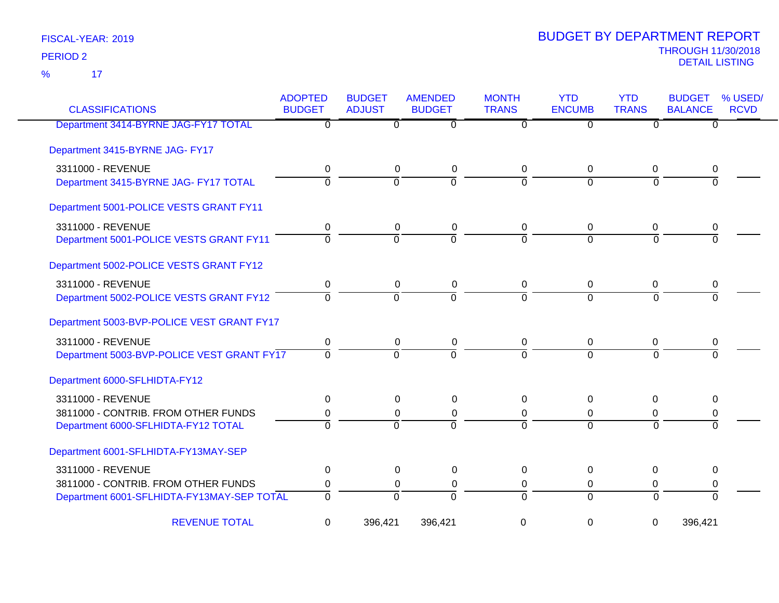| <b>CLASSIFICATIONS</b>                     | <b>ADOPTED</b><br><b>BUDGET</b> | <b>BUDGET</b><br><b>ADJUST</b> | <b>AMENDED</b><br><b>BUDGET</b> | <b>MONTH</b><br><b>TRANS</b> | <b>YTD</b><br><b>ENCUMB</b> | <b>YTD</b><br><b>TRANS</b> | <b>BUDGET</b><br><b>BALANCE</b> | % USED/<br><b>RCVD</b> |
|--------------------------------------------|---------------------------------|--------------------------------|---------------------------------|------------------------------|-----------------------------|----------------------------|---------------------------------|------------------------|
| Department 3414-BYRNE JAG-FY17 TOTAL       | $\overline{\mathfrak{o}}$       | $\overline{0}$                 | $\overline{0}$                  | $\overline{\mathfrak{o}}$    | $\overline{0}$              | $\overline{0}$             | $\overline{0}$                  |                        |
| Department 3415-BYRNE JAG- FY17            |                                 |                                |                                 |                              |                             |                            |                                 |                        |
| 3311000 - REVENUE                          | 0                               | 0                              | 0                               | 0                            | $\mathbf 0$                 | 0                          | 0                               |                        |
| Department 3415-BYRNE JAG- FY17 TOTAL      | $\overline{0}$                  | $\overline{0}$                 | $\overline{0}$                  | $\Omega$                     | $\Omega$                    | $\Omega$                   | $\Omega$                        |                        |
| Department 5001-POLICE VESTS GRANT FY11    |                                 |                                |                                 |                              |                             |                            |                                 |                        |
| 3311000 - REVENUE                          | 0                               | 0                              | 0                               | 0                            | 0                           | 0                          | 0                               |                        |
| Department 5001-POLICE VESTS GRANT FY11    | $\overline{0}$                  | $\overline{0}$                 | $\overline{0}$                  | 7                            | $\overline{0}$              | $\Omega$                   | $\overline{0}$                  |                        |
| Department 5002-POLICE VESTS GRANT FY12    |                                 |                                |                                 |                              |                             |                            |                                 |                        |
| 3311000 - REVENUE                          | 0                               | 0                              | 0                               | 0                            | 0                           | 0                          | 0                               |                        |
| Department 5002-POLICE VESTS GRANT FY12    | $\overline{0}$                  | $\overline{0}$                 | $\overline{0}$                  | $\overline{0}$               | $\overline{0}$              | $\Omega$                   | $\Omega$                        |                        |
| Department 5003-BVP-POLICE VEST GRANT FY17 |                                 |                                |                                 |                              |                             |                            |                                 |                        |
| 3311000 - REVENUE                          | 0                               | 0                              | 0                               | 0                            | 0                           | 0                          | 0                               |                        |
| Department 5003-BVP-POLICE VEST GRANT FY17 | $\overline{0}$                  | $\Omega$                       | $\Omega$                        | $\Omega$                     | $\overline{0}$              | $\Omega$                   | $\Omega$                        |                        |
| Department 6000-SFLHIDTA-FY12              |                                 |                                |                                 |                              |                             |                            |                                 |                        |
| 3311000 - REVENUE                          | 0                               | 0                              | 0                               | $\Omega$                     | 0                           | $\Omega$                   | 0                               |                        |
| 3811000 - CONTRIB. FROM OTHER FUNDS        | 0                               | 0                              | 0                               | 0                            | $\Omega$                    | $\Omega$                   | 0                               |                        |
| Department 6000-SFLHIDTA-FY12 TOTAL        | $\overline{0}$                  | $\Omega$                       | $\overline{0}$                  | $\overline{0}$               | $\Omega$                    | $\Omega$                   | $\Omega$                        |                        |
| Department 6001-SFLHIDTA-FY13MAY-SEP       |                                 |                                |                                 |                              |                             |                            |                                 |                        |
| 3311000 - REVENUE                          | 0                               | 0                              | 0                               | $\Omega$                     | 0                           | $\Omega$                   | 0                               |                        |
| 3811000 - CONTRIB. FROM OTHER FUNDS        | 0                               | 0                              | 0                               | 0                            | 0                           | 0                          | 0                               |                        |
| Department 6001-SFLHIDTA-FY13MAY-SEP TOTAL | $\overline{0}$                  | $\overline{0}$                 | $\Omega$                        | $\overline{0}$               | $\Omega$                    | $\Omega$                   | $\Omega$                        |                        |
| <b>REVENUE TOTAL</b>                       | 0                               | 396,421                        | 396,421                         | 0                            | $\mathbf 0$                 | $\mathbf 0$                | 396,421                         |                        |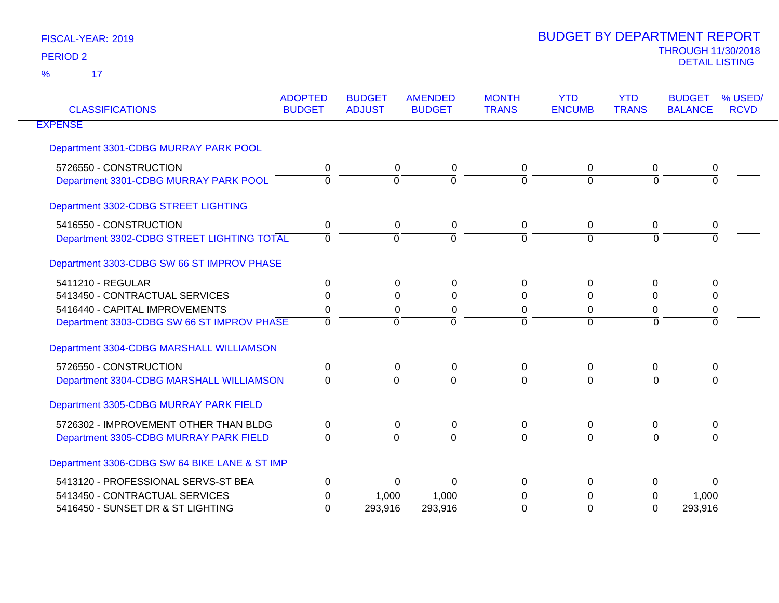| <b>CLASSIFICATIONS</b>                        | <b>ADOPTED</b><br><b>BUDGET</b> | <b>BUDGET</b><br><b>ADJUST</b> | <b>AMENDED</b><br><b>BUDGET</b> | <b>MONTH</b><br><b>TRANS</b> | <b>YTD</b><br><b>ENCUMB</b> | <b>YTD</b><br><b>TRANS</b> | <b>BUDGET</b><br><b>BALANCE</b> | % USED/<br><b>RCVD</b> |
|-----------------------------------------------|---------------------------------|--------------------------------|---------------------------------|------------------------------|-----------------------------|----------------------------|---------------------------------|------------------------|
| <b>EXPENSE</b>                                |                                 |                                |                                 |                              |                             |                            |                                 |                        |
| Department 3301-CDBG MURRAY PARK POOL         |                                 |                                |                                 |                              |                             |                            |                                 |                        |
| 5726550 - CONSTRUCTION                        | 0                               | $\Omega$                       | 0                               | 0                            | $\Omega$                    | 0                          | 0                               |                        |
| Department 3301-CDBG MURRAY PARK POOL         | $\Omega$                        | $\Omega$                       | $\Omega$                        | $\Omega$                     | $\Omega$                    | $\overline{0}$             | $\Omega$                        |                        |
| Department 3302-CDBG STREET LIGHTING          |                                 |                                |                                 |                              |                             |                            |                                 |                        |
| 5416550 - CONSTRUCTION                        | 0                               | 0                              | 0                               | 0                            | 0                           | 0                          | 0                               |                        |
| Department 3302-CDBG STREET LIGHTING TOTAL    | $\Omega$                        | $\Omega$                       | $\Omega$                        | $\overline{0}$               | $\Omega$                    | $\overline{0}$             | $\Omega$                        |                        |
| Department 3303-CDBG SW 66 ST IMPROV PHASE    |                                 |                                |                                 |                              |                             |                            |                                 |                        |
| 5411210 - REGULAR                             | 0                               | $\Omega$                       | 0                               | 0                            | 0                           | 0                          | $\Omega$                        |                        |
| 5413450 - CONTRACTUAL SERVICES                | $\Omega$                        | $\Omega$                       | $\Omega$                        | $\Omega$                     | $\Omega$                    | $\Omega$                   | $\Omega$                        |                        |
| 5416440 - CAPITAL IMPROVEMENTS                | 0                               | $\Omega$                       | 0                               | 0                            | $\Omega$                    | 0                          | $\mathbf 0$                     |                        |
| Department 3303-CDBG SW 66 ST IMPROV PHASE    | $\Omega$                        | $\Omega$                       | $\Omega$                        | $\Omega$                     | $\Omega$                    | $\overline{0}$             | $\Omega$                        |                        |
| Department 3304-CDBG MARSHALL WILLIAMSON      |                                 |                                |                                 |                              |                             |                            |                                 |                        |
| 5726550 - CONSTRUCTION                        | 0                               | $\pmb{0}$                      | 0                               | 0                            | $\mathbf 0$                 | $\boldsymbol{0}$           | $\mathbf 0$                     |                        |
| Department 3304-CDBG MARSHALL WILLIAMSON      | $\Omega$                        | $\Omega$                       | $\Omega$                        | $\Omega$                     | $\Omega$                    | $\Omega$                   | $\Omega$                        |                        |
| Department 3305-CDBG MURRAY PARK FIELD        |                                 |                                |                                 |                              |                             |                            |                                 |                        |
| 5726302 - IMPROVEMENT OTHER THAN BLDG         | 0                               | 0                              | 0                               | 0                            | 0                           | $\mathbf 0$                | 0                               |                        |
| Department 3305-CDBG MURRAY PARK FIELD        | $\Omega$                        | $\Omega$                       | $\Omega$                        | $\Omega$                     | $\Omega$                    | $\Omega$                   | $\Omega$                        |                        |
| Department 3306-CDBG SW 64 BIKE LANE & ST IMP |                                 |                                |                                 |                              |                             |                            |                                 |                        |
| 5413120 - PROFESSIONAL SERVS-ST BEA           | $\Omega$                        | 0                              | 0                               | 0                            | 0                           | 0                          | $\Omega$                        |                        |
| 5413450 - CONTRACTUAL SERVICES                | 0                               | 1,000                          | 1,000                           | 0                            | 0                           | 0                          | 1,000                           |                        |
| 5416450 - SUNSET DR & ST LIGHTING             | $\Omega$                        | 293,916                        | 293,916                         | 0                            | $\Omega$                    | 0                          | 293,916                         |                        |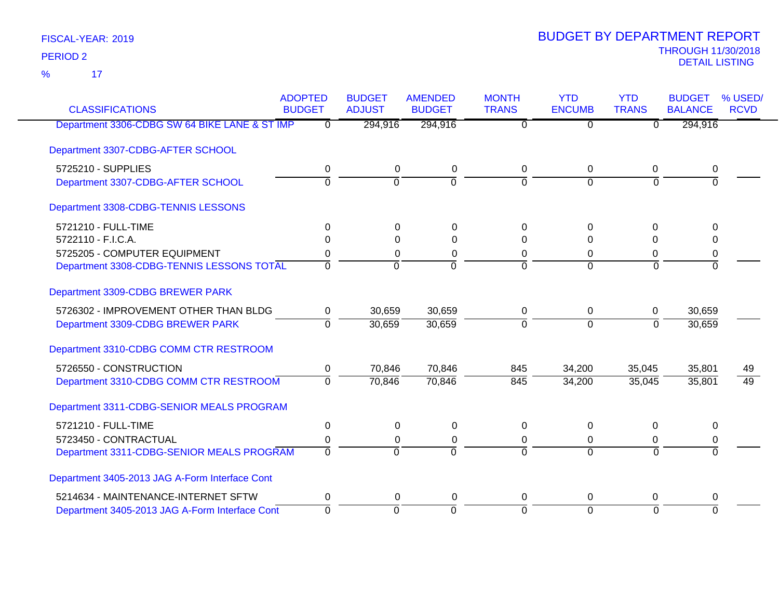17 %

| <b>CLASSIFICATIONS</b>                         | <b>ADOPTED</b><br><b>BUDGET</b> | <b>BUDGET</b><br><b>ADJUST</b> | <b>AMENDED</b><br><b>BUDGET</b> | <b>MONTH</b><br><b>TRANS</b> | <b>YTD</b><br><b>ENCUMB</b> | <b>YTD</b><br><b>TRANS</b> | <b>BUDGET</b><br><b>BALANCE</b> | % USED/<br><b>RCVD</b> |
|------------------------------------------------|---------------------------------|--------------------------------|---------------------------------|------------------------------|-----------------------------|----------------------------|---------------------------------|------------------------|
| Department 3306-CDBG SW 64 BIKE LANE & ST IMP  | $\overline{0}$                  | 294,916                        | 294,916                         | $\overline{0}$               | $\overline{0}$              | $\overline{0}$             | 294,916                         |                        |
|                                                |                                 |                                |                                 |                              |                             |                            |                                 |                        |
| Department 3307-CDBG-AFTER SCHOOL              |                                 |                                |                                 |                              |                             |                            |                                 |                        |
| 5725210 - SUPPLIES                             | 0                               | 0                              | 0                               | 0                            | 0                           | 0                          | 0                               |                        |
| Department 3307-CDBG-AFTER SCHOOL              | $\overline{0}$                  | $\overline{0}$                 | ō                               | $\overline{0}$               | $\overline{0}$              | $\overline{0}$             | $\overline{0}$                  |                        |
| Department 3308-CDBG-TENNIS LESSONS            |                                 |                                |                                 |                              |                             |                            |                                 |                        |
| 5721210 - FULL-TIME                            | 0                               | $\Omega$                       | $\Omega$                        | $\Omega$                     | $\Omega$                    | $\Omega$                   | $\Omega$                        |                        |
| 5722110 - F.I.C.A.                             | 0                               | 0                              | $\Omega$                        | $\Omega$                     | 0                           | $\Omega$                   | $\Omega$                        |                        |
| 5725205 - COMPUTER EQUIPMENT                   | 0                               | 0                              | 0                               | 0                            | $\Omega$                    | 0                          | 0                               |                        |
| Department 3308-CDBG-TENNIS LESSONS TOTAL      | $\overline{0}$                  | $\overline{0}$                 | ō                               | $\overline{0}$               | $\Omega$                    | $\Omega$                   | $\overline{0}$                  |                        |
| Department 3309-CDBG BREWER PARK               |                                 |                                |                                 |                              |                             |                            |                                 |                        |
| 5726302 - IMPROVEMENT OTHER THAN BLDG          | 0                               | 30,659                         | 30,659                          | 0                            | 0                           | 0                          | 30,659                          |                        |
| Department 3309-CDBG BREWER PARK               | $\Omega$                        | 30,659                         | 30,659                          | $\Omega$                     | $\Omega$                    | $\Omega$                   | 30,659                          |                        |
| Department 3310-CDBG COMM CTR RESTROOM         |                                 |                                |                                 |                              |                             |                            |                                 |                        |
| 5726550 - CONSTRUCTION                         | 0                               | 70,846                         | 70,846                          | 845                          | 34,200                      | 35,045                     | 35,801                          | 49                     |
| Department 3310-CDBG COMM CTR RESTROOM         | $\Omega$                        | 70,846                         | 70,846                          | 845                          | 34,200                      | 35,045                     | 35,801                          | $\overline{49}$        |
| Department 3311-CDBG-SENIOR MEALS PROGRAM      |                                 |                                |                                 |                              |                             |                            |                                 |                        |
| 5721210 - FULL-TIME                            | 0                               | $\mathbf 0$                    | $\mathbf 0$                     | 0                            | $\Omega$                    | 0                          | $\Omega$                        |                        |
| 5723450 - CONTRACTUAL                          | 0                               | 0                              | 0                               | $\Omega$                     | 0                           | 0                          | 0                               |                        |
| Department 3311-CDBG-SENIOR MEALS PROGRAM      | $\overline{0}$                  | $\overline{0}$                 | $\overline{0}$                  | $\overline{0}$               | $\Omega$                    | $\Omega$                   | $\overline{0}$                  |                        |
| Department 3405-2013 JAG A-Form Interface Cont |                                 |                                |                                 |                              |                             |                            |                                 |                        |
| 5214634 - MAINTENANCE-INTERNET SFTW            | 0                               | 0                              | 0                               | $\Omega$                     | $\Omega$                    | $\Omega$                   | 0                               |                        |
| Department 3405-2013 JAG A-Form Interface Cont | $\mathbf 0$                     | $\mathbf 0$                    | $\Omega$                        | $\Omega$                     | $\Omega$                    | $\Omega$                   | $\Omega$                        |                        |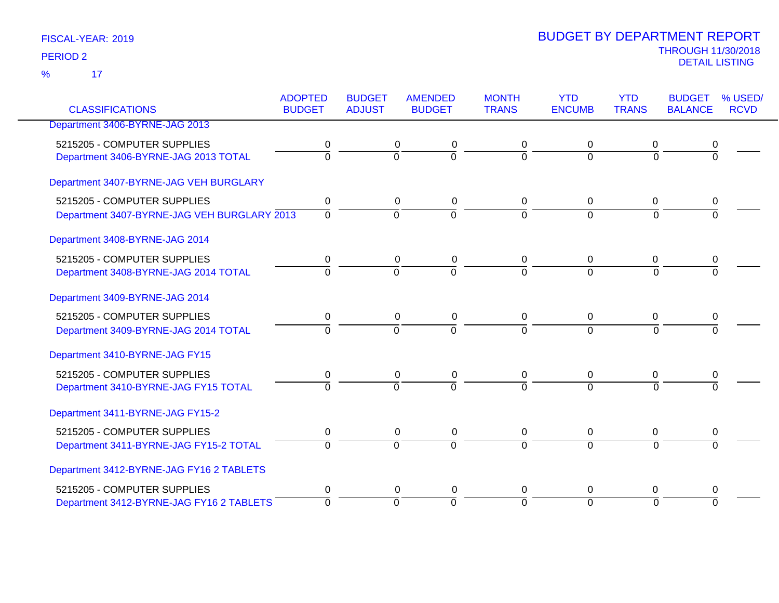|                                             | <b>ADOPTED</b> | <b>BUDGET</b>  | <b>AMENDED</b> | <b>MONTH</b>   | <b>YTD</b>     | <b>YTD</b>     | <b>BUDGET</b>  | % USED/     |
|---------------------------------------------|----------------|----------------|----------------|----------------|----------------|----------------|----------------|-------------|
| <b>CLASSIFICATIONS</b>                      | <b>BUDGET</b>  | <b>ADJUST</b>  | <b>BUDGET</b>  | <b>TRANS</b>   | <b>ENCUMB</b>  | <b>TRANS</b>   | <b>BALANCE</b> | <b>RCVD</b> |
| Department 3406-BYRNE-JAG 2013              |                |                |                |                |                |                |                |             |
| 5215205 - COMPUTER SUPPLIES                 | 0              | 0              | 0              | 0              | 0              | 0              | 0              |             |
| Department 3406-BYRNE-JAG 2013 TOTAL        | $\overline{0}$ | $\overline{0}$ | $\overline{0}$ | $\overline{0}$ | $\overline{0}$ | $\overline{0}$ | ō              |             |
| Department 3407-BYRNE-JAG VEH BURGLARY      |                |                |                |                |                |                |                |             |
| 5215205 - COMPUTER SUPPLIES                 | 0              | 0              | 0              | 0              | $\mathbf 0$    | 0              | 0              |             |
| Department 3407-BYRNE-JAG VEH BURGLARY 2013 | $\overline{0}$ | $\overline{0}$ | $\overline{0}$ | $\overline{0}$ | $\overline{0}$ | $\Omega$       | 0              |             |
| Department 3408-BYRNE-JAG 2014              |                |                |                |                |                |                |                |             |
| 5215205 - COMPUTER SUPPLIES                 | 0              | 0              | 0              | 0              | 0              | 0              |                |             |
| Department 3408-BYRNE-JAG 2014 TOTAL        | $\overline{0}$ | $\overline{0}$ | $\overline{0}$ | $\Omega$       | $\Omega$       | $\Omega$       | $\Omega$       |             |
| Department 3409-BYRNE-JAG 2014              |                |                |                |                |                |                |                |             |
| 5215205 - COMPUTER SUPPLIES                 | $\mathbf 0$    | $\mathbf 0$    | $\pmb{0}$      | 0              | $\pmb{0}$      | $\mathbf 0$    | 0              |             |
| Department 3409-BYRNE-JAG 2014 TOTAL        | $\overline{0}$ | $\overline{0}$ | $\overline{0}$ | $\overline{0}$ | $\overline{0}$ | $\overline{0}$ | $\overline{0}$ |             |
| Department 3410-BYRNE-JAG FY15              |                |                |                |                |                |                |                |             |
| 5215205 - COMPUTER SUPPLIES                 | 0              | 0              | 0              | 0              | $\mathbf 0$    | 0              | 0              |             |
| Department 3410-BYRNE-JAG FY15 TOTAL        | $\Omega$       | $\Omega$       | $\overline{0}$ | $\overline{0}$ | $\overline{0}$ | $\Omega$       |                |             |
| Department 3411-BYRNE-JAG FY15-2            |                |                |                |                |                |                |                |             |
| 5215205 - COMPUTER SUPPLIES                 | 0              | 0              | $\pmb{0}$      | 0              | $\pmb{0}$      | $\mathbf 0$    | 0              |             |
| Department 3411-BYRNE-JAG FY15-2 TOTAL      | $\Omega$       | $\overline{0}$ | $\Omega$       | $\Omega$       | $\overline{0}$ | $\Omega$       | $\Omega$       |             |
| Department 3412-BYRNE-JAG FY16 2 TABLETS    |                |                |                |                |                |                |                |             |
| 5215205 - COMPUTER SUPPLIES                 | 0              | 0              | 0              | 0              | $\mathbf 0$    | 0              | 0              |             |
| Department 3412-BYRNE-JAG FY16 2 TABLETS    | $\overline{0}$ | $\overline{0}$ | $\Omega$       | $\overline{0}$ | $\overline{0}$ | $\Omega$       | $\Omega$       |             |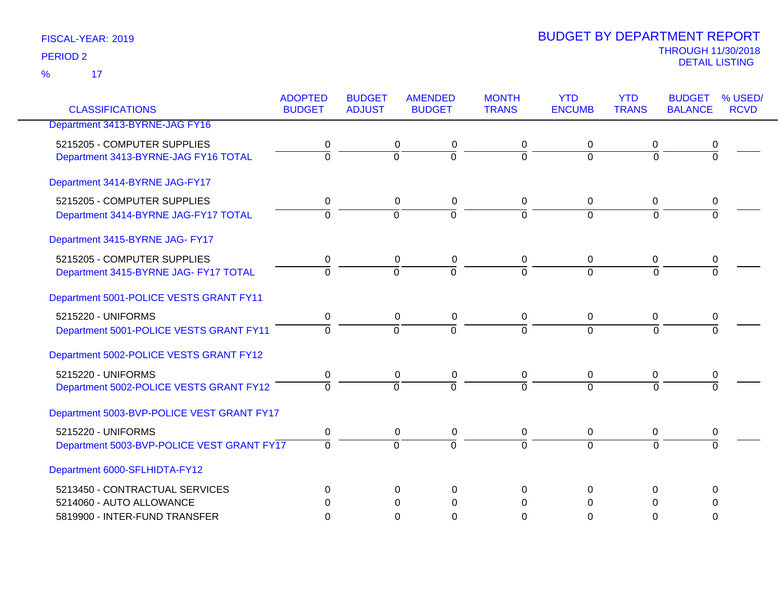| <b>CLASSIFICATIONS</b>                     | <b>ADOPTED</b><br><b>BUDGET</b> | <b>BUDGET</b><br><b>ADJUST</b> | <b>AMENDED</b><br><b>BUDGET</b> | <b>MONTH</b><br><b>TRANS</b> | <b>YTD</b><br><b>ENCUMB</b> | <b>YTD</b><br><b>TRANS</b> | <b>BUDGET</b><br><b>BALANCE</b> | % USED/<br><b>RCVD</b> |
|--------------------------------------------|---------------------------------|--------------------------------|---------------------------------|------------------------------|-----------------------------|----------------------------|---------------------------------|------------------------|
| Department 3413-BYRNE-JAG FY16             |                                 |                                |                                 |                              |                             |                            |                                 |                        |
| 5215205 - COMPUTER SUPPLIES                | 0                               | $\mathbf 0$                    | $\mathbf 0$                     | $\mathbf 0$                  | 0                           | 0                          | 0                               |                        |
| Department 3413-BYRNE-JAG FY16 TOTAL       | $\overline{0}$                  | $\Omega$                       | $\overline{0}$                  | $\Omega$                     | $\Omega$                    | $\Omega$                   | $\Omega$                        |                        |
| Department 3414-BYRNE JAG-FY17             |                                 |                                |                                 |                              |                             |                            |                                 |                        |
| 5215205 - COMPUTER SUPPLIES                | 0                               | $\mathbf 0$                    | $\mathbf 0$                     | $\mathbf 0$                  | $\pmb{0}$                   | $\mathbf 0$                | 0                               |                        |
| Department 3414-BYRNE JAG-FY17 TOTAL       | $\overline{0}$                  | $\overline{0}$                 | $\overline{0}$                  | $\Omega$                     | $\Omega$                    | $\overline{0}$             | $\overline{0}$                  |                        |
| Department 3415-BYRNE JAG- FY17            |                                 |                                |                                 |                              |                             |                            |                                 |                        |
| 5215205 - COMPUTER SUPPLIES                | 0                               | 0                              | 0                               | 0                            | 0                           | 0                          | 0                               |                        |
| Department 3415-BYRNE JAG- FY17 TOTAL      | $\Omega$                        | $\Omega$                       | $\overline{0}$                  | $\Omega$                     | $\overline{0}$              | $\Omega$                   | $\Omega$                        |                        |
| Department 5001-POLICE VESTS GRANT FY11    |                                 |                                |                                 |                              |                             |                            |                                 |                        |
| 5215220 - UNIFORMS                         | 0                               | $\mathbf 0$                    | $\pmb{0}$                       | $\overline{0}$               | 0                           | $\overline{0}$             | 0                               |                        |
| Department 5001-POLICE VESTS GRANT FY11    | $\overline{0}$                  | $\overline{0}$                 | $\overline{0}$                  | $\Omega$                     | $\Omega$                    | $\Omega$                   | $\Omega$                        |                        |
| Department 5002-POLICE VESTS GRANT FY12    |                                 |                                |                                 |                              |                             |                            |                                 |                        |
| 5215220 - UNIFORMS                         | 0                               | 0                              | 0                               | $\mathbf 0$                  | 0                           | 0                          | 0                               |                        |
| Department 5002-POLICE VESTS GRANT FY12    | $\Omega$                        | $\overline{0}$                 | $\overline{0}$                  | $\Omega$                     | $\overline{0}$              | $\Omega$                   | $\Omega$                        |                        |
| Department 5003-BVP-POLICE VEST GRANT FY17 |                                 |                                |                                 |                              |                             |                            |                                 |                        |
| 5215220 - UNIFORMS                         | 0                               | 0                              | $\pmb{0}$                       | $\mathbf 0$                  | 0                           | 0                          | 0                               |                        |
| Department 5003-BVP-POLICE VEST GRANT FY17 | $\overline{0}$                  | $\overline{0}$                 | $\overline{0}$                  | $\overline{0}$               | $\overline{0}$              | $\Omega$                   | $\overline{0}$                  |                        |
| Department 6000-SFLHIDTA-FY12              |                                 |                                |                                 |                              |                             |                            |                                 |                        |
| 5213450 - CONTRACTUAL SERVICES             | 0                               | 0                              | 0                               | $\Omega$                     | $\Omega$                    | 0                          | 0                               |                        |
| 5214060 - AUTO ALLOWANCE                   | 0                               | 0                              | $\mathbf{0}$                    | $\Omega$                     | $\Omega$                    | $\mathbf{0}$               | 0                               |                        |
| 5819900 - INTER-FUND TRANSFER              | $\Omega$                        | 0                              | $\Omega$                        | $\Omega$                     | 0                           | $\Omega$                   | 0                               |                        |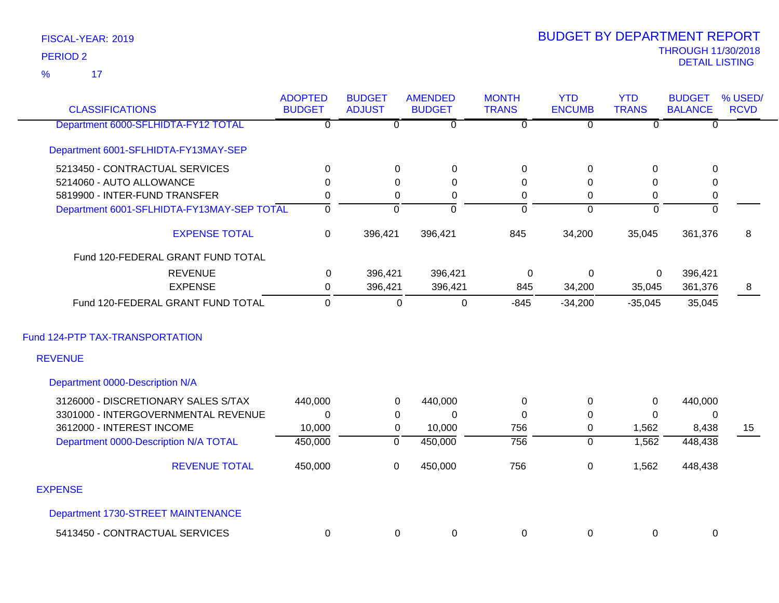| <b>CLASSIFICATIONS</b>                            | <b>ADOPTED</b><br><b>BUDGET</b> | <b>BUDGET</b><br><b>ADJUST</b> | <b>AMENDED</b><br><b>BUDGET</b> | <b>MONTH</b><br><b>TRANS</b> | <b>YTD</b><br><b>ENCUMB</b> | <b>YTD</b><br><b>TRANS</b> | <b>BUDGET</b><br><b>BALANCE</b> | % USED/<br><b>RCVD</b> |
|---------------------------------------------------|---------------------------------|--------------------------------|---------------------------------|------------------------------|-----------------------------|----------------------------|---------------------------------|------------------------|
| Department 6000-SFLHIDTA-FY12 TOTAL               | $\overline{\mathfrak{o}}$       | $\overline{0}$                 | $\overline{0}$                  | $\overline{\mathfrak{o}}$    | $\overline{\mathfrak{o}}$   | $\overline{0}$             | $\overline{0}$                  |                        |
| Department 6001-SFLHIDTA-FY13MAY-SEP              |                                 |                                |                                 |                              |                             |                            |                                 |                        |
| 5213450 - CONTRACTUAL SERVICES                    | 0                               | 0                              | $\pmb{0}$                       | 0                            | 0                           | 0                          | $\mathbf 0$                     |                        |
| 5214060 - AUTO ALLOWANCE                          | 0                               | $\Omega$                       | $\Omega$                        | $\Omega$                     | 0                           | $\Omega$                   | $\Omega$                        |                        |
| 5819900 - INTER-FUND TRANSFER                     | $\pmb{0}$                       | $\pmb{0}$                      | 0                               | 0                            | 0                           | $\mathbf 0$                | 0                               |                        |
| Department 6001-SFLHIDTA-FY13MAY-SEP TOTAL        | $\overline{0}$                  | $\overline{0}$                 | $\overline{0}$                  | $\overline{0}$               | $\overline{0}$              | $\overline{0}$             | $\overline{0}$                  |                        |
| <b>EXPENSE TOTAL</b>                              | $\pmb{0}$                       | 396,421                        | 396,421                         | 845                          | 34,200                      | 35,045                     | 361,376                         | 8                      |
| Fund 120-FEDERAL GRANT FUND TOTAL                 |                                 |                                |                                 |                              |                             |                            |                                 |                        |
| <b>REVENUE</b>                                    | 0                               | 396,421                        | 396,421                         | 0                            | $\mathbf 0$                 | 0                          | 396,421                         |                        |
| <b>EXPENSE</b>                                    | $\mathbf 0$                     | 396,421                        | 396,421                         | 845                          | 34,200                      | 35,045                     | 361,376                         | 8                      |
| Fund 120-FEDERAL GRANT FUND TOTAL                 | 0                               | 0                              | 0                               | $-845$                       | $-34,200$                   | $-35,045$                  | 35,045                          |                        |
| Fund 124-PTP TAX-TRANSPORTATION<br><b>REVENUE</b> |                                 |                                |                                 |                              |                             |                            |                                 |                        |
|                                                   |                                 |                                |                                 |                              |                             |                            |                                 |                        |
| Department 0000-Description N/A                   |                                 |                                |                                 |                              |                             |                            |                                 |                        |
| 3126000 - DISCRETIONARY SALES S/TAX               | 440,000                         | 0                              | 440,000                         | $\pmb{0}$                    | $\pmb{0}$                   | $\pmb{0}$                  | 440,000                         |                        |
| 3301000 - INTERGOVERNMENTAL REVENUE               | $\Omega$                        | 0                              | $\Omega$                        | 0                            | 0                           | $\Omega$                   | 0                               |                        |
| 3612000 - INTEREST INCOME                         | 10,000                          | 0                              | 10,000                          | 756                          | 0                           | 1,562                      | 8,438                           | 15                     |
| Department 0000-Description N/A TOTAL             | 450,000                         | $\overline{0}$                 | 450,000                         | 756                          | $\mathbf 0$                 | 1,562                      | 448,438                         |                        |
| <b>REVENUE TOTAL</b>                              | 450,000                         | $\mathbf 0$                    | 450,000                         | 756                          | 0                           | 1,562                      | 448,438                         |                        |
| <b>EXPENSE</b>                                    |                                 |                                |                                 |                              |                             |                            |                                 |                        |
| Department 1730-STREET MAINTENANCE                |                                 |                                |                                 |                              |                             |                            |                                 |                        |
| 5413450 - CONTRACTUAL SERVICES                    | 0                               | $\Omega$                       | $\mathbf 0$                     | $\mathbf 0$                  | 0                           | 0                          | 0                               |                        |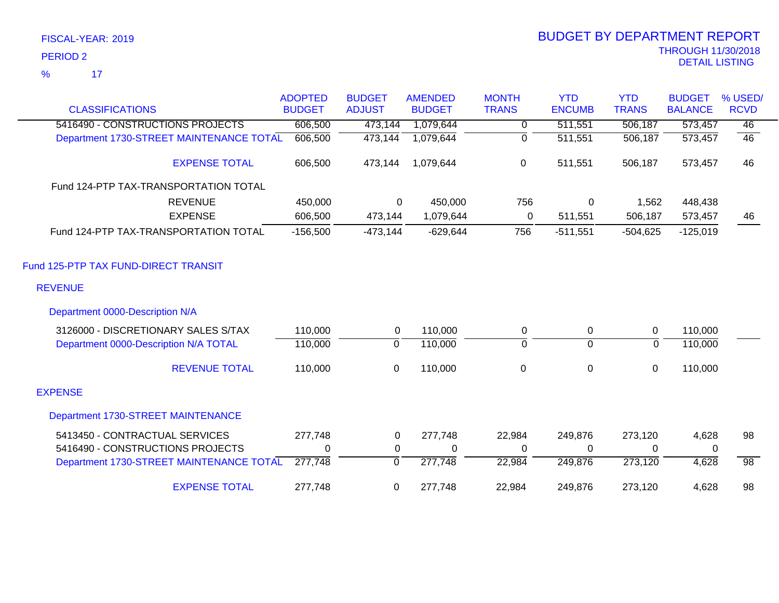|                                          | <b>ADOPTED</b> | <b>BUDGET</b>  | <b>AMENDED</b> | <b>MONTH</b>   | <b>YTD</b>     | <b>YTD</b>   | <b>BUDGET</b>  | % USED/         |
|------------------------------------------|----------------|----------------|----------------|----------------|----------------|--------------|----------------|-----------------|
| <b>CLASSIFICATIONS</b>                   | <b>BUDGET</b>  | <b>ADJUST</b>  | <b>BUDGET</b>  | <b>TRANS</b>   | <b>ENCUMB</b>  | <b>TRANS</b> | <b>BALANCE</b> | <b>RCVD</b>     |
| 5416490 - CONSTRUCTIONS PROJECTS         | 606,500        | 473,144        | 1,079,644      | $\overline{0}$ | 511,551        | 506,187      | 573,457        | 46              |
| Department 1730-STREET MAINTENANCE TOTAL | 606,500        | 473,144        | 1,079,644      | $\mathbf 0$    | 511,551        | 506,187      | 573,457        | 46              |
| <b>EXPENSE TOTAL</b>                     | 606,500        | 473,144        | 1,079,644      | 0              | 511,551        | 506,187      | 573,457        | 46              |
| Fund 124-PTP TAX-TRANSPORTATION TOTAL    |                |                |                |                |                |              |                |                 |
| <b>REVENUE</b>                           | 450,000        | 0              | 450,000        | 756            | 0              | 1,562        | 448,438        |                 |
| <b>EXPENSE</b>                           | 606,500        | 473,144        | 1,079,644      | 0              | 511,551        | 506,187      | 573,457        | 46              |
| Fund 124-PTP TAX-TRANSPORTATION TOTAL    | $-156,500$     | $-473,144$     | $-629,644$     | 756            | $-511,551$     | $-504,625$   | $-125,019$     |                 |
| Fund 125-PTP TAX FUND-DIRECT TRANSIT     |                |                |                |                |                |              |                |                 |
| <b>REVENUE</b>                           |                |                |                |                |                |              |                |                 |
| Department 0000-Description N/A          |                |                |                |                |                |              |                |                 |
| 3126000 - DISCRETIONARY SALES S/TAX      | 110,000        | 0              | 110,000        | 0              | 0              | $\mathbf 0$  | 110,000        |                 |
| Department 0000-Description N/A TOTAL    | 110,000        | 0              | 110,000        | 0              | $\overline{0}$ | $\Omega$     | 110,000        |                 |
| <b>REVENUE TOTAL</b>                     | 110,000        | 0              | 110,000        | $\,0\,$        | $\pmb{0}$      | $\mathbf 0$  | 110,000        |                 |
| <b>EXPENSE</b>                           |                |                |                |                |                |              |                |                 |
| Department 1730-STREET MAINTENANCE       |                |                |                |                |                |              |                |                 |
| 5413450 - CONTRACTUAL SERVICES           | 277,748        | 0              | 277,748        | 22,984         | 249,876        | 273,120      | 4,628          | 98              |
| 5416490 - CONSTRUCTIONS PROJECTS         | 0              | 0              | 0              | 0              | 0              | $\Omega$     | 0              |                 |
| Department 1730-STREET MAINTENANCE TOTAL | 277,748        | $\overline{0}$ | 277,748        | 22,984         | 249,876        | 273,120      | 4,628          | $\overline{98}$ |
| <b>EXPENSE TOTAL</b>                     | 277,748        | 0              | 277,748        | 22,984         | 249,876        | 273,120      | 4,628          | 98              |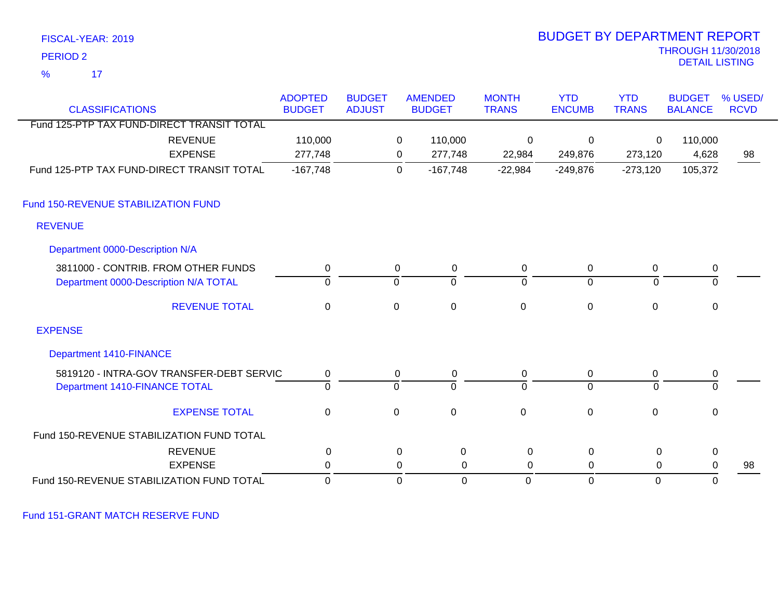| <b>PERIOD 2</b>                                                              |                                 |                                |                     |                                 |                              |                             |                            | <b>THROUGH 11/30/2018</b><br><b>DETAIL LISTING</b> |                        |
|------------------------------------------------------------------------------|---------------------------------|--------------------------------|---------------------|---------------------------------|------------------------------|-----------------------------|----------------------------|----------------------------------------------------|------------------------|
| $\frac{9}{6}$<br>17                                                          |                                 |                                |                     |                                 |                              |                             |                            |                                                    |                        |
| <b>CLASSIFICATIONS</b>                                                       | <b>ADOPTED</b><br><b>BUDGET</b> | <b>BUDGET</b><br><b>ADJUST</b> |                     | <b>AMENDED</b><br><b>BUDGET</b> | <b>MONTH</b><br><b>TRANS</b> | <b>YTD</b><br><b>ENCUMB</b> | <b>YTD</b><br><b>TRANS</b> | <b>BUDGET</b><br><b>BALANCE</b>                    | % USED/<br><b>RCVD</b> |
| Fund 125-PTP TAX FUND-DIRECT TRANSIT TOTAL                                   |                                 |                                |                     |                                 |                              |                             |                            |                                                    |                        |
| <b>REVENUE</b><br><b>EXPENSE</b>                                             | 110,000<br>277,748              |                                | 0<br>0              | 110,000<br>277,748              | 0<br>22,984                  | $\mathbf 0$<br>249,876      | 0<br>273,120               | 110,000<br>4,628                                   | 98                     |
| Fund 125-PTP TAX FUND-DIRECT TRANSIT TOTAL                                   | $-167,748$                      |                                | $\mathbf 0$         | $-167,748$                      | $-22,984$                    | $-249,876$                  | $-273,120$                 | 105,372                                            |                        |
| Fund 150-REVENUE STABILIZATION FUND                                          |                                 |                                |                     |                                 |                              |                             |                            |                                                    |                        |
| <b>REVENUE</b>                                                               |                                 |                                |                     |                                 |                              |                             |                            |                                                    |                        |
| Department 0000-Description N/A                                              |                                 |                                |                     |                                 |                              |                             |                            |                                                    |                        |
| 3811000 - CONTRIB. FROM OTHER FUNDS<br>Department 0000-Description N/A TOTAL | 0<br>ō                          |                                | 0<br>$\overline{0}$ | 0<br>$\overline{0}$             | 0<br>$\overline{0}$          | 0<br>$\overline{0}$         | 0<br>$\overline{0}$        | 0<br>$\overline{0}$                                |                        |
| <b>REVENUE TOTAL</b>                                                         | $\mathbf 0$                     |                                | $\mathbf 0$         | $\pmb{0}$                       | $\pmb{0}$                    | $\pmb{0}$                   | $\pmb{0}$                  | $\mathsf 0$                                        |                        |
| <b>EXPENSE</b>                                                               |                                 |                                |                     |                                 |                              |                             |                            |                                                    |                        |
| <b>Department 1410-FINANCE</b>                                               |                                 |                                |                     |                                 |                              |                             |                            |                                                    |                        |
| 5819120 - INTRA-GOV TRANSFER-DEBT SERVIC<br>Department 1410-FINANCE TOTAL    | 0<br>$\overline{0}$             |                                | 0<br>$\overline{0}$ | 0<br>$\overline{0}$             | 0<br>$\Omega$                | 0<br>$\overline{0}$         | 0<br>$\Omega$              | 0<br>$\overline{0}$                                |                        |
| <b>EXPENSE TOTAL</b>                                                         | $\mathbf 0$                     |                                | $\mathbf 0$         | $\mathbf 0$                     | $\mathsf 0$                  | $\mathbf 0$                 | $\mathbf 0$                | $\mathbf 0$                                        |                        |
| Fund 150-REVENUE STABILIZATION FUND TOTAL                                    |                                 |                                |                     |                                 |                              |                             |                            |                                                    |                        |
| <b>REVENUE</b>                                                               | 0                               |                                | $\mathbf 0$         | $\boldsymbol{0}$                | 0                            | 0                           | 0                          | $\pmb{0}$                                          |                        |
| <b>EXPENSE</b>                                                               | 0                               |                                | 0                   | 0                               | 0                            | 0                           | 0                          | $\pmb{0}$                                          | 98                     |
| Fund 150-REVENUE STABILIZATION FUND TOTAL                                    | $\mathbf 0$                     |                                | $\mathbf 0$         | $\mathbf 0$                     | $\Omega$                     | $\overline{0}$              | $\mathbf{0}$               | $\mathbf 0$                                        |                        |

BUDGET BY DEPARTMENT REPORT

Fund 151-GRANT MATCH RESERVE FUND

FISCAL-YEAR: 2019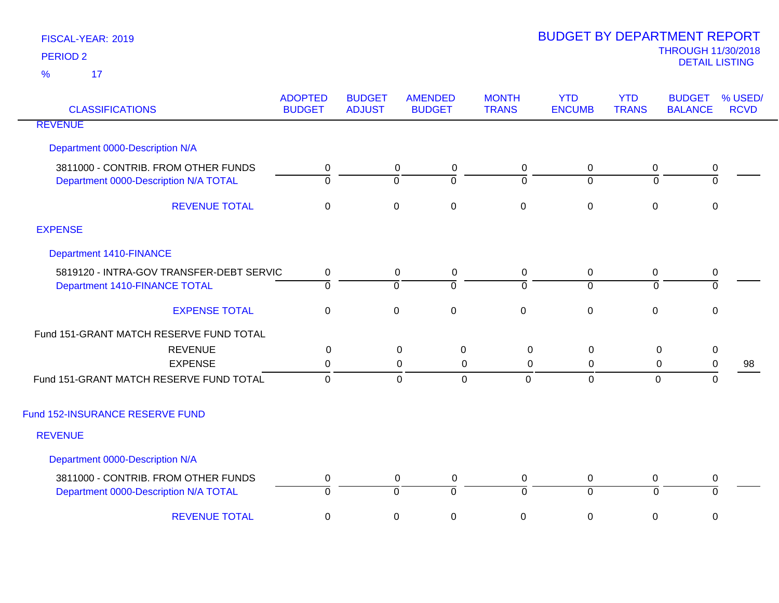| <b>CLASSIFICATIONS</b>                                                       | <b>ADOPTED</b><br><b>BUDGET</b> | <b>BUDGET</b><br><b>ADJUST</b> | <b>AMENDED</b><br><b>BUDGET</b>      | <b>MONTH</b><br><b>TRANS</b>  | <b>YTD</b><br><b>ENCUMB</b>   | <b>YTD</b><br><b>TRANS</b>    | <b>BUDGET</b><br><b>BALANCE</b> | % USED/<br><b>RCVD</b> |
|------------------------------------------------------------------------------|---------------------------------|--------------------------------|--------------------------------------|-------------------------------|-------------------------------|-------------------------------|---------------------------------|------------------------|
| <b>REVENUE</b>                                                               |                                 |                                |                                      |                               |                               |                               |                                 |                        |
| Department 0000-Description N/A                                              |                                 |                                |                                      |                               |                               |                               |                                 |                        |
| 3811000 - CONTRIB. FROM OTHER FUNDS<br>Department 0000-Description N/A TOTAL | 0<br>$\overline{0}$             | $\overline{0}$                 | 0<br>0<br>ō                          | 0<br>$\overline{0}$           | 0<br>$\overline{0}$           | $\mathbf 0$<br>$\mathbf 0$    | 0<br>$\overline{0}$             |                        |
| <b>REVENUE TOTAL</b>                                                         | $\pmb{0}$                       | $\mathsf 0$                    | $\pmb{0}$                            | $\pmb{0}$                     | $\mathbf 0$                   | $\mathbf 0$                   | $\mathbf 0$                     |                        |
| <b>EXPENSE</b>                                                               |                                 |                                |                                      |                               |                               |                               |                                 |                        |
| <b>Department 1410-FINANCE</b>                                               |                                 |                                |                                      |                               |                               |                               |                                 |                        |
| 5819120 - INTRA-GOV TRANSFER-DEBT SERVIC<br>Department 1410-FINANCE TOTAL    | $\mathbf 0$<br>$\overline{0}$   | $\overline{0}$                 | $\mathbf 0$<br>$\pmb{0}$<br>ō        | $\mathbf 0$<br>$\overline{0}$ | $\mathbf 0$<br>$\overline{0}$ | $\mathbf 0$<br>$\overline{0}$ | $\pmb{0}$<br>$\overline{0}$     |                        |
| <b>EXPENSE TOTAL</b>                                                         | $\mathbf 0$                     | $\mathbf 0$                    | $\mathbf 0$                          | $\mathbf 0$                   | $\mathbf 0$                   | $\mathbf 0$                   | $\mathbf 0$                     |                        |
| Fund 151-GRANT MATCH RESERVE FUND TOTAL                                      |                                 |                                |                                      |                               |                               |                               |                                 |                        |
| <b>REVENUE</b>                                                               | $\mathbf 0$                     |                                | $\mathbf 0$<br>$\boldsymbol{0}$      | $\mathbf 0$                   | $\mathbf 0$                   | $\mathsf 0$                   | $\pmb{0}$                       |                        |
| <b>EXPENSE</b><br>Fund 151-GRANT MATCH RESERVE FUND TOTAL                    | $\mathbf 0$<br>$\mathbf{0}$     |                                | 0<br>0<br>$\mathbf 0$<br>$\mathbf 0$ | 0<br>$\Omega$                 | 0<br>$\overline{0}$           | 0<br>$\mathbf{0}$             | $\pmb{0}$<br>$\Omega$           | 98                     |
| Fund 152-INSURANCE RESERVE FUND                                              |                                 |                                |                                      |                               |                               |                               |                                 |                        |
| <b>REVENUE</b>                                                               |                                 |                                |                                      |                               |                               |                               |                                 |                        |
| Department 0000-Description N/A                                              |                                 |                                |                                      |                               |                               |                               |                                 |                        |
| 3811000 - CONTRIB. FROM OTHER FUNDS<br>Department 0000-Description N/A TOTAL | 0<br>$\overline{0}$             | $\overline{0}$                 | $\mathbf 0$<br>0<br>$\overline{0}$   | $\mathbf 0$<br>$\overline{0}$ | $\mathbf 0$<br>$\overline{0}$ | $\mathbf 0$<br>$\mathbf 0$    | 0<br>$\overline{0}$             |                        |
| <b>REVENUE TOTAL</b>                                                         | $\pmb{0}$                       | $\mathsf 0$                    | $\pmb{0}$                            | $\mathsf 0$                   | $\mathbf 0$                   | 0                             | $\mathbf 0$                     |                        |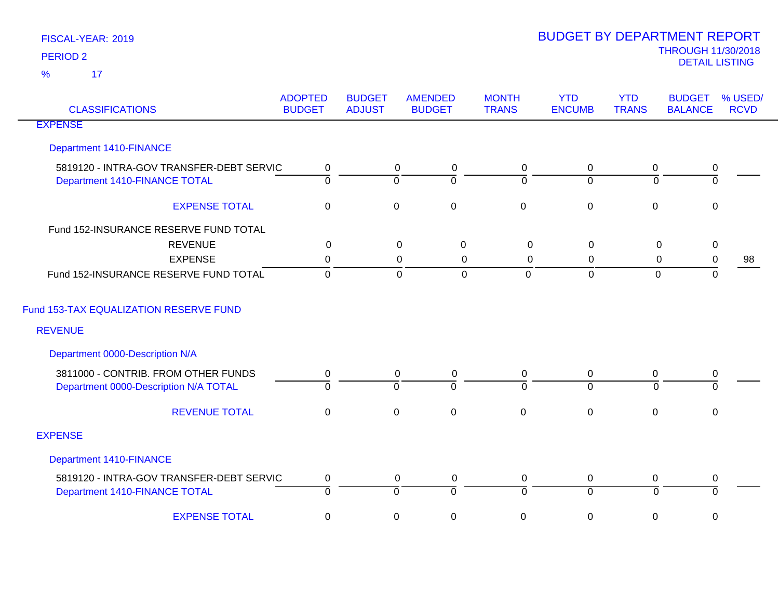| <b>CLASSIFICATIONS</b>                   | <b>ADOPTED</b><br><b>BUDGET</b> | <b>BUDGET</b><br><b>ADJUST</b> | <b>AMENDED</b><br><b>BUDGET</b> | <b>MONTH</b><br><b>TRANS</b> | <b>YTD</b><br><b>ENCUMB</b> | <b>YTD</b><br><b>TRANS</b> | <b>BUDGET</b><br><b>BALANCE</b> | % USED/<br><b>RCVD</b> |
|------------------------------------------|---------------------------------|--------------------------------|---------------------------------|------------------------------|-----------------------------|----------------------------|---------------------------------|------------------------|
| <b>EXPENSE</b>                           |                                 |                                |                                 |                              |                             |                            |                                 |                        |
| <b>Department 1410-FINANCE</b>           |                                 |                                |                                 |                              |                             |                            |                                 |                        |
| 5819120 - INTRA-GOV TRANSFER-DEBT SERVIC | $\mathbf 0$                     |                                | $\overline{0}$<br>$\pmb{0}$     | $\mathbf 0$                  | $\mathbf 0$                 | $\mathbf 0$                | $\pmb{0}$                       |                        |
| Department 1410-FINANCE TOTAL            | $\mathbf 0$                     | $\overline{0}$                 | $\overline{0}$                  | $\Omega$                     | $\overline{0}$              | $\Omega$                   | $\overline{0}$                  |                        |
| <b>EXPENSE TOTAL</b>                     | $\pmb{0}$                       | $\pmb{0}$                      | $\pmb{0}$                       | $\boldsymbol{0}$             | $\pmb{0}$                   | $\pmb{0}$                  | $\pmb{0}$                       |                        |
| Fund 152-INSURANCE RESERVE FUND TOTAL    |                                 |                                |                                 |                              |                             |                            |                                 |                        |
| <b>REVENUE</b>                           | 0                               |                                | 0<br>0                          | $\boldsymbol{0}$             | 0                           | $\mathbf 0$                | $\mathbf 0$                     |                        |
| <b>EXPENSE</b>                           | 0                               |                                | 0<br>0                          | 0                            | 0                           | $\mathbf 0$                | $\pmb{0}$                       | 98                     |
| Fund 152-INSURANCE RESERVE FUND TOTAL    | $\mathbf 0$                     |                                | $\mathbf 0$<br>$\mathbf 0$      | $\overline{0}$               | $\mathbf 0$                 | $\mathbf{0}$               | $\mathbf 0$                     |                        |
| Fund 153-TAX EQUALIZATION RESERVE FUND   |                                 |                                |                                 |                              |                             |                            |                                 |                        |
| <b>REVENUE</b>                           |                                 |                                |                                 |                              |                             |                            |                                 |                        |
| Department 0000-Description N/A          |                                 |                                |                                 |                              |                             |                            |                                 |                        |
| 3811000 - CONTRIB. FROM OTHER FUNDS      | 0                               |                                | $\mathbf 0$<br>$\pmb{0}$        | $\mathbf 0$                  | $\pmb{0}$                   | 0                          | $\pmb{0}$                       |                        |
| Department 0000-Description N/A TOTAL    | $\Omega$                        | $\mathbf 0$                    | $\Omega$                        | $\Omega$                     | $\overline{0}$              | $\Omega$                   | $\Omega$                        |                        |
| <b>REVENUE TOTAL</b>                     | $\mathbf 0$                     | $\pmb{0}$                      | $\mathbf 0$                     | $\mathbf 0$                  | $\pmb{0}$                   | $\mathbf 0$                | $\mathsf 0$                     |                        |
| <b>EXPENSE</b>                           |                                 |                                |                                 |                              |                             |                            |                                 |                        |
| Department 1410-FINANCE                  |                                 |                                |                                 |                              |                             |                            |                                 |                        |
| 5819120 - INTRA-GOV TRANSFER-DEBT SERVIC | $\mathbf 0$                     |                                | $\mathbf 0$<br>$\mathbf 0$      | $\mathbf 0$                  | $\mathbf 0$                 | 0                          | $\pmb{0}$                       |                        |
| Department 1410-FINANCE TOTAL            | $\overline{0}$                  | $\overline{0}$                 | $\overline{0}$                  | $\overline{0}$               | $\overline{0}$              | $\overline{0}$             | 0                               |                        |
| <b>EXPENSE TOTAL</b>                     | $\mathbf 0$                     | $\pmb{0}$                      | $\boldsymbol{0}$                | 0                            | $\pmb{0}$                   | 0                          | $\mathbf 0$                     |                        |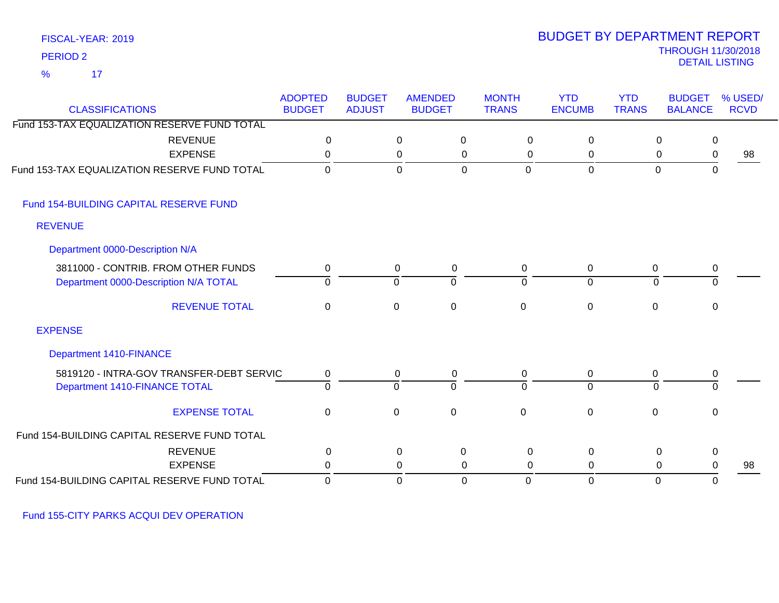|                 | FISCAL-YEAR: 2019 |
|-----------------|-------------------|
| <b>PERIOD 2</b> |                   |
| $\%$            | 17                |

## THROUGH 11/30/2018 DETAIL LISTING PERIOD <sup>2</sup> BUDGET BY DEPARTMENT REPORT

| <b>CLASSIFICATIONS</b>                       | <b>ADOPTED</b><br><b>BUDGET</b> | <b>BUDGET</b><br><b>ADJUST</b> | <b>AMENDED</b><br><b>BUDGET</b> |             | <b>MONTH</b><br><b>TRANS</b> | <b>YTD</b><br><b>ENCUMB</b> | <b>YTD</b><br><b>TRANS</b> | <b>BUDGET</b><br><b>BALANCE</b> | % USED/<br><b>RCVD</b> |
|----------------------------------------------|---------------------------------|--------------------------------|---------------------------------|-------------|------------------------------|-----------------------------|----------------------------|---------------------------------|------------------------|
| Fund 153-TAX EQUALIZATION RESERVE FUND TOTAL |                                 |                                |                                 |             |                              |                             |                            |                                 |                        |
| <b>REVENUE</b>                               | $\Omega$                        |                                | 0                               | 0           | 0                            | 0                           |                            | $\mathbf 0$<br>$\mathbf 0$      |                        |
| <b>EXPENSE</b>                               | 0                               |                                | 0                               | 0           | 0                            | 0                           |                            | 0<br>$\mathbf 0$                | 98                     |
| Fund 153-TAX EQUALIZATION RESERVE FUND TOTAL | $\mathbf 0$                     |                                | $\mathbf 0$                     | 0           | $\mathbf 0$                  | $\mathbf 0$                 | $\mathbf 0$                | 0                               |                        |
| Fund 154-BUILDING CAPITAL RESERVE FUND       |                                 |                                |                                 |             |                              |                             |                            |                                 |                        |
| <b>REVENUE</b>                               |                                 |                                |                                 |             |                              |                             |                            |                                 |                        |
| Department 0000-Description N/A              |                                 |                                |                                 |             |                              |                             |                            |                                 |                        |
| 3811000 - CONTRIB. FROM OTHER FUNDS          | 0                               |                                | $\overline{0}$                  | 0           | 0                            | 0                           | 0                          | 0                               |                        |
| Department 0000-Description N/A TOTAL        | $\mathbf 0$                     |                                | ᅙ                               | $\Omega$    | $\Omega$                     | $\mathbf 0$                 | $\Omega$                   | $\mathbf{0}$                    |                        |
| <b>REVENUE TOTAL</b>                         | $\mathbf 0$                     |                                | $\mathsf 0$                     | $\mathbf 0$ | $\mathbf 0$                  | $\pmb{0}$                   | $\mathbf 0$                | $\mathbf 0$                     |                        |
| <b>EXPENSE</b>                               |                                 |                                |                                 |             |                              |                             |                            |                                 |                        |
| <b>Department 1410-FINANCE</b>               |                                 |                                |                                 |             |                              |                             |                            |                                 |                        |
| 5819120 - INTRA-GOV TRANSFER-DEBT SERVIC     | 0                               |                                | 0                               | 0           | 0                            | 0                           | 0                          | 0                               |                        |
| Department 1410-FINANCE TOTAL                | $\overline{0}$                  |                                | $\overline{0}$                  | $\Omega$    | $\Omega$                     | $\overline{0}$              | $\overline{0}$             | $\mathbf 0$                     |                        |
| <b>EXPENSE TOTAL</b>                         | $\mathbf 0$                     |                                | $\mathsf 0$                     | $\mathbf 0$ | $\mathbf 0$                  | $\mathbf 0$                 | $\mathbf 0$                | 0                               |                        |
| Fund 154-BUILDING CAPITAL RESERVE FUND TOTAL |                                 |                                |                                 |             |                              |                             |                            |                                 |                        |
| <b>REVENUE</b>                               | 0                               |                                | $\pmb{0}$                       | $\mathbf 0$ | $\pmb{0}$                    | $\mathbf 0$                 |                            | 0<br>$\pmb{0}$                  |                        |
| <b>EXPENSE</b>                               | 0                               |                                | 0                               | 0           | $\Omega$                     | 0                           |                            | 0<br>0                          | 98                     |
| Fund 154-BUILDING CAPITAL RESERVE FUND TOTAL | 0                               |                                | $\mathbf 0$                     | 0           | 0                            | 0                           | $\mathbf 0$                | 0                               |                        |

Fund 155-CITY PARKS ACQUI DEV OPERATION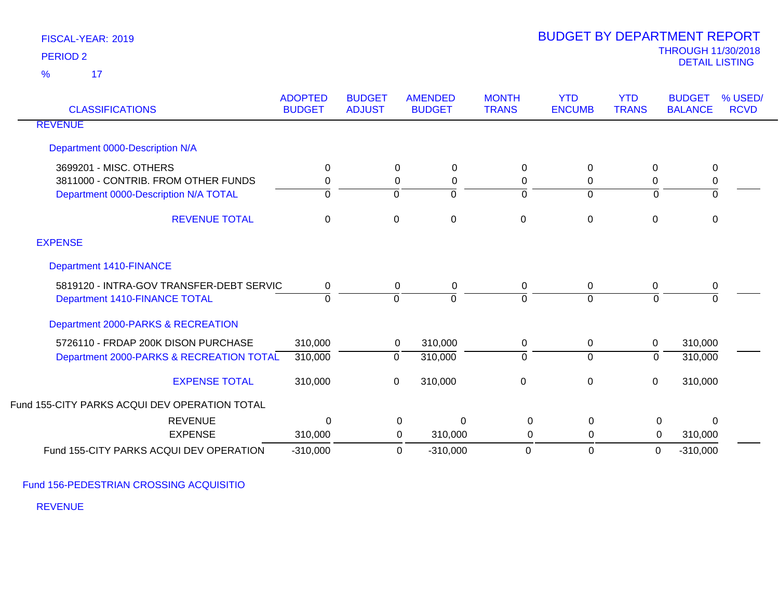17 %

| <b>CLASSIFICATIONS</b>                                                                                 | <b>ADOPTED</b><br><b>BUDGET</b> | <b>BUDGET</b><br><b>ADJUST</b> | <b>AMENDED</b><br><b>BUDGET</b>   | <b>MONTH</b><br><b>TRANS</b> | <b>YTD</b><br><b>ENCUMB</b> | <b>YTD</b><br><b>TRANS</b>    | <b>BUDGET</b><br><b>BALANCE</b> | % USED/<br><b>RCVD</b> |
|--------------------------------------------------------------------------------------------------------|---------------------------------|--------------------------------|-----------------------------------|------------------------------|-----------------------------|-------------------------------|---------------------------------|------------------------|
| <b>REVENUE</b>                                                                                         |                                 |                                |                                   |                              |                             |                               |                                 |                        |
| Department 0000-Description N/A                                                                        |                                 |                                |                                   |                              |                             |                               |                                 |                        |
| 3699201 - MISC. OTHERS<br>3811000 - CONTRIB. FROM OTHER FUNDS<br>Department 0000-Description N/A TOTAL | 0<br>0<br>0                     | $\mathbf 0$<br>0               | 0<br>$\mathbf 0$<br>0<br>$\Omega$ | 0<br>0<br>$\Omega$           | 0<br>0<br>$\mathbf 0$       | $\mathbf 0$<br>0<br>0         | 0<br>0<br>0                     |                        |
| <b>REVENUE TOTAL</b>                                                                                   | $\mathbf 0$                     | $\mathsf 0$                    | $\mathbf 0$                       | $\Omega$                     | $\mathbf 0$                 | 0                             | 0                               |                        |
| <b>EXPENSE</b>                                                                                         |                                 |                                |                                   |                              |                             |                               |                                 |                        |
| <b>Department 1410-FINANCE</b>                                                                         |                                 |                                |                                   |                              |                             |                               |                                 |                        |
| 5819120 - INTRA-GOV TRANSFER-DEBT SERVIC<br>Department 1410-FINANCE TOTAL                              | $\mathbf 0$<br>$\Omega$         | $\mathbf 0$<br>$\mathbf 0$     | 0<br>$\Omega$                     | 0<br>$\Omega$                | $\mathbf 0$<br>$\Omega$     | 0<br>$\Omega$                 | 0<br>$\Omega$                   |                        |
| Department 2000-PARKS & RECREATION                                                                     |                                 |                                |                                   |                              |                             |                               |                                 |                        |
| 5726110 - FRDAP 200K DISON PURCHASE<br>Department 2000-PARKS & RECREATION TOTAL                        | 310,000<br>310,000              | $\overline{0}$                 | 310,000<br>0<br>310,000           | 0<br>$\Omega$                | 0<br>$\overline{0}$         | $\mathbf 0$<br>$\overline{0}$ | 310,000<br>310,000              |                        |
| <b>EXPENSE TOTAL</b>                                                                                   | 310,000                         | $\mathbf 0$                    | 310,000                           | $\mathbf 0$                  | $\boldsymbol{0}$            | $\mathbf 0$                   | 310,000                         |                        |
| Fund 155-CITY PARKS ACQUI DEV OPERATION TOTAL                                                          |                                 |                                |                                   |                              |                             |                               |                                 |                        |
| <b>REVENUE</b>                                                                                         | $\Omega$                        |                                | 0<br>$\Omega$                     | $\Omega$                     | $\Omega$                    | $\mathbf 0$                   | $\mathbf{0}$                    |                        |
| <b>EXPENSE</b>                                                                                         | 310,000                         |                                | 0<br>310,000                      | 0                            | 0                           | $\overline{0}$                | 310,000                         |                        |
| Fund 155-CITY PARKS ACQUI DEV OPERATION                                                                | $-310,000$                      |                                | $-310,000$<br>0                   | 0                            | $\mathbf 0$                 | $\mathbf 0$                   | $-310,000$                      |                        |

Fund 156-PEDESTRIAN CROSSING ACQUISITIO

REVENUE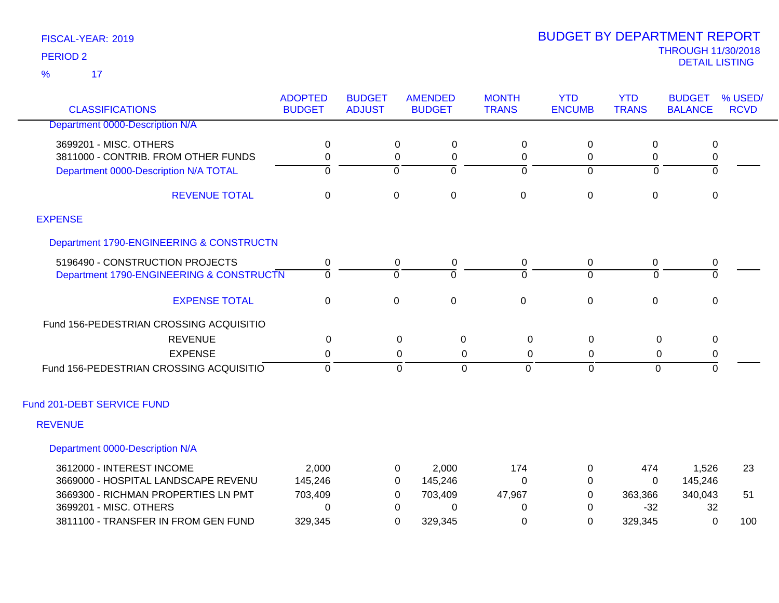17 %

| <b>CLASSIFICATIONS</b>                   | <b>ADOPTED</b><br><b>BUDGET</b> | <b>BUDGET</b><br><b>ADJUST</b> | <b>AMENDED</b><br><b>BUDGET</b> | <b>MONTH</b><br><b>TRANS</b> | <b>YTD</b><br><b>ENCUMB</b> | <b>YTD</b><br><b>TRANS</b> | <b>BUDGET</b><br><b>BALANCE</b> | % USED/<br><b>RCVD</b> |
|------------------------------------------|---------------------------------|--------------------------------|---------------------------------|------------------------------|-----------------------------|----------------------------|---------------------------------|------------------------|
| Department 0000-Description N/A          |                                 |                                |                                 |                              |                             |                            |                                 |                        |
| 3699201 - MISC. OTHERS                   | 0                               | $\Omega$                       | 0                               | 0                            | 0                           | $\Omega$                   | 0                               |                        |
| 3811000 - CONTRIB. FROM OTHER FUNDS      | 0                               | 0                              | 0                               | 0                            | 0                           | 0                          | $\pmb{0}$                       |                        |
| Department 0000-Description N/A TOTAL    | $\overline{0}$                  | $\Omega$                       | $\overline{0}$                  | $\overline{0}$               | $\Omega$                    | $\Omega$                   | $\overline{0}$                  |                        |
| <b>REVENUE TOTAL</b>                     | $\mathbf 0$                     | $\boldsymbol{0}$               | $\pmb{0}$                       | $\mathbf 0$                  | 0                           | $\mathbf 0$                | $\pmb{0}$                       |                        |
| <b>EXPENSE</b>                           |                                 |                                |                                 |                              |                             |                            |                                 |                        |
| Department 1790-ENGINEERING & CONSTRUCTN |                                 |                                |                                 |                              |                             |                            |                                 |                        |
| 5196490 - CONSTRUCTION PROJECTS          | 0                               | 0                              | 0                               | 0                            | 0                           | 0                          | 0                               |                        |
| Department 1790-ENGINEERING & CONSTRUCTN | $\overline{0}$                  | $\Omega$                       | $\Omega$                        | $\Omega$                     | $\Omega$                    | $\Omega$                   | $\overline{0}$                  |                        |
| <b>EXPENSE TOTAL</b>                     | $\mathbf 0$                     | $\mathbf 0$                    | $\pmb{0}$                       | $\mathsf 0$                  | $\mathbf 0$                 | $\mathbf 0$                | $\mathbf 0$                     |                        |
| Fund 156-PEDESTRIAN CROSSING ACQUISITIO  |                                 |                                |                                 |                              |                             |                            |                                 |                        |
| <b>REVENUE</b>                           | 0                               |                                | $\boldsymbol{0}$<br>0           | 0                            | $\pmb{0}$                   | 0                          | 0                               |                        |
| <b>EXPENSE</b>                           | 0                               |                                | 0<br>0                          | 0                            | 0                           | 0                          | 0                               |                        |
| Fund 156-PEDESTRIAN CROSSING ACQUISITIO  | $\mathbf 0$                     |                                | $\mathbf{0}$<br>$\mathbf 0$     | $\Omega$                     | $\mathbf{0}$                | $\mathbf 0$                | $\mathbf 0$                     |                        |
| Fund 201-DEBT SERVICE FUND               |                                 |                                |                                 |                              |                             |                            |                                 |                        |
| <b>REVENUE</b>                           |                                 |                                |                                 |                              |                             |                            |                                 |                        |
| Department 0000-Description N/A          |                                 |                                |                                 |                              |                             |                            |                                 |                        |
| 3612000 - INTEREST INCOME                | 2,000                           | 0                              | 2,000                           | 174                          | 0                           | 474                        | 1,526                           | 23                     |
| 3669000 - HOSPITAL LANDSCAPE REVENU      | 145,246                         | 0                              | 145,246                         | 0                            | 0                           | $\Omega$                   | 145,246                         |                        |
| 3669300 - RICHMAN PROPERTIES LN PMT      | 703,409                         | 0                              | 703,409                         | 47,967                       | 0                           | 363,366                    | 340,043                         | 51                     |
| 3699201 - MISC. OTHERS                   | $\Omega$                        | 0                              | 0                               | 0                            | $\Omega$                    | $-32$                      | 32                              |                        |
| 3811100 - TRANSFER IN FROM GEN FUND      | 329,345                         | 0                              | 329,345                         | 0                            | 0                           | 329,345                    | 0                               | 100                    |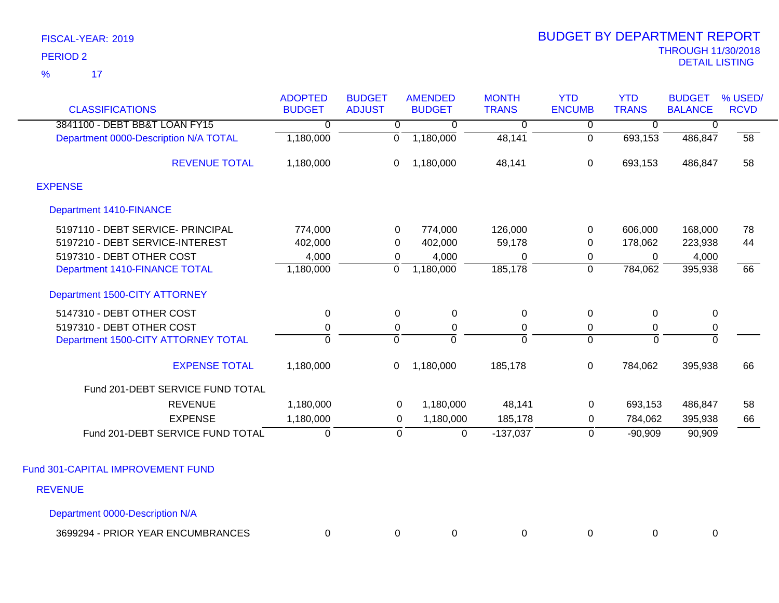17 %

| <b>CLASSIFICATIONS</b>                | <b>ADOPTED</b><br><b>BUDGET</b> | <b>BUDGET</b><br><b>ADJUST</b> | <b>AMENDED</b><br><b>BUDGET</b> | <b>MONTH</b><br><b>TRANS</b> | <b>YTD</b><br><b>ENCUMB</b>      | <b>YTD</b><br><b>TRANS</b> | <b>BUDGET</b><br><b>BALANCE</b> | % USED/<br><b>RCVD</b> |
|---------------------------------------|---------------------------------|--------------------------------|---------------------------------|------------------------------|----------------------------------|----------------------------|---------------------------------|------------------------|
| 3841100 - DEBT BB&T LOAN FY15         |                                 |                                |                                 |                              |                                  |                            |                                 |                        |
| Department 0000-Description N/A TOTAL | 0<br>1,180,000                  | $\overline{0}$<br>0            | $\mathbf 0$<br>1,180,000        | 0<br>48,141                  | $\overline{0}$<br>$\overline{0}$ | $\mathbf 0$<br>693,153     | 0<br>486,847                    | 58                     |
|                                       |                                 |                                |                                 |                              |                                  |                            |                                 |                        |
| <b>REVENUE TOTAL</b>                  | 1,180,000                       | 0                              | 1,180,000                       | 48,141                       | 0                                | 693,153                    | 486,847                         | 58                     |
| <b>EXPENSE</b>                        |                                 |                                |                                 |                              |                                  |                            |                                 |                        |
| <b>Department 1410-FINANCE</b>        |                                 |                                |                                 |                              |                                  |                            |                                 |                        |
| 5197110 - DEBT SERVICE- PRINCIPAL     | 774,000                         | 0                              | 774,000                         | 126,000                      | 0                                | 606,000                    | 168,000                         | 78                     |
| 5197210 - DEBT SERVICE-INTEREST       | 402,000                         | 0                              | 402,000                         | 59,178                       | 0                                | 178,062                    | 223,938                         | 44                     |
| 5197310 - DEBT OTHER COST             | 4,000                           | 0                              | 4,000                           | $\pmb{0}$                    | $\mathbf 0$                      | 0                          | 4,000                           |                        |
| Department 1410-FINANCE TOTAL         | 1,180,000                       | $\mathbf 0$                    | 1,180,000                       | 185,178                      | $\overline{0}$                   | 784,062                    | 395,938                         | 66                     |
| Department 1500-CITY ATTORNEY         |                                 |                                |                                 |                              |                                  |                            |                                 |                        |
| 5147310 - DEBT OTHER COST             | 0                               | 0                              | $\mathbf 0$                     | $\mathbf 0$                  | $\pmb{0}$                        | 0                          | $\mathbf 0$                     |                        |
| 5197310 - DEBT OTHER COST             | 0                               | 0                              | 0                               | 0                            | 0                                | 0                          | $\mathbf 0$                     |                        |
| Department 1500-CITY ATTORNEY TOTAL   | $\overline{0}$                  | $\overline{0}$                 | ō                               | ō                            | $\overline{0}$                   | $\mathbf 0$                | $\overline{0}$                  |                        |
| <b>EXPENSE TOTAL</b>                  | 1,180,000                       | 0                              | 1,180,000                       | 185,178                      | $\mathbf 0$                      | 784,062                    | 395,938                         | 66                     |
| Fund 201-DEBT SERVICE FUND TOTAL      |                                 |                                |                                 |                              |                                  |                            |                                 |                        |
| <b>REVENUE</b>                        | 1,180,000                       | 0                              | 1,180,000                       | 48,141                       | $\mathbf 0$                      | 693,153                    | 486,847                         | 58                     |
| <b>EXPENSE</b>                        | 1,180,000                       | $\mathbf 0$                    | 1,180,000                       | 185,178                      | 0                                | 784,062                    | 395,938                         | 66                     |
| Fund 201-DEBT SERVICE FUND TOTAL      | $\pmb{0}$                       | 0                              | $\mathsf 0$                     | $-137,037$                   | $\mathbf 0$                      | $-90,909$                  | 90,909                          |                        |
| Fund 301-CAPITAL IMPROVEMENT FUND     |                                 |                                |                                 |                              |                                  |                            |                                 |                        |
|                                       |                                 |                                |                                 |                              |                                  |                            |                                 |                        |
| <b>REVENUE</b>                        |                                 |                                |                                 |                              |                                  |                            |                                 |                        |
| Department 0000-Description N/A       |                                 |                                |                                 |                              |                                  |                            |                                 |                        |

3699294 - PRIOR YEAR ENCUMBRANCES 0 0 0 0 0 0 0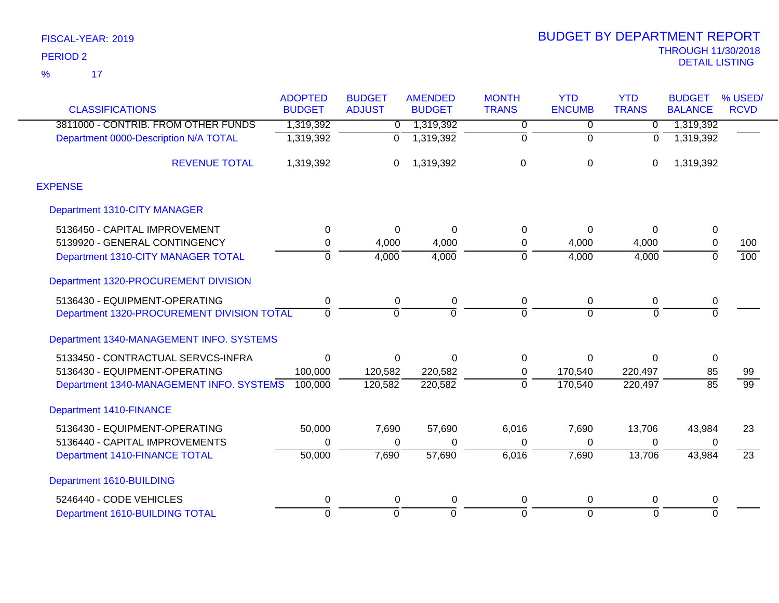$\overline{17}$ %

|                                            | <b>ADOPTED</b> | <b>BUDGET</b> | <b>AMENDED</b> | <b>MONTH</b>   | <b>YTD</b>    | <b>YTD</b>     | <b>BUDGET</b>   | % USED/         |
|--------------------------------------------|----------------|---------------|----------------|----------------|---------------|----------------|-----------------|-----------------|
| <b>CLASSIFICATIONS</b>                     | <b>BUDGET</b>  | <b>ADJUST</b> | <b>BUDGET</b>  | <b>TRANS</b>   | <b>ENCUMB</b> | <b>TRANS</b>   | <b>BALANCE</b>  | <b>RCVD</b>     |
| 3811000 - CONTRIB. FROM OTHER FUNDS        | 1,319,392      | 0             | 1,319,392      | 0              | $\Omega$      | $\Omega$       | 1,319,392       |                 |
| Department 0000-Description N/A TOTAL      | 1,319,392      | 0             | 1,319,392      | 0              | $\Omega$      | $\Omega$       | 1,319,392       |                 |
| <b>REVENUE TOTAL</b>                       | 1,319,392      | 0             | 1,319,392      | $\mathbf 0$    | $\mathbf 0$   | 0              | 1,319,392       |                 |
| <b>EXPENSE</b>                             |                |               |                |                |               |                |                 |                 |
| Department 1310-CITY MANAGER               |                |               |                |                |               |                |                 |                 |
| 5136450 - CAPITAL IMPROVEMENT              | 0              | 0             | $\Omega$       | 0              | $\Omega$      | $\Omega$       | 0               |                 |
| 5139920 - GENERAL CONTINGENCY              | 0              | 4,000         | 4,000          | 0              | 4,000         | 4,000          | 0               | 100             |
| Department 1310-CITY MANAGER TOTAL         | $\Omega$       | 4,000         | 4,000          | $\overline{0}$ | 4,000         | 4,000          | $\overline{0}$  | 100             |
| Department 1320-PROCUREMENT DIVISION       |                |               |                |                |               |                |                 |                 |
| 5136430 - EQUIPMENT-OPERATING              | 0              | $\mathbf 0$   | 0              | 0              | 0             | $\mathbf 0$    | 0               |                 |
| Department 1320-PROCUREMENT DIVISION TOTAL | $\Omega$       | $\Omega$      | $\Omega$       | $\overline{0}$ | $\Omega$      | $\Omega$       | $\overline{0}$  |                 |
| Department 1340-MANAGEMENT INFO. SYSTEMS   |                |               |                |                |               |                |                 |                 |
| 5133450 - CONTRACTUAL SERVCS-INFRA         | 0              | 0             | $\Omega$       | 0              | $\Omega$      | $\Omega$       | 0               |                 |
| 5136430 - EQUIPMENT-OPERATING              | 100,000        | 120,582       | 220,582        | 0              | 170,540       | 220,497        | 85              | 99              |
| Department 1340-MANAGEMENT INFO. SYSTEMS   | 100,000        | 120,582       | 220,582        | $\mathbf 0$    | 170,540       | 220,497        | $\overline{85}$ | $\overline{99}$ |
| <b>Department 1410-FINANCE</b>             |                |               |                |                |               |                |                 |                 |
| 5136430 - EQUIPMENT-OPERATING              | 50,000         | 7,690         | 57,690         | 6,016          | 7,690         | 13,706         | 43,984          | 23              |
| 5136440 - CAPITAL IMPROVEMENTS             | 0              | 0             | $\Omega$       | 0              | $\Omega$      | 0              | 0               |                 |
| Department 1410-FINANCE TOTAL              | 50,000         | 7,690         | 57,690         | 6,016          | 7,690         | 13,706         | 43,984          | $\overline{23}$ |
| Department 1610-BUILDING                   |                |               |                |                |               |                |                 |                 |
| 5246440 - CODE VEHICLES                    | 0              | 0             | 0              | 0              | 0             | 0              | 0               |                 |
| Department 1610-BUILDING TOTAL             | $\overline{0}$ | $\mathbf 0$   | $\Omega$       | $\overline{0}$ | $\Omega$      | $\overline{0}$ | $\overline{0}$  |                 |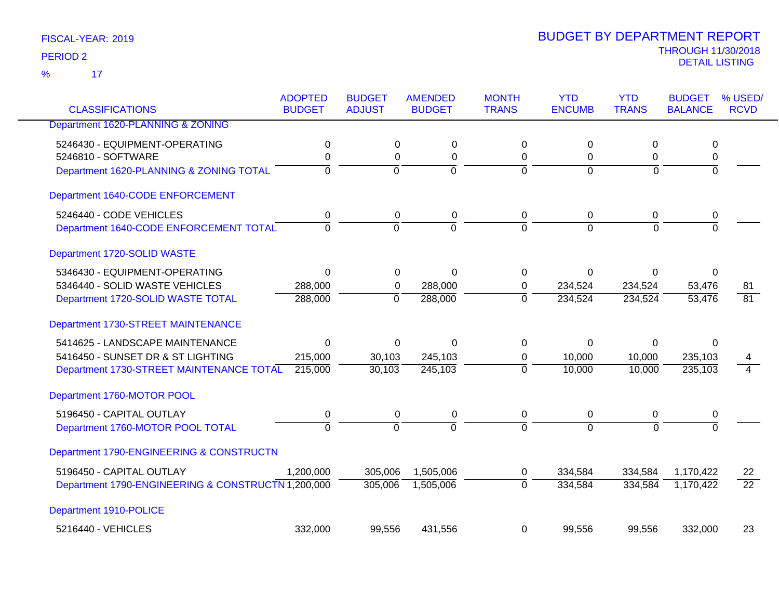17 %

| <b>CLASSIFICATIONS</b>                             | <b>ADOPTED</b><br><b>BUDGET</b> | <b>BUDGET</b><br><b>ADJUST</b> | <b>AMENDED</b><br><b>BUDGET</b> | <b>MONTH</b><br><b>TRANS</b> | <b>YTD</b><br><b>ENCUMB</b> | <b>YTD</b><br><b>TRANS</b> | <b>BUDGET</b><br><b>BALANCE</b> | % USED/<br><b>RCVD</b> |
|----------------------------------------------------|---------------------------------|--------------------------------|---------------------------------|------------------------------|-----------------------------|----------------------------|---------------------------------|------------------------|
| Department 1620-PLANNING & ZONING                  |                                 |                                |                                 |                              |                             |                            |                                 |                        |
| 5246430 - EQUIPMENT-OPERATING                      |                                 |                                |                                 | $\mathbf 0$                  |                             |                            |                                 |                        |
| 5246810 - SOFTWARE                                 | $\mathbf 0$<br>0                | $\mathbf 0$<br>0               | $\mathbf 0$<br>0                | 0                            | $\mathbf 0$<br>0            | 0<br>0                     | 0<br>0                          |                        |
| Department 1620-PLANNING & ZONING TOTAL            | $\Omega$                        | $\mathbf 0$                    | $\overline{0}$                  | $\Omega$                     | $\overline{0}$              | $\Omega$                   | $\overline{0}$                  |                        |
| Department 1640-CODE ENFORCEMENT                   |                                 |                                |                                 |                              |                             |                            |                                 |                        |
| 5246440 - CODE VEHICLES                            | 0                               | $\mathbf 0$                    | $\mathbf 0$                     | $\mathbf 0$                  | $\pmb{0}$                   | $\mathbf 0$                | 0                               |                        |
| Department 1640-CODE ENFORCEMENT TOTAL             | $\Omega$                        | $\Omega$                       | $\Omega$                        | $\Omega$                     | $\Omega$                    | $\Omega$                   | $\Omega$                        |                        |
| Department 1720-SOLID WASTE                        |                                 |                                |                                 |                              |                             |                            |                                 |                        |
| 5346430 - EQUIPMENT-OPERATING                      | $\Omega$                        | 0                              | $\Omega$                        | $\Omega$                     | 0                           | 0                          | 0                               |                        |
| 5346440 - SOLID WASTE VEHICLES                     | 288,000                         | 0                              | 288,000                         | $\mathbf 0$                  | 234,524                     | 234,524                    | 53,476                          | 81                     |
| Department 1720-SOLID WASTE TOTAL                  | 288,000                         | $\Omega$                       | 288,000                         | $\Omega$                     | 234,524                     | 234,524                    | 53,476                          | $\overline{81}$        |
| Department 1730-STREET MAINTENANCE                 |                                 |                                |                                 |                              |                             |                            |                                 |                        |
| 5414625 - LANDSCAPE MAINTENANCE                    | $\Omega$                        | 0                              | $\Omega$                        | $\Omega$                     | 0                           | 0                          | 0                               |                        |
| 5416450 - SUNSET DR & ST LIGHTING                  | 215,000                         | 30,103                         | 245,103                         | 0                            | 10,000                      | 10,000                     | 235,103                         |                        |
| Department 1730-STREET MAINTENANCE TOTAL           | 215,000                         | 30,103                         | 245,103                         | $\overline{0}$               | 10,000                      | 10,000                     | 235,103                         | $\overline{4}$         |
| Department 1760-MOTOR POOL                         |                                 |                                |                                 |                              |                             |                            |                                 |                        |
| 5196450 - CAPITAL OUTLAY                           | 0                               | $\mathbf 0$                    | $\mathbf 0$                     | $\mathbf 0$                  | $\mathbf 0$                 | 0                          | 0                               |                        |
| Department 1760-MOTOR POOL TOTAL                   | $\overline{0}$                  | $\overline{0}$                 | $\overline{0}$                  | $\Omega$                     | $\Omega$                    | $\overline{0}$             | $\overline{0}$                  |                        |
| Department 1790-ENGINEERING & CONSTRUCTN           |                                 |                                |                                 |                              |                             |                            |                                 |                        |
| 5196450 - CAPITAL OUTLAY                           | 1,200,000                       | 305,006                        | 1,505,006                       | 0                            | 334,584                     | 334,584                    | 1,170,422                       | 22                     |
| Department 1790-ENGINEERING & CONSTRUCTN 1,200,000 |                                 | 305,006                        | 1,505,006                       | $\mathbf 0$                  | 334,584                     | 334,584                    | 1,170,422                       | $\overline{22}$        |
| Department 1910-POLICE                             |                                 |                                |                                 |                              |                             |                            |                                 |                        |
| 5216440 - VEHICLES                                 | 332,000                         | 99,556                         | 431,556                         | $\Omega$                     | 99,556                      | 99,556                     | 332,000                         | 23                     |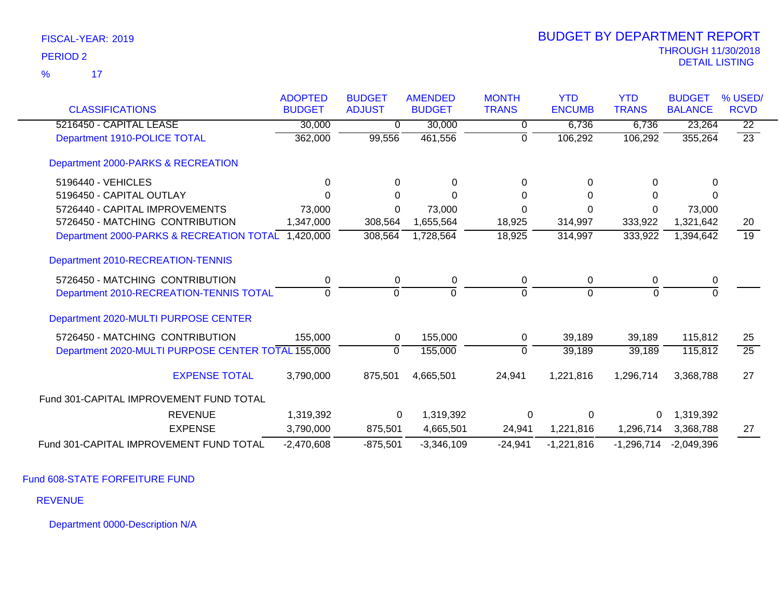|                                                    | <b>ADOPTED</b> | <b>BUDGET</b> | <b>AMENDED</b> | <b>MONTH</b> | <b>YTD</b>    | <b>YTD</b>   | <b>BUDGET</b>  | % USED/         |
|----------------------------------------------------|----------------|---------------|----------------|--------------|---------------|--------------|----------------|-----------------|
| <b>CLASSIFICATIONS</b>                             | <b>BUDGET</b>  | <b>ADJUST</b> | <b>BUDGET</b>  | <b>TRANS</b> | <b>ENCUMB</b> | <b>TRANS</b> | <b>BALANCE</b> | <b>RCVD</b>     |
| 5216450 - CAPITAL LEASE                            | 30,000         | $\mathbf{0}$  | 30,000         | 0            | 6,736         | 6,736        | 23,264         | $\overline{22}$ |
| Department 1910-POLICE TOTAL                       | 362,000        | 99,556        | 461,556        | 0            | 106,292       | 106,292      | 355,264        | $\overline{23}$ |
| Department 2000-PARKS & RECREATION                 |                |               |                |              |               |              |                |                 |
| 5196440 - VEHICLES                                 | $\Omega$       | $\Omega$      | 0              | 0            | 0             | 0            | $\Omega$       |                 |
| 5196450 - CAPITAL OUTLAY                           | ∩              | 0             | $\Omega$       | 0            | 0             | 0            | 0              |                 |
| 5726440 - CAPITAL IMPROVEMENTS                     | 73,000         | 0             | 73,000         | 0            | $\Omega$      | 0            | 73,000         |                 |
| 5726450 - MATCHING CONTRIBUTION                    | 1,347,000      | 308,564       | 1,655,564      | 18,925       | 314,997       | 333,922      | 1,321,642      | 20              |
| Department 2000-PARKS & RECREATION TOTAL 1,420,000 |                | 308,564       | 1,728,564      | 18,925       | 314,997       | 333,922      | 1,394,642      | 19              |
| Department 2010-RECREATION-TENNIS                  |                |               |                |              |               |              |                |                 |
| 5726450 - MATCHING CONTRIBUTION                    | 0              | 0             | 0              | 0            | 0             | 0            | 0              |                 |
| Department 2010-RECREATION-TENNIS TOTAL            | $\Omega$       | $\Omega$      | $\Omega$       | $\Omega$     | $\Omega$      | $\Omega$     | $\Omega$       |                 |
| Department 2020-MULTI PURPOSE CENTER               |                |               |                |              |               |              |                |                 |
| 5726450 - MATCHING CONTRIBUTION                    | 155,000        | 0             | 155,000        | 0            | 39,189        | 39,189       | 115,812        | 25              |
| Department 2020-MULTI PURPOSE CENTER TOTAL 155,000 |                | $\Omega$      | 155,000        | $\Omega$     | 39,189        | 39,189       | 115,812        | $\overline{25}$ |
| <b>EXPENSE TOTAL</b>                               | 3,790,000      | 875,501       | 4,665,501      | 24,941       | 1,221,816     | 1,296,714    | 3,368,788      | 27              |
| Fund 301-CAPITAL IMPROVEMENT FUND TOTAL            |                |               |                |              |               |              |                |                 |
| <b>REVENUE</b>                                     | 1,319,392      | 0             | 1,319,392      | 0            | 0             | 0            | 1,319,392      |                 |
| <b>EXPENSE</b>                                     | 3,790,000      | 875,501       | 4,665,501      | 24,941       | 1,221,816     | 1,296,714    | 3,368,788      | 27              |
| Fund 301-CAPITAL IMPROVEMENT FUND TOTAL            | $-2,470,608$   | $-875,501$    | $-3,346,109$   | $-24,941$    | $-1,221,816$  | $-1,296,714$ | $-2,049,396$   |                 |

Fund 608-STATE FORFEITURE FUND

REVENUE

Department 0000-Description N/A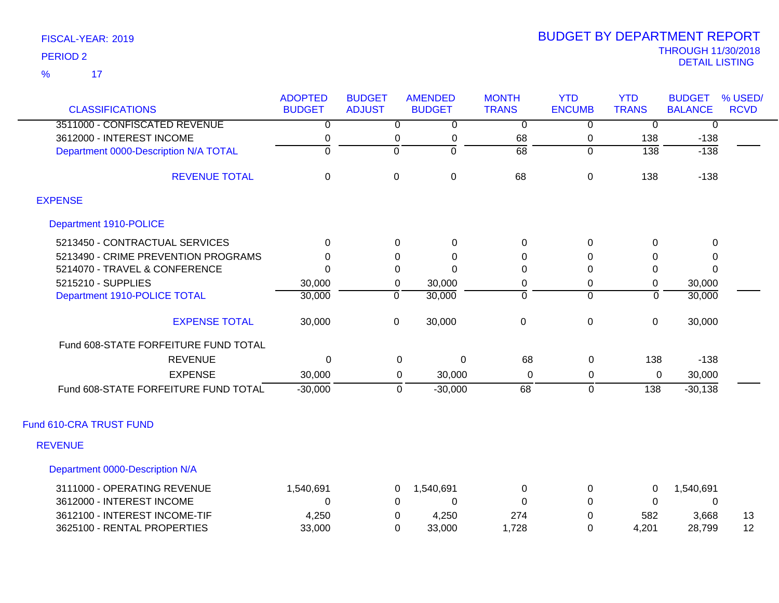| <b>CLASSIFICATIONS</b>                | <b>ADOPTED</b><br><b>BUDGET</b> | <b>BUDGET</b><br><b>ADJUST</b> | <b>AMENDED</b><br><b>BUDGET</b> | <b>MONTH</b><br><b>TRANS</b> | <b>YTD</b><br><b>ENCUMB</b> | <b>YTD</b><br><b>TRANS</b> | <b>BUDGET</b><br><b>BALANCE</b> | % USED/<br><b>RCVD</b> |
|---------------------------------------|---------------------------------|--------------------------------|---------------------------------|------------------------------|-----------------------------|----------------------------|---------------------------------|------------------------|
| 3511000 - CONFISCATED REVENUE         | 0                               | $\overline{0}$                 | $\overline{0}$                  | $\overline{0}$               | $\overline{0}$              | 0                          | $\overline{0}$                  |                        |
| 3612000 - INTEREST INCOME             | 0                               | 0                              | $\pmb{0}$                       | 68                           | 0                           | 138                        | $-138$                          |                        |
| Department 0000-Description N/A TOTAL | $\overline{0}$                  | $\overline{0}$                 | 0                               | $\overline{68}$              | $\overline{0}$              | $\overline{138}$           | $-138$                          |                        |
| <b>REVENUE TOTAL</b>                  | $\mathbf 0$                     | $\mathbf 0$                    | $\mathbf 0$                     | 68                           | 0                           | 138                        | $-138$                          |                        |
| <b>EXPENSE</b>                        |                                 |                                |                                 |                              |                             |                            |                                 |                        |
| Department 1910-POLICE                |                                 |                                |                                 |                              |                             |                            |                                 |                        |
| 5213450 - CONTRACTUAL SERVICES        | $\mathbf{0}$                    | 0                              | $\mathbf 0$                     | $\mathbf 0$                  | 0                           | $\mathbf 0$                | $\mathbf 0$                     |                        |
| 5213490 - CRIME PREVENTION PROGRAMS   | 0                               | $\Omega$                       | 0                               | $\Omega$                     | 0                           | 0                          | 0                               |                        |
| 5214070 - TRAVEL & CONFERENCE         | $\Omega$                        | $\Omega$                       | $\Omega$                        | $\Omega$                     | $\Omega$                    | 0                          | $\Omega$                        |                        |
| 5215210 - SUPPLIES                    | 30,000                          | $\pmb{0}$                      | 30,000                          | $\boldsymbol{0}$             | 0                           | 0                          | 30,000                          |                        |
| Department 1910-POLICE TOTAL          | 30,000                          | $\mathbf 0$                    | 30,000                          | $\mathbf 0$                  | 0                           | $\overline{0}$             | 30,000                          |                        |
| <b>EXPENSE TOTAL</b>                  | 30,000                          | $\mathbf 0$                    | 30,000                          | $\mathbf 0$                  | 0                           | $\mathbf 0$                | 30,000                          |                        |
| Fund 608-STATE FORFEITURE FUND TOTAL  |                                 |                                |                                 |                              |                             |                            |                                 |                        |
| <b>REVENUE</b>                        | $\Omega$                        | $\mathbf 0$                    | 0                               | 68                           | 0                           | 138                        | $-138$                          |                        |
| <b>EXPENSE</b>                        | 30,000                          | 0                              | 30,000                          | 0                            | 0                           | 0                          | 30,000                          |                        |
| Fund 608-STATE FORFEITURE FUND TOTAL  | $-30,000$                       | $\mathbf{0}$                   | $-30,000$                       | 68                           | $\Omega$                    | 138                        | $-30,138$                       |                        |
| Fund 610-CRA TRUST FUND               |                                 |                                |                                 |                              |                             |                            |                                 |                        |
| <b>REVENUE</b>                        |                                 |                                |                                 |                              |                             |                            |                                 |                        |
| Department 0000-Description N/A       |                                 |                                |                                 |                              |                             |                            |                                 |                        |
| 3111000 - OPERATING REVENUE           | 1,540,691                       | 0                              | 1,540,691                       | 0                            | 0                           | 0                          | 1,540,691                       |                        |
| 3612000 - INTEREST INCOME             | 0                               | 0                              | 0                               | $\Omega$                     | 0                           | 0                          | 0                               |                        |
| 3612100 - INTEREST INCOME-TIF         | 4,250                           | 0                              | 4,250                           | 274                          | 0                           | 582                        | 3,668                           | 13                     |
| 3625100 - RENTAL PROPERTIES           | 33,000                          | $\Omega$                       | 33,000                          | 1,728                        | 0                           | 4,201                      | 28,799                          | 12                     |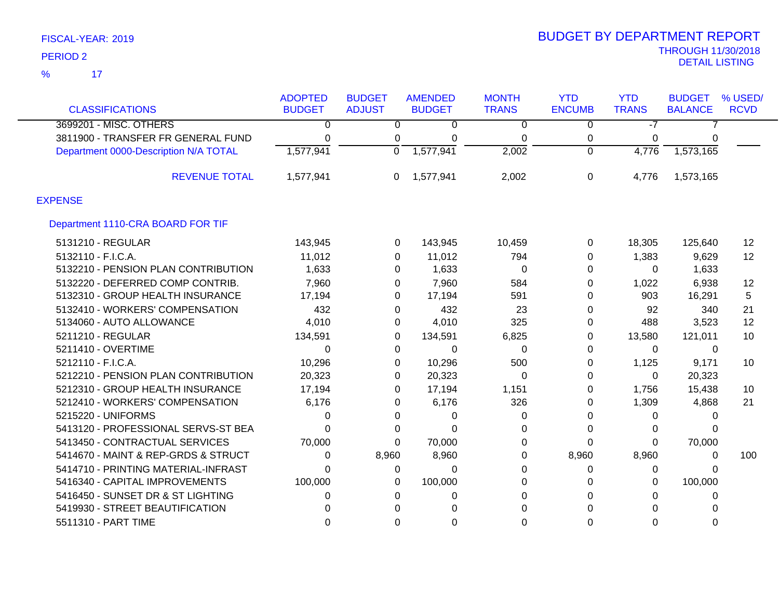|                                       | <b>ADOPTED</b> | <b>BUDGET</b>  | <b>AMENDED</b> | <b>MONTH</b>   | <b>YTD</b>     | <b>YTD</b>   | <b>BUDGET</b>  | % USED/           |
|---------------------------------------|----------------|----------------|----------------|----------------|----------------|--------------|----------------|-------------------|
| <b>CLASSIFICATIONS</b>                | <b>BUDGET</b>  | <b>ADJUST</b>  | <b>BUDGET</b>  | <b>TRANS</b>   | <b>ENCUMB</b>  | <b>TRANS</b> | <b>BALANCE</b> | <b>RCVD</b>       |
| 3699201 - MISC. OTHERS                | 0              | $\overline{0}$ | $\overline{0}$ | $\overline{0}$ | $\overline{0}$ | $-7$         |                |                   |
| 3811900 - TRANSFER FR GENERAL FUND    | 0              | 0              | 0              | 0              | 0              | 0            | 0              |                   |
| Department 0000-Description N/A TOTAL | 1,577,941      | $\Omega$       | 1,577,941      | 2,002          | $\Omega$       | 4,776        | 1,573,165      |                   |
| <b>REVENUE TOTAL</b>                  | 1,577,941      | 0              | 1,577,941      | 2,002          | 0              | 4,776        | 1,573,165      |                   |
| <b>EXPENSE</b>                        |                |                |                |                |                |              |                |                   |
| Department 1110-CRA BOARD FOR TIF     |                |                |                |                |                |              |                |                   |
| 5131210 - REGULAR                     | 143,945        | 0              | 143,945        | 10,459         | 0              | 18,305       | 125,640        | $12 \overline{ }$ |
| 5132110 - F.I.C.A.                    | 11,012         | $\Omega$       | 11,012         | 794            | 0              | 1,383        | 9,629          | 12                |
| 5132210 - PENSION PLAN CONTRIBUTION   | 1,633          | 0              | 1,633          | 0              | 0              | $\Omega$     | 1,633          |                   |
| 5132220 - DEFERRED COMP CONTRIB.      | 7,960          | 0              | 7,960          | 584            | 0              | 1,022        | 6,938          | $12 \overline{ }$ |
| 5132310 - GROUP HEALTH INSURANCE      | 17,194         | 0              | 17,194         | 591            | 0              | 903          | 16,291         | 5                 |
| 5132410 - WORKERS' COMPENSATION       | 432            | 0              | 432            | 23             | 0              | 92           | 340            | 21                |
| 5134060 - AUTO ALLOWANCE              | 4,010          | 0              | 4,010          | 325            | 0              | 488          | 3,523          | 12                |
| 5211210 - REGULAR                     | 134,591        | 0              | 134,591        | 6,825          | 0              | 13,580       | 121,011        | 10                |
| 5211410 - OVERTIME                    | 0              | 0              | 0              | 0              | 0              | $\mathbf{0}$ | 0              |                   |
| 5212110 - F.I.C.A.                    | 10,296         | 0              | 10,296         | 500            | 0              | 1,125        | 9,171          | 10                |
| 5212210 - PENSION PLAN CONTRIBUTION   | 20,323         | 0              | 20,323         | $\Omega$       | 0              | $\mathbf{0}$ | 20,323         |                   |
| 5212310 - GROUP HEALTH INSURANCE      | 17,194         | 0              | 17,194         | 1,151          | 0              | 1,756        | 15,438         | 10                |
| 5212410 - WORKERS' COMPENSATION       | 6,176          | 0              | 6,176          | 326            | 0              | 1,309        | 4,868          | 21                |
| 5215220 - UNIFORMS                    | 0              | 0              | 0              | 0              | $\Omega$       | 0            | 0              |                   |
| 5413120 - PROFESSIONAL SERVS-ST BEA   | 0              | 0              | 0              | 0              | 0              | 0            | 0              |                   |
| 5413450 - CONTRACTUAL SERVICES        | 70,000         | $\Omega$       | 70,000         | 0              | 0              | 0            | 70,000         |                   |
| 5414670 - MAINT & REP-GRDS & STRUCT   | 0              | 8,960          | 8,960          | 0              | 8,960          | 8,960        | 0              | 100               |
| 5414710 - PRINTING MATERIAL-INFRAST   | 0              | 0              | $\Omega$       | $\Omega$       | 0              | 0            | $\Omega$       |                   |
| 5416340 - CAPITAL IMPROVEMENTS        | 100,000        | 0              | 100,000        | 0              | 0              | 0            | 100,000        |                   |
| 5416450 - SUNSET DR & ST LIGHTING     | 0              | 0              | 0              | 0              | 0              | 0            | 0              |                   |
| 5419930 - STREET BEAUTIFICATION       | ი              | 0              | $\Omega$       | $\Omega$       | 0              | 0            |                |                   |
| 5511310 - PART TIME                   | 0              | 0              | 0              | 0              | 0              | 0            | 0              |                   |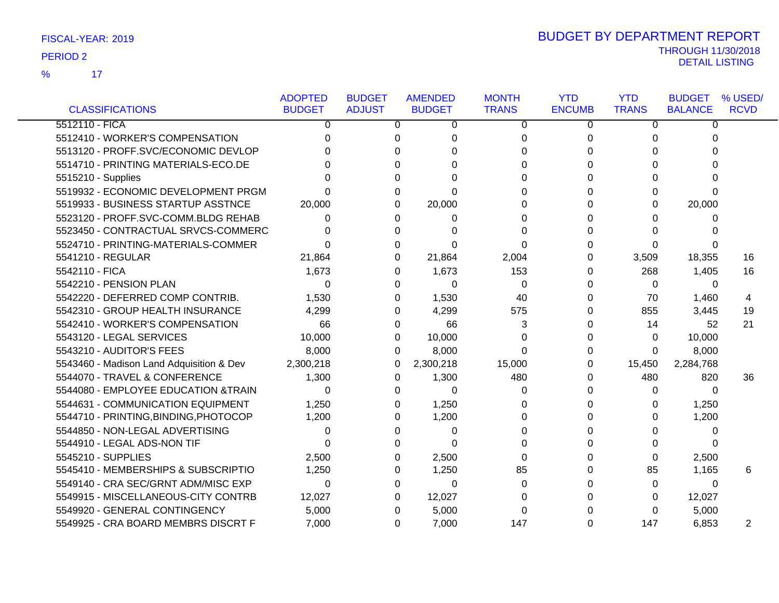|                                          | <b>ADOPTED</b> | <b>BUDGET</b> | <b>AMENDED</b> | <b>MONTH</b> | <b>YTD</b>    | <b>YTD</b>   | <b>BUDGET</b>  | % USED/     |
|------------------------------------------|----------------|---------------|----------------|--------------|---------------|--------------|----------------|-------------|
| <b>CLASSIFICATIONS</b>                   | <b>BUDGET</b>  | <b>ADJUST</b> | <b>BUDGET</b>  | <b>TRANS</b> | <b>ENCUMB</b> | <b>TRANS</b> | <b>BALANCE</b> | <b>RCVD</b> |
| 5512110 - FICA                           | 0              | 0             | 0              | 0            | 0             | 0            | 0              |             |
| 5512410 - WORKER'S COMPENSATION          | 0              | 0             | 0              | 0            | 0             | 0            | 0              |             |
| 5513120 - PROFF.SVC/ECONOMIC DEVLOP      |                | U             | 0              | 0            | 0             | 0            | 0              |             |
| 5514710 - PRINTING MATERIALS-ECO.DE      |                |               | $\Omega$       | 0            | $\Omega$      | 0            | 0              |             |
| 5515210 - Supplies                       |                | 0             | 0              | 0            | 0             | 0            | 0              |             |
| 5519932 - ECONOMIC DEVELOPMENT PRGM      |                | 0             | $\Omega$       | 0            | 0             | 0            | 0              |             |
| 5519933 - BUSINESS STARTUP ASSTNCE       | 20,000         | 0             | 20,000         | 0            | $\Omega$      | 0            | 20,000         |             |
| 5523120 - PROFF.SVC-COMM.BLDG REHAB      | 0              | 0             | 0              | 0            | 0             | 0            | 0              |             |
| 5523450 - CONTRACTUAL SRVCS-COMMERC      | 0              | 0             | 0              | 0            | 0             | 0            | 0              |             |
| 5524710 - PRINTING-MATERIALS-COMMER      | O              | 0             | 0              | 0            | 0             | 0            | 0              |             |
| 5541210 - REGULAR                        | 21,864         | 0             | 21,864         | 2,004        | 0             | 3,509        | 18,355         | 16          |
| 5542110 - FICA                           | 1,673          | 0             | 1,673          | 153          | 0             | 268          | 1,405          | 16          |
| 5542210 - PENSION PLAN                   | $\Omega$       | 0             | 0              | $\Omega$     | 0             | $\Omega$     | $\Omega$       |             |
| 5542220 - DEFERRED COMP CONTRIB.         | 1,530          | 0             | 1,530          | 40           | 0             | 70           | 1,460          | 4           |
| 5542310 - GROUP HEALTH INSURANCE         | 4,299          | 0             | 4,299          | 575          | 0             | 855          | 3,445          | 19          |
| 5542410 - WORKER'S COMPENSATION          | 66             | 0             | 66             | 3            | 0             | 14           | 52             | 21          |
| 5543120 - LEGAL SERVICES                 | 10,000         | 0             | 10,000         | 0            | 0             | 0            | 10,000         |             |
| 5543210 - AUDITOR'S FEES                 | 8,000          | 0             | 8,000          | 0            | 0             | 0            | 8,000          |             |
| 5543460 - Madison Land Adquisition & Dev | 2,300,218      | 0             | 2,300,218      | 15,000       | 0             | 15,450       | 2,284,768      |             |
| 5544070 - TRAVEL & CONFERENCE            | 1,300          | 0             | 1,300          | 480          | 0             | 480          | 820            | 36          |
| 5544080 - EMPLOYEE EDUCATION &TRAIN      | $\Omega$       | 0             | $\Omega$       | $\Omega$     | 0             | 0            | $\Omega$       |             |
| 5544631 - COMMUNICATION EQUIPMENT        | 1,250          | 0             | 1,250          | 0            | 0             | 0            | 1,250          |             |
| 5544710 - PRINTING, BINDING, PHOTOCOP    | 1,200          | 0             | 1,200          | $\Omega$     | 0             | 0            | 1,200          |             |
| 5544850 - NON-LEGAL ADVERTISING          | 0              | 0             | 0              | 0            | 0             | 0            | $\Omega$       |             |
| 5544910 - LEGAL ADS-NON TIF              | 0              |               | $\Omega$       | 0            | 0             | 0            | 0              |             |
| 5545210 - SUPPLIES                       | 2,500          | 0             | 2,500          | $\Omega$     | $\Omega$      | 0            | 2,500          |             |
| 5545410 - MEMBERSHIPS & SUBSCRIPTIO      | 1,250          | 0             | 1,250          | 85           | 0             | 85           | 1,165          | 6           |
| 5549140 - CRA SEC/GRNT ADM/MISC EXP      | $\Omega$       | 0             | $\Omega$       | $\Omega$     | 0             | 0            | $\Omega$       |             |
| 5549915 - MISCELLANEOUS-CITY CONTRB      | 12,027         | 0             | 12,027         | 0            | 0             | 0            | 12,027         |             |
| 5549920 - GENERAL CONTINGENCY            | 5,000          | 0             | 5,000          | $\Omega$     |               | 0            | 5,000          |             |
| 5549925 - CRA BOARD MEMBRS DISCRT F      | 7,000          | 0             | 7,000          | 147          | $\Omega$      | 147          | 6,853          | 2           |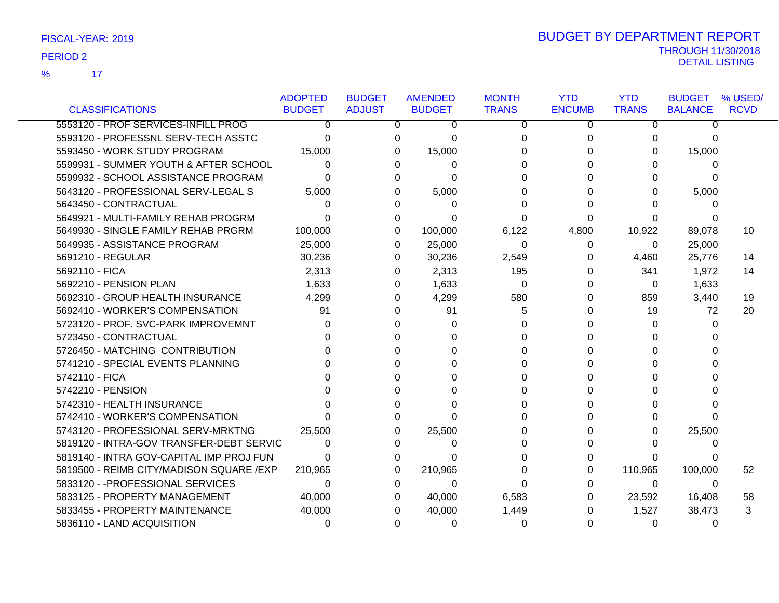17 %

| <b>CLASSIFICATIONS</b>                   | <b>ADOPTED</b><br><b>BUDGET</b> | <b>BUDGET</b><br><b>ADJUST</b> |   | <b>AMENDED</b><br><b>BUDGET</b> | <b>MONTH</b><br><b>TRANS</b> | <b>YTD</b><br><b>ENCUMB</b> | <b>YTD</b><br><b>TRANS</b> | <b>BUDGET</b><br><b>BALANCE</b> | % USED/<br><b>RCVD</b> |
|------------------------------------------|---------------------------------|--------------------------------|---|---------------------------------|------------------------------|-----------------------------|----------------------------|---------------------------------|------------------------|
| 5553120 - PROF SERVICES-INFILL PROG      | 0                               |                                | 0 |                                 |                              |                             |                            | 0                               |                        |
| 5593120 - PROFESSNL SERV-TECH ASSTC      |                                 |                                | O | 0                               | 0                            | 0                           | 0                          |                                 |                        |
| 5593450 - WORK STUDY PROGRAM             | <sup>0</sup>                    |                                |   | 0                               | $\Omega$<br>$\Omega$         | 0<br><sup>n</sup>           | 0                          | 0                               |                        |
|                                          | 15,000                          |                                | 0 | 15,000                          |                              |                             | 0                          | 15,000                          |                        |
| 5599931 - SUMMER YOUTH & AFTER SCHOOL    | 0                               |                                | 0 | 0                               |                              |                             | 0                          | $\Omega$                        |                        |
| 5599932 - SCHOOL ASSISTANCE PROGRAM      | <sup>0</sup>                    |                                | n | 0                               | <sup>0</sup>                 |                             | 0                          | 0                               |                        |
| 5643120 - PROFESSIONAL SERV-LEGAL S      | 5,000                           |                                | O | 5,000                           | 0                            |                             | 0                          | 5,000                           |                        |
| 5643450 - CONTRACTUAL                    |                                 |                                | O | 0                               |                              |                             | U                          | 0                               |                        |
| 5649921 - MULTI-FAMILY REHAB PROGRM      |                                 |                                | 0 | O                               | 0                            |                             | 0                          |                                 |                        |
| 5649930 - SINGLE FAMILY REHAB PRGRM      | 100,000                         |                                | 0 | 100,000                         | 6,122                        | 4,800                       | 10,922                     | 89,078                          | 10                     |
| 5649935 - ASSISTANCE PROGRAM             | 25,000                          |                                | 0 | 25,000                          | 0                            | 0                           | 0                          | 25,000                          |                        |
| 5691210 - REGULAR                        | 30,236                          |                                | 0 | 30,236                          | 2,549                        | 0                           | 4,460                      | 25,776                          | 14                     |
| 5692110 - FICA                           | 2,313                           |                                | 0 | 2,313                           | 195                          | 0                           | 341                        | 1,972                           | 14                     |
| 5692210 - PENSION PLAN                   | 1,633                           |                                | 0 | 1,633                           | 0                            | 0                           | $\Omega$                   | 1,633                           |                        |
| 5692310 - GROUP HEALTH INSURANCE         | 4,299                           |                                | 0 | 4,299                           | 580                          | 0                           | 859                        | 3,440                           | 19                     |
| 5692410 - WORKER'S COMPENSATION          | 91                              |                                | 0 | 91                              | 5                            | <sup>0</sup>                | 19                         | 72                              | 20                     |
| 5723120 - PROF. SVC-PARK IMPROVEMNT      | 0                               |                                | O | 0                               | 0                            |                             | $\Omega$                   | $\Omega$                        |                        |
| 5723450 - CONTRACTUAL                    |                                 |                                | n | 0                               | <sup>0</sup>                 |                             | $\Omega$                   | <sup>0</sup>                    |                        |
| 5726450 - MATCHING CONTRIBUTION          |                                 |                                |   | U                               | $\Omega$                     |                             | 0                          | U                               |                        |
| 5741210 - SPECIAL EVENTS PLANNING        |                                 |                                | U | O                               | U                            | U                           | $\Omega$                   |                                 |                        |
| 5742110 - FICA                           |                                 |                                |   |                                 | 0                            |                             | 0                          |                                 |                        |
| 5742210 - PENSION                        |                                 |                                |   | 0                               | <sup>0</sup>                 | <sup>n</sup>                | $\Omega$                   |                                 |                        |
| 5742310 - HEALTH INSURANCE               |                                 |                                | n | 0                               | $\Omega$                     |                             | 0                          |                                 |                        |
| 5742410 - WORKER'S COMPENSATION          |                                 |                                | O | 0                               |                              |                             | 0                          | $\Omega$                        |                        |
| 5743120 - PROFESSIONAL SERV-MRKTNG       | 25,500                          |                                | 0 | 25,500                          | 0                            |                             | 0                          | 25,500                          |                        |
| 5819120 - INTRA-GOV TRANSFER-DEBT SERVIC | 0                               |                                | 0 | 0                               | 0                            |                             | <sup>0</sup>               | $\Omega$                        |                        |
| 5819140 - INTRA GOV-CAPITAL IMP PROJ FUN | ∩                               |                                | 0 | 0                               | $\Omega$                     |                             | 0                          | 0                               |                        |
| 5819500 - REIMB CITY/MADISON SQUARE /EXP | 210,965                         |                                | 0 | 210,965                         | 0                            | 0                           | 110,965                    | 100,000                         | 52                     |
| 5833120 - - PROFESSIONAL SERVICES        | 0                               |                                | 0 | 0                               | 0                            | 0                           | $\Omega$                   | 0                               |                        |
| 5833125 - PROPERTY MANAGEMENT            | 40,000                          |                                | 0 | 40,000                          | 6,583                        | 0                           | 23,592                     | 16,408                          | 58                     |
| 5833455 - PROPERTY MAINTENANCE           | 40,000                          |                                | 0 | 40,000                          | 1,449                        | 0                           | 1,527                      | 38,473                          | 3                      |
| 5836110 - LAND ACQUISITION               | 0                               |                                | 0 | 0                               | 0                            | 0                           | 0                          | 0                               |                        |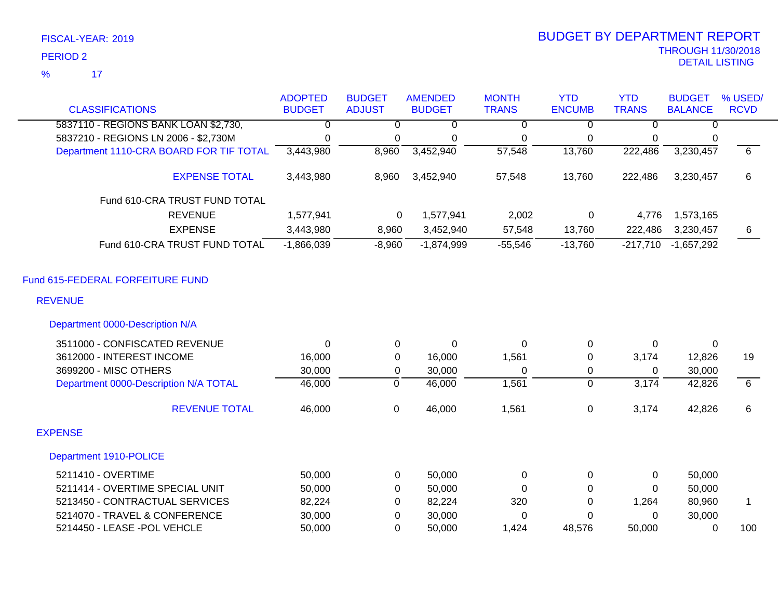| FISCAL-YEAR: 2019 |  |
|-------------------|--|
|                   |  |

| <b>CLASSIFICATIONS</b>                  | <b>ADOPTED</b><br><b>BUDGET</b> | <b>BUDGET</b><br><b>ADJUST</b> | <b>AMENDED</b><br><b>BUDGET</b> | <b>MONTH</b><br><b>TRANS</b> | <b>YTD</b><br><b>ENCUMB</b> | <b>YTD</b><br><b>TRANS</b> | <b>BUDGET</b><br><b>BALANCE</b> | % USED/<br><b>RCVD</b> |
|-----------------------------------------|---------------------------------|--------------------------------|---------------------------------|------------------------------|-----------------------------|----------------------------|---------------------------------|------------------------|
| 5837110 - REGIONS BANK LOAN \$2,730,    | $\overline{0}$                  | $\overline{0}$                 | 0                               | $\overline{0}$               | $\overline{0}$              | $\overline{0}$             | 0                               |                        |
| 5837210 - REGIONS LN 2006 - \$2,730M    | $\mathbf 0$                     | 0                              |                                 |                              | 0                           | 0                          | 0                               |                        |
| Department 1110-CRA BOARD FOR TIF TOTAL | 3,443,980                       | 8,960                          | 0<br>3,452,940                  | 0<br>$\overline{57,548}$     | 13,760                      | 222,486                    | 3,230,457                       | $\overline{6}$         |
|                                         |                                 |                                |                                 |                              |                             |                            |                                 |                        |
| <b>EXPENSE TOTAL</b>                    | 3,443,980                       | 8,960                          | 3,452,940                       | 57,548                       | 13,760                      | 222,486                    | 3,230,457                       | 6                      |
| Fund 610-CRA TRUST FUND TOTAL           |                                 |                                |                                 |                              |                             |                            |                                 |                        |
| <b>REVENUE</b>                          | 1,577,941                       | 0                              | 1,577,941                       | 2,002                        | 0                           | 4,776                      | 1,573,165                       |                        |
| <b>EXPENSE</b>                          | 3,443,980                       | 8,960                          | 3,452,940                       | 57,548                       | 13,760                      | 222,486                    | 3,230,457                       | 6                      |
| Fund 610-CRA TRUST FUND TOTAL           | $-1,866,039$                    | $-8,960$                       | $-1,874,999$                    | $-55,546$                    | $-13,760$                   | $-217,710$                 | $-1,657,292$                    |                        |
| Fund 615-FEDERAL FORFEITURE FUND        |                                 |                                |                                 |                              |                             |                            |                                 |                        |
| <b>REVENUE</b>                          |                                 |                                |                                 |                              |                             |                            |                                 |                        |
| Department 0000-Description N/A         |                                 |                                |                                 |                              |                             |                            |                                 |                        |
| 3511000 - CONFISCATED REVENUE           | $\Omega$                        | 0                              | $\mathbf 0$                     | $\Omega$                     | 0                           | $\Omega$                   | 0                               |                        |
| 3612000 - INTEREST INCOME               | 16,000                          | 0                              | 16,000                          | 1,561                        | 0                           | 3,174                      | 12,826                          | 19                     |
| 3699200 - MISC OTHERS                   | 30,000                          | 0                              | 30,000                          | 0                            | 0                           | 0                          | 30,000                          |                        |
| Department 0000-Description N/A TOTAL   | 46,000                          | $\overline{0}$                 | 46,000                          | 1,561                        | $\overline{0}$              | 3,174                      | 42,826                          | 6                      |
| <b>REVENUE TOTAL</b>                    | 46,000                          | $\mathsf 0$                    | 46,000                          | 1,561                        | 0                           | 3,174                      | 42,826                          | 6                      |
| <b>EXPENSE</b>                          |                                 |                                |                                 |                              |                             |                            |                                 |                        |
| Department 1910-POLICE                  |                                 |                                |                                 |                              |                             |                            |                                 |                        |
| 5211410 - OVERTIME                      | 50,000                          | 0                              | 50,000                          | 0                            | 0                           | 0                          | 50,000                          |                        |
| 5211414 - OVERTIME SPECIAL UNIT         | 50,000                          | 0                              | 50,000                          | 0                            | $\Omega$                    | $\Omega$                   | 50,000                          |                        |
| 5213450 - CONTRACTUAL SERVICES          | 82,224                          | $\Omega$                       | 82,224                          | 320                          | $\Omega$                    | 1,264                      | 80,960                          | $\mathbf{1}$           |
| 5214070 - TRAVEL & CONFERENCE           | 30,000                          | $\mathbf 0$                    | 30,000                          | 0                            | $\mathbf 0$                 | $\mathbf 0$                | 30,000                          |                        |
| 5214450 - LEASE - POL VEHCLE            | 50,000                          | $\Omega$                       | 50,000                          | 1,424                        | 48,576                      | 50,000                     | $\Omega$                        | 100                    |